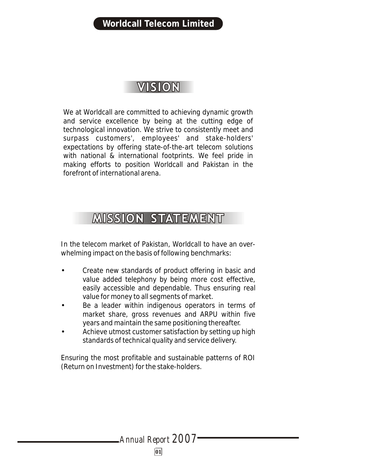# **VISION**

We at Worldcall are committed to achieving dynamic growth and service excellence by being at the cutting edge of technological innovation. We strive to consistently meet and surpass customers', employees' and stake-holders' expectations by offering state-of-the-art telecom solutions with national & international footprints. We feel pride in making efforts to position Worldcall and Pakistan in the forefront of international arena.

# **MISSION STATEMENT**

In the telecom market of Pakistan, Worldcall to have an overwhelming impact on the basis of following benchmarks:

- Create new standards of product offering in basic and value added telephony by being more cost effective, easily accessible and dependable. Thus ensuring real value for money to all segments of market.
- Be a leader within indigenous operators in terms of market share, gross revenues and ARPU within five years and maintain the same positioning thereafter.
- Achieve utmost customer satisfaction by setting up high standards of technical quality and service delivery.

Ensuring the most profitable and sustainable patterns of ROI (Return on Investment) for the stake-holders.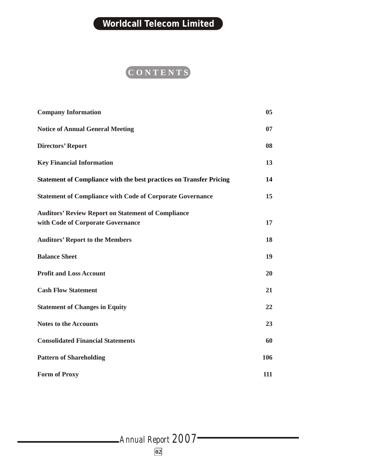# **C O N T E N T S**

| <b>Company Information</b>                                                 | 0 <sub>5</sub> |
|----------------------------------------------------------------------------|----------------|
| <b>Notice of Annual General Meeting</b>                                    | 07             |
| <b>Directors' Report</b>                                                   | 08             |
| <b>Key Financial Information</b>                                           | 13             |
| <b>Statement of Compliance with the best practices on Transfer Pricing</b> | 14             |
| <b>Statement of Compliance with Code of Corporate Governance</b>           | 15             |
| <b>Auditors' Review Report on Statement of Compliance</b>                  |                |
| with Code of Corporate Governance                                          | 17             |
| <b>Auditors' Report to the Members</b>                                     | 18             |
| <b>Balance Sheet</b>                                                       | 19             |
| <b>Profit and Loss Account</b>                                             | <b>20</b>      |
| <b>Cash Flow Statement</b>                                                 | 21             |
| <b>Statement of Changes in Equity</b>                                      | 22             |
| <b>Notes to the Accounts</b>                                               | 23             |
| <b>Consolidated Financial Statements</b>                                   | 60             |
| <b>Pattern of Shareholding</b>                                             | 106            |
| <b>Form of Proxy</b>                                                       | 111            |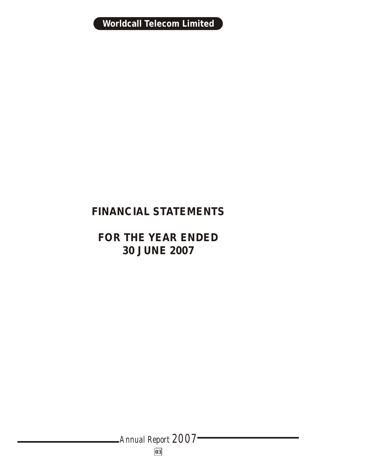# **FINANCIAL STATEMENTS**

**FOR THE YEAR ENDED 30 JUNE 2007**

Annual Report 2007<sup>—</sup>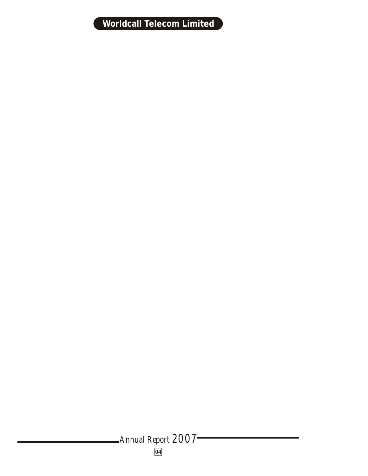$\blacksquare$ Annual Report  $2007$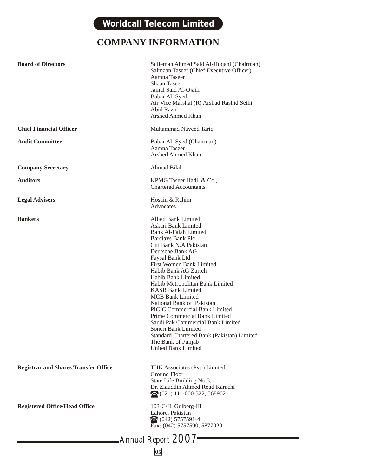# **COMPANY INFORMATION**

| <b>Board of Directors</b>                   | Sulieman Ahmed Said Al-Hoqani (Chairman)<br>Salmaan Taseer (Chief Executive Officer)<br>Aamna Taseer<br><b>Shaan Taseer</b><br>Jamal Said Al-Ojaili<br>Babar Ali Syed<br>Air Vice Marshal (R) Arshad Rashid Sethi<br>Abid Raza<br><b>Arshed Ahmed Khan</b>                                                                                                                                                                                                                                                                                                                                                      |
|---------------------------------------------|-----------------------------------------------------------------------------------------------------------------------------------------------------------------------------------------------------------------------------------------------------------------------------------------------------------------------------------------------------------------------------------------------------------------------------------------------------------------------------------------------------------------------------------------------------------------------------------------------------------------|
| <b>Chief Financial Officer</b>              | Muhammad Naveed Tariq                                                                                                                                                                                                                                                                                                                                                                                                                                                                                                                                                                                           |
| <b>Audit Committee</b>                      | Babar Ali Syed (Chairman)<br>Aamna Taseer<br>Arshed Ahmed Khan                                                                                                                                                                                                                                                                                                                                                                                                                                                                                                                                                  |
| <b>Company Secretary</b>                    | <b>Ahmad Bilal</b>                                                                                                                                                                                                                                                                                                                                                                                                                                                                                                                                                                                              |
| <b>Auditors</b>                             | KPMG Taseer Hadi & Co.,<br><b>Chartered Accountants</b>                                                                                                                                                                                                                                                                                                                                                                                                                                                                                                                                                         |
| <b>Legal Advisers</b>                       | Hosain & Rahim<br>Advocates                                                                                                                                                                                                                                                                                                                                                                                                                                                                                                                                                                                     |
| <b>Bankers</b>                              | <b>Allied Bank Limited</b><br>Askari Bank Limited<br><b>Bank Al-Falah Limited</b><br><b>Barclays Bank Plc</b><br>Citi Bank N.A Pakistan<br>Deutsche Bank AG<br>Faysal Bank Ltd<br>First Women Bank Limited<br>Habib Bank AG Zurich<br>Habib Bank Limited<br>Habib Metropolitan Bank Limited<br><b>KASB Bank Limited</b><br><b>MCB</b> Bank Limited<br>National Bank of Pakistan<br><b>PICIC Commercial Bank Limited</b><br>Prime Commercial Bank Limited<br>Saudi Pak Commercial Bank Limited<br>Soneri Bank Limited<br>Standard Chartered Bank (Pakistan) Limited<br>The Bank of Punjab<br>United Bank Limited |
| <b>Registrar and Shares Transfer Office</b> | THK Associates (Pvt.) Limited<br><b>Ground Floor</b><br>State Life Building No.3,<br>Dr. Ziauddin Ahmed Road Karachi<br>2689021 111-000-322, 5689021                                                                                                                                                                                                                                                                                                                                                                                                                                                            |
| <b>Registered Office/Head Office</b>        | 103-C/II, Gulberg-III<br>Lahore, Pakistan<br>$\bullet$ (042) 5757591-4<br>Fax: (042) 5757590, 5877920                                                                                                                                                                                                                                                                                                                                                                                                                                                                                                           |
|                                             | . Annual Report $2007\text{-}$                                                                                                                                                                                                                                                                                                                                                                                                                                                                                                                                                                                  |
|                                             | $\overline{05}$                                                                                                                                                                                                                                                                                                                                                                                                                                                                                                                                                                                                 |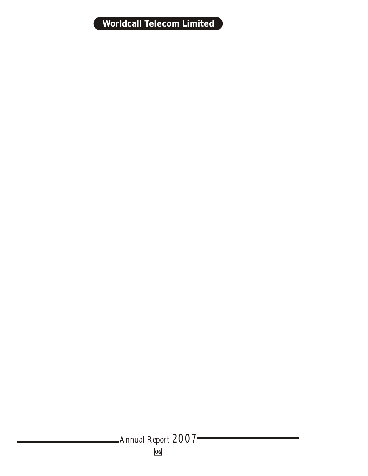$\blacksquare$ Annual Report  $2007$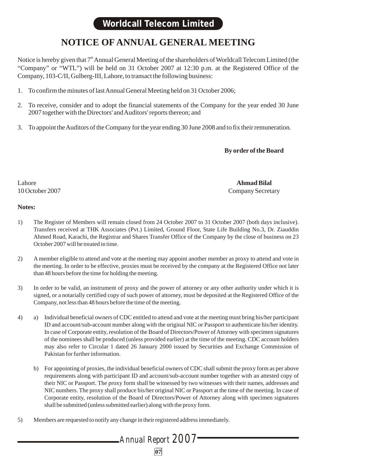# **NOTICE OF ANNUAL GENERAL MEETING**

Notice is hereby given that  $7<sup>th</sup>$  Annual General Meeting of the shareholders of Worldcall Telecom Limited (the "Company" or "WTL") will be held on 31 October 2007 at 12:30 p.m. at the Registered Office of the Company, 103-C/II, Gulberg-III, Lahore, to transact the following business:

- 1. To confirm the minutes of last Annual General Meeting held on 31 October 2006;
- 2. To receive, consider and to adopt the financial statements of the Company for the year ended 30 June 2007 together with the Directors' and Auditors' reports thereon; and
- 3. To appoint the Auditors of the Company for the year ending 30 June 2008 and to fix their remuneration.

**By order of the Board**

Lahore **Ahmad Bilal** 10 October 2007 Company Secretary

### **Notes:**

- 1) The Register of Members will remain closed from 24 October 2007 to 31 October 2007 (both days inclusive). Transfers received at THK Associates (Pvt.) Limited, Ground Floor, State Life Building No.3, Dr. Ziauddin Ahmed Road, Karachi, the Registrar and Shares Transfer Office of the Company by the close of business on 23 October 2007 will be treated in time.
- 2) A member eligible to attend and vote at the meeting may appoint another member as proxy to attend and vote in the meeting. In order to be effective, proxies must be received by the company at the Registered Office not later than 48 hours before the time for holding the meeting.
- 3) In order to be valid, an instrument of proxy and the power of attorney or any other authority under which it is signed, or a notarially certified copy of such power of attorney, must be deposited at the Registered Office of the Company, not less than 48 hours before the time of the meeting.
- 4) a) Individual beneficial owners of CDC entitled to attend and vote at the meeting must bring his/her participant ID and account/sub-account number along with the original NIC or Passport to authenticate his/her identity. In case of Corporate entity, resolution of the Board of Directors/Power of Attorney with specimen signatures of the nominees shall be produced (unless provided earlier) at the time of the meeting. CDC account holders may also refer to Circular 1 dated 26 January 2000 issued by Securities and Exchange Commission of Pakistan for further information.
	- b) For appointing of proxies, the individual beneficial owners of CDC shall submit the proxy form as per above requirements along with participant ID and account/sub-account number together with an attested copy of their NIC or Passport. The proxy form shall be witnessed by two witnesses with their names, addresses and NIC numbers. The proxy shall produce his/her original NIC or Passport at the time of the meeting. In case of Corporate entity, resolution of the Board of Directors/Power of Attorney along with specimen signatures shall be submitted (unless submitted earlier) along with the proxy form.
- 5) Members are requested to notify any change in their registered address immediately.

Annual Report  $2007$   $-$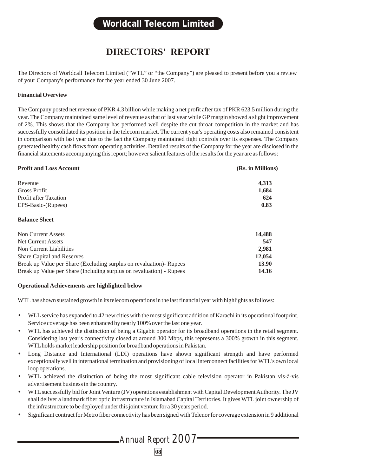# **DIRECTORS' REPORT**

The Directors of Worldcall Telecom Limited ("WTL" or "the Company") are pleased to present before you a review of your Company's performance for the year ended 30 June 2007.

### **Financial Overview**

The Company posted net revenue of PKR 4.3 billion while making a net profit after tax of PKR 623.5 million during the year. The Company maintained same level of revenue as that of last year while GP margin showed a slight improvement of 2%. This shows that the Company has performed well despite the cut throat competition in the market and has successfully consolidated its position in the telecom market. The current year's operating costs also remained consistent in comparison with last year due to the fact the Company maintained tight controls over its expenses. The Company generated healthy cash flows from operating activities. Detailed results of the Company for the year are disclosed in the financial statements accompanying this report; however salient features of the results for the year are as follows:

| <b>Profit and Loss Account</b>                                       | (Rs. in Millions) |
|----------------------------------------------------------------------|-------------------|
| Revenue                                                              | 4,313             |
| <b>Gross Profit</b>                                                  | 1,684             |
| <b>Profit after Taxation</b>                                         | 624               |
| EPS-Basic-(Rupees)                                                   | 0.83              |
| <b>Balance Sheet</b>                                                 |                   |
| Non Current Assets                                                   | 14,488            |
| Net Current Assets                                                   | 547               |
| Non Current Liabilities                                              | 2,981             |
| <b>Share Capital and Reserves</b>                                    | 12,054            |
| Break up Value per Share (Excluding surplus on revaluation) - Rupees | 13.90             |
| Break up Value per Share (Including surplus on revaluation) - Rupees | 14.16             |

### **Operational Achievements are highlighted below**

WTL has shown sustained growth in its telecom operations in the last financial year with highlights as follows:

- WLL service has expanded to 42 new cities with the most significant addition of Karachi in its operational footprint. Service coverage has been enhanced by nearly 100% over the last one year.
- WTL has achieved the distinction of being a Gigabit operator for its broadband operations in the retail segment. Considering last year's connectivity closed at around 300 Mbps, this represents a 300% growth in this segment. WTL holds market leadership position for broadband operations in Pakistan.
- Long Distance and International (LDI) operations have shown significant strength and have performed exceptionally well in international termination and provisioning of local interconnect facilities for WTL's own local loop operations.
- WTL achieved the distinction of being the most significant cable television operator in Pakistan vis-à-vis advertisement business in the country.
- WTL successfully bid for Joint Venture (JV) operations establishment with Capital Development Authority. The JV shall deliver a landmark fiber optic infrastructure in Islamabad Capital Territories. It gives WTL joint ownership of the infrastructure to be deployed under this joint venture for a 30 years period.
- Significant contract for Metro fiber connectivity has been signed with Telenor for coverage extension in 9 additional

# Annual Report 2007-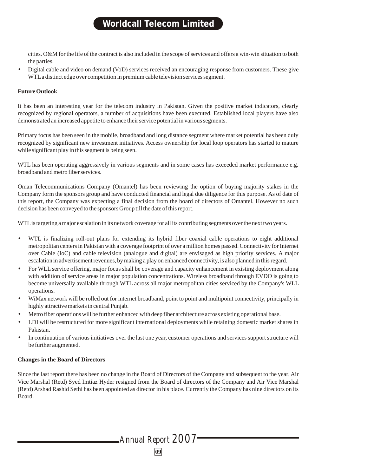cities. O&M for the life of the contract is also included in the scope of services and offers a win-win situation to both the parties.

• Digital cable and video on demand (VoD) services received an encouraging response from customers. These give WTL a distinct edge over competition in premium cable television services segment.

### **Future Outlook**

It has been an interesting year for the telecom industry in Pakistan. Given the positive market indicators, clearly recognized by regional operators, a number of acquisitions have been executed. Established local players have also demonstrated an increased appetite to enhance their service potential in various segments.

Primary focus has been seen in the mobile, broadband and long distance segment where market potential has been duly recognized by significant new investment initiatives. Access ownership for local loop operators has started to mature while significant play in this segment is being seen.

WTL has been operating aggressively in various segments and in some cases has exceeded market performance e.g. broadband and metro fiber services.

Oman Telecommunications Company (Omantel) has been reviewing the option of buying majority stakes in the Company form the sponsors group and have conducted financial and legal due diligence for this purpose. As of date of this report, the Company was expecting a final decision from the board of directors of Omantel. However no such decision has been conveyed to the sponsors Group till the date of this report.

WTL is targeting a major escalation in its network coverage for all its contributing segments over the next two years.

- WTL is finalizing roll-out plans for extending its hybrid fiber coaxial cable operations to eight additional metropolitan centers in Pakistan with a coverage footprint of over a million homes passed. Connectivity for Internet over Cable (IoC) and cable television (analogue and digital) are envisaged as high priority services. A major escalation in advertisement revenues, by making a play on enhanced connectivity, is also planned in this regard.
- For WLL service offering, major focus shall be coverage and capacity enhancement in existing deployment along with addition of service areas in major population concentrations. Wireless broadband through EVDO is going to become universally available through WTL across all major metropolitan cities serviced by the Company's WLL operations.
- WiMax network will be rolled out for internet broadband, point to point and multipoint connectivity, principally in highly attractive markets in central Punjab.
- Metro fiber operations will be further enhanced with deep fiber architecture across existing operational base.
- LDI will be restructured for more significant international deployments while retaining domestic market shares in Pakistan.
- In continuation of various initiatives over the last one year, customer operations and services support structure will be further augmented.

### **Changes in the Board of Directors**

Since the last report there has been no change in the Board of Directors of the Company and subsequent to the year, Air Vice Marshal (Retd) Syed Imtiaz Hyder resigned from the Board of directors of the Company and Air Vice Marshal (Retd) Arshad Rashid Sethi has been appointed as director in his place. Currently the Company has nine directors on its Board.

Annual Report 2007-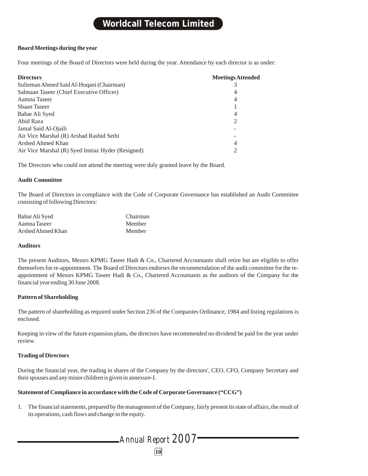### **Board Meetings during the year**

Four meetings of the Board of Directors were held during the year. Attendance by each director is as under:

| <b>Directors</b>                                  | <b>Meetings Attended</b> |
|---------------------------------------------------|--------------------------|
| Sulieman Ahmed Said Al-Hoqani (Chairman)          |                          |
| Salmaan Taseer (Chief Executive Officer)          | 4                        |
| Aamna Taseer                                      | 4                        |
| <b>Shaan Taseer</b>                               |                          |
| Babar Ali Syed                                    | 4                        |
| Abid Raza                                         | 2                        |
| Jamal Said Al-Ojaili                              |                          |
| Air Vice Marshal (R) Arshad Rashid Sethi          |                          |
| Arshed Ahmed Khan                                 | 4                        |
| Air Vice Marshal (R) Syed Imtiaz Hyder (Resigned) | 2                        |

The Directors who could not attend the meeting were duly granted leave by the Board.

### **Audit Committee**

The Board of Directors in compliance with the Code of Corporate Governance has established an Audit Committee consisting of following Directors:

| Babar Ali Syed    | Chairman |
|-------------------|----------|
| Aamna Taseer      | Member   |
| Arshed Ahmed Khan | Member   |

### **Auditors**

The present Auditors, Messrs KPMG Taseer Hadi & Co., Chartered Accountants shall retire but are eligible to offer themselves for re-appointment. The Board of Directors endorses the recommendation of the audit committee for the reappointment of Messrs KPMG Taseer Hadi & Co., Chartered Accountants as the auditors of the Company for the financial year ending 30 June 2008.

### **Pattern of Shareholding**

The pattern of shareholding as required under Section 236 of the Companies Ordinance, 1984 and listing regulations is enclosed.

Keeping in view of the future expansion plans, the directors have recommended no dividend be paid for the year under review.

### **Trading of Directors**

During the financial year, the trading in shares of the Company by the directors', CEO, CFO, Company Secretary and their spouses and any minor children is given in annexure-I.

### **Statement of Compliance in accordance with the Code of Corporate Governance ("CCG")**

1. The financial statements, prepared by the management of the Company, fairly present its state of affairs, the result of its operations, cash flows and change in the equity.

Annual Report  $2007$   $-$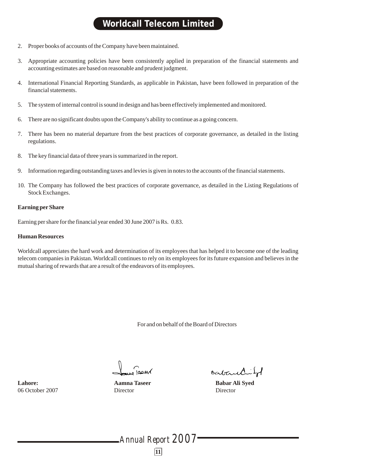- 2. Proper books of accounts of the Company have been maintained.
- 3. Appropriate accounting policies have been consistently applied in preparation of the financial statements and accounting estimates are based on reasonable and prudent judgment.
- 4. International Financial Reporting Standards, as applicable in Pakistan, have been followed in preparation of the financial statements.
- 5. The system of internal control is sound in design and has been effectively implemented and monitored.
- 6. There are no significant doubts upon the Company's ability to continue as a going concern.
- 7. There has been no material departure from the best practices of corporate governance, as detailed in the listing regulations.
- 8. The key financial data of three years is summarized in the report.
- 9. Information regarding outstanding taxes and levies is given in notes to the accounts of the financial statements.
- 10. The Company has followed the best practices of corporate governance, as detailed in the Listing Regulations of Stock Exchanges.

### **Earning per Share**

Earning per share for the financial year ended 30 June 2007 is Rs. 0.83.

### **Human Resources**

Worldcall appreciates the hard work and determination of its employees that has helped it to become one of the leading telecom companies in Pakistan. Worldcall continues to rely on its employees for its future expansion and believes in the mutual sharing of rewards that are a result of the endeavors of its employees.

For and on behalf of the Board of Directors

Babardity

**Lahore: Aamna Taseer Babar Ali Syed**

Annual Report 2007-

06 October 2007 Director Director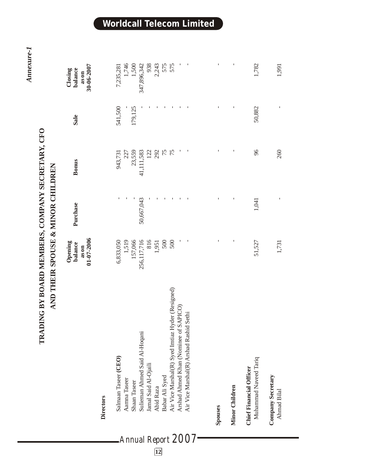# *Annexure-1*

# TRADING BY BOARD MEMBERS, COMPANY SECRETARY, CFO **TRADING BY BOARD MEMBERS, COMPANY SECRETARY, CFO** AND THEIR SPOUSE & MINOR CHILDREN **AND THEIR SPOUSE & MINOR CHILDREN**

| 30-06-2007<br>balance<br>Closing<br>as on | 1,746<br>1,500<br>938<br>2,243<br>575<br>575<br>347,896,342<br>7,235,281                                                                                                                                                                                                                  | ı       | $\begin{array}{c} \rule{0.2cm}{0.15mm} \rule{0.2cm}{0.15mm} \rule{0.2cm}{0.15mm} \rule{0.2cm}{0.15mm} \rule{0.2cm}{0.15mm} \rule{0.2cm}{0.15mm} \rule{0.2cm}{0.15mm} \rule{0.2cm}{0.15mm} \rule{0.2cm}{0.15mm} \rule{0.2cm}{0.15mm} \rule{0.2cm}{0.15mm} \rule{0.2cm}{0.15mm} \rule{0.2cm}{0.15mm} \rule{0.2cm}{0.15mm} \rule{0.2cm}{0.15mm} \rule{$ | 1,782                                                   | 1,991                                   |
|-------------------------------------------|-------------------------------------------------------------------------------------------------------------------------------------------------------------------------------------------------------------------------------------------------------------------------------------------|---------|------------------------------------------------------------------------------------------------------------------------------------------------------------------------------------------------------------------------------------------------------------------------------------------------------------------------------------------------------|---------------------------------------------------------|-----------------------------------------|
| Sale                                      | 541,500<br>179,125                                                                                                                                                                                                                                                                        | ı       | $\mathbf I$                                                                                                                                                                                                                                                                                                                                          | 50,882                                                  |                                         |
| <b>Bonus</b>                              | 75<br>$\begin{array}{c} 227 \\ 23,559 \\ 41,111,583 \\ 122 \\ 292 \\ 75 \end{array}$<br>943,731                                                                                                                                                                                           | ı       |                                                                                                                                                                                                                                                                                                                                                      | 96                                                      | 260                                     |
| Purchase                                  | 50,667,043                                                                                                                                                                                                                                                                                |         |                                                                                                                                                                                                                                                                                                                                                      | 1,041                                                   |                                         |
| as on<br>01-07-2006<br>Opening<br>balance | 1,519<br>157,066<br>256,117,716<br>816<br>1,951<br>500<br>500<br>6,833,050                                                                                                                                                                                                                | ı       | $\mathsf I$                                                                                                                                                                                                                                                                                                                                          | 51,527                                                  | 1,731                                   |
| <b>Directors</b>                          | Air Vice Marshal(R) Syed Imtiaz Hyder (Resigned)<br>Arshad Ahmed Khan (Nominee of SAPICO)<br>Air Vice Marshal(R) Arshad Rashid Sethi<br>Sulieman Ahmed Said Al-Hoqani<br>Salmaan Taseer (CEO)<br>Jamal Said Al-Ojaili<br>Babar Ali Syed<br>Aanma Taseer<br>Shaan Taseer<br>Abid Raza<br>ດ | Spouses | Minor Children                                                                                                                                                                                                                                                                                                                                       | Muhammad Naveed Tariq<br><b>Chief Financial Officer</b> | <b>Company Secretary</b><br>Ahmad Bilal |

**Worldcall Telecom Limited**

# $\blacksquare$ Annual Report  $2007$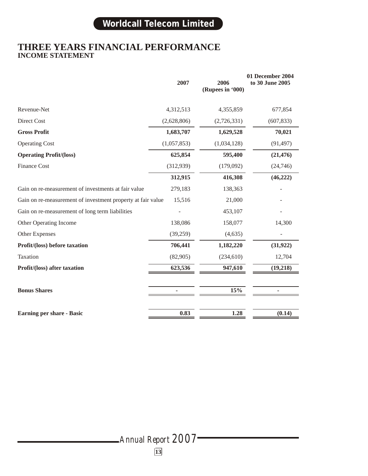## **THREE YEARS FINANCIAL PERFORMANCE INCOME STATEMENT**

|                                                             | 2007        | 2006<br>(Rupees in '000) | 01 December 2004<br>to 30 June 2005 |
|-------------------------------------------------------------|-------------|--------------------------|-------------------------------------|
| Revenue-Net                                                 | 4,312,513   | 4,355,859                | 677,854                             |
| <b>Direct Cost</b>                                          | (2,628,806) | (2,726,331)              | (607, 833)                          |
| <b>Gross Profit</b>                                         | 1,683,707   | 1,629,528                | 70,021                              |
| <b>Operating Cost</b>                                       | (1,057,853) | (1,034,128)              | (91, 497)                           |
| <b>Operating Profit/(loss)</b>                              | 625,854     | 595,400                  | (21, 476)                           |
| <b>Finance Cost</b>                                         | (312,939)   | (179,092)                | (24, 746)                           |
|                                                             | 312,915     | 416,308                  | (46, 222)                           |
| Gain on re-measurement of investments at fair value         | 279,183     | 138,363                  |                                     |
| Gain on re-measurement of investment property at fair value | 15,516      | 21,000                   |                                     |
| Gain on re-measurement of long term liabilities             |             | 453,107                  |                                     |
| Other Operating Income                                      | 138,086     | 158,077                  | 14,300                              |
| Other Expenses                                              | (39,259)    | (4,635)                  |                                     |
| Profit/(loss) before taxation                               | 706,441     | 1,182,220                | (31, 922)                           |
| Taxation                                                    | (82,905)    | (234, 610)               | 12,704                              |
| Profit/(loss) after taxation                                | 623,536     | 947,610                  | (19,218)                            |
| <b>Bonus Shares</b>                                         |             | 15%                      |                                     |
| <b>Earning per share - Basic</b>                            | 0.83        | 1.28                     | (0.14)                              |

Annual Report 2007<sup>—–</sup>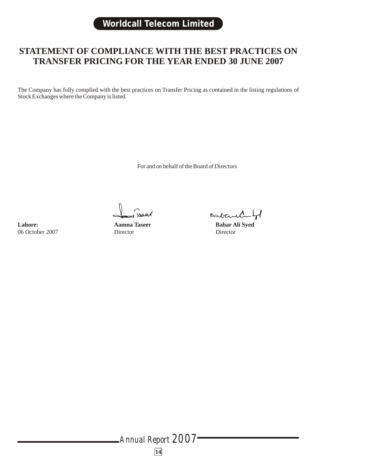# **STATEMENT OF COMPLIANCE WITH THE BEST PRACTICES ON TRANSFER PRICING FOR THE YEAR ENDED 30 JUNE 2007**

The Company has fully complied with the best practices on Transfer Pricing as contained in the listing regulations of Stock Exchanges where the Company is listed.

For and on behalf of the Board of Directors

 $\sqrt{2}$  lases

06 October 2007 Director Director

Babardity

**Lahore: Aamna Taseer Babar Ali Syed**

Annual Report  $2007$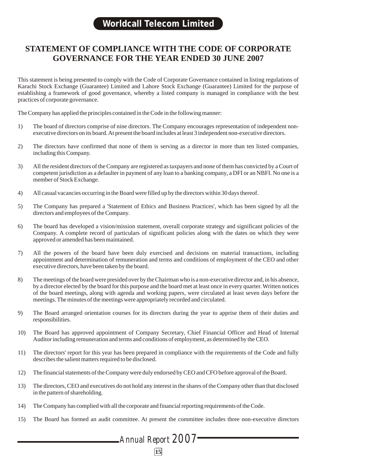### **STATEMENT OF COMPLIANCE WITH THE CODE OF CORPORATE GOVERNANCE FOR THE YEAR ENDED 30 JUNE 2007**

This statement is being presented to comply with the Code of Corporate Governance contained in listing regulations of Karachi Stock Exchange (Guarantee) Limited and Lahore Stock Exchange (Guarantee) Limited for the purpose of establishing a framework of good governance, whereby a listed company is managed in compliance with the best practices of corporate governance.

The Company has applied the principles contained in the Code in the following manner:

- 1) The board of directors comprise of nine directors. The Company encourages representation of independent nonexecutive directors on its board. At present the board includes at least 3 independent non-executive directors.
- 2) The directors have confirmed that none of them is serving as a director in more than ten listed companies, including this Company.
- 3) All the resident directors of the Company are registered as taxpayers and none of them has convicted by a Court of competent jurisdiction as a defaulter in payment of any loan to a banking company, a DFI or an NBFI. No one is a member of Stock Exchange.
- 4) All casual vacancies occurring in the Board were filled up by the directors within 30 days thereof.
- 5) The Company has prepared a 'Statement of Ethics and Business Practices', which has been signed by all the directors and employees of the Company.
- 6) The board has developed a vision/mission statement, overall corporate strategy and significant policies of the Company. A complete record of particulars of significant policies along with the dates on which they were approved or amended has been maintained.
- 7) All the powers of the board have been duly exercised and decisions on material transactions, including appointment and determination of remuneration and terms and conditions of employment of the CEO and other executive directors, have been taken by the board.
- 8) The meetings of the board were presided over by the Chairman who is a non-executive director and, in his absence, by a director elected by the board for this purpose and the board met at least once in every quarter. Written notices of the board meetings, along with agenda and working papers, were circulated at least seven days before the meetings. The minutes of the meetings were appropriately recorded and circulated.
- 9) The Board arranged orientation courses for its directors during the year to apprise them of their duties and responsibilities.
- 10) The Board has approved appointment of Company Secretary, Chief Financial Officer and Head of Internal Auditor including remuneration and terms and conditions of employment, as determined by the CEO.
- 11) The directors' report for this year has been prepared in compliance with the requirements of the Code and fully describes the salient matters required to be disclosed.
- 12) The financial statements of the Company were duly endorsed by CEO and CFO before approval of the Board.
- 13) The directors, CEO and executives do not hold any interest in the shares of the Company other than that disclosed in the pattern of shareholding.
- 14) The Company has complied with all the corporate and financial reporting requirements of the Code.
- 15) The Board has formed an audit committee. At present the committee includes three non-executive directors

 $\,$  Annual Report  $2007$   $\overline{\phantom{1}}$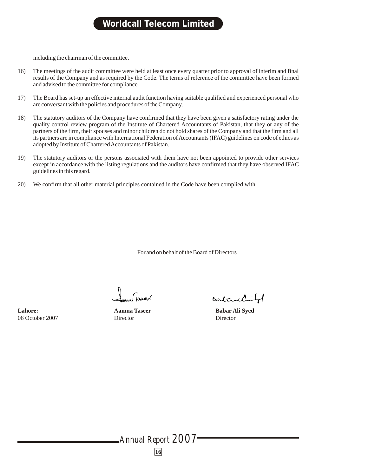including the chairman of the committee.

- 16) The meetings of the audit committee were held at least once every quarter prior to approval of interim and final results of the Company and as required by the Code. The terms of reference of the committee have been formed and advised to the committee for compliance.
- 17) The Board has set-up an effective internal audit function having suitable qualified and experienced personal who are conversant with the policies and procedures of the Company.
- 18) The statutory auditors of the Company have confirmed that they have been given a satisfactory rating under the quality control review program of the Institute of Chartered Accountants of Pakistan, that they or any of the partners of the firm, their spouses and minor children do not hold shares of the Company and that the firm and all its partners are in compliance with International Federation of Accountants (IFAC) guidelines on code of ethics as adopted by Institute of Chartered Accountants of Pakistan.
- 19) The statutory auditors or the persons associated with them have not been appointed to provide other services except in accordance with the listing regulations and the auditors have confirmed that they have observed IFAC guidelines in this regard.
- 20) We confirm that all other material principles contained in the Code have been complied with.

For and on behalf of the Board of Directors

Babardity

**Lahore: Aamna Taseer Babar Ali Syed**

06 October 2007 Director Director

Annual Report 2007-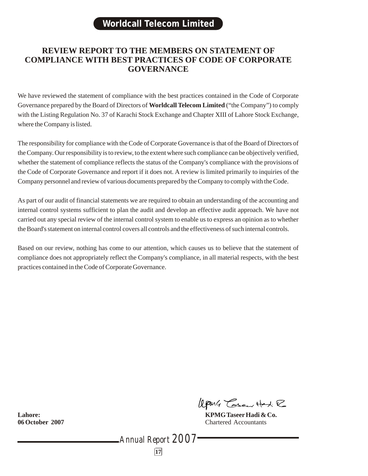## **REVIEW REPORT TO THE MEMBERS ON STATEMENT OF COMPLIANCE WITH BEST PRACTICES OF CODE OF CORPORATE GOVERNANCE**

We have reviewed the statement of compliance with the best practices contained in the Code of Corporate Governance prepared by the Board of Directors of **Worldcall Telecom Limited** ("the Company") to comply with the Listing Regulation No. 37 of Karachi Stock Exchange and Chapter XIII of Lahore Stock Exchange, where the Company is listed.

The responsibility for compliance with the Code of Corporate Governance is that of the Board of Directors of the Company. Our responsibility is to review, to the extent where such compliance can be objectively verified, whether the statement of compliance reflects the status of the Company's compliance with the provisions of the Code of Corporate Governance and report if it does not. A review is limited primarily to inquiries of the Company personnel and review of various documents prepared by the Company to comply with the Code.

As part of our audit of financial statements we are required to obtain an understanding of the accounting and internal control systems sufficient to plan the audit and develop an effective audit approach. We have not carried out any special review of the internal control system to enable us to express an opinion as to whether the Board's statement on internal control covers all controls and the effectiveness of such internal controls.

Based on our review, nothing has come to our attention, which causes us to believe that the statement of compliance does not appropriately reflect the Company's compliance, in all material respects, with the best practices contained in the Code of Corporate Governance.

Regard Cosen Hart R

**Lahore: KPMG Taseer Hadi & Co.**<br> **Chartered Accountants Co. Chartered Accountants Chartered Accountants** 

Annual Report 2007-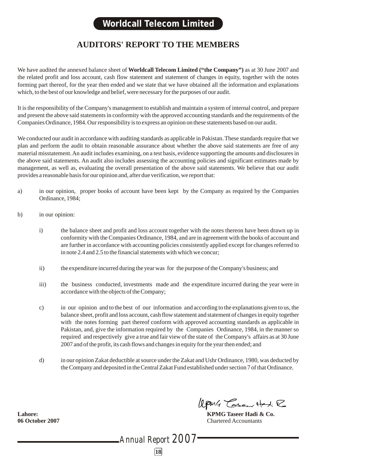# **AUDITORS' REPORT TO THE MEMBERS**

We have audited the annexed balance sheet of **Worldcall Telecom Limited ("the Company")** as at 30 June 2007 and the related profit and loss account, cash flow statement and statement of changes in equity, together with the notes forming part thereof, for the year then ended and we state that we have obtained all the information and explanations which, to the best of our knowledge and belief, were necessary for the purposes of our audit.

It is the responsibility of the Company's management to establish and maintain a system of internal control, and prepare and present the above said statements in conformity with the approved accounting standards and the requirements of the Companies Ordinance, 1984. Our responsibility is to express an opinion on these statements based on our audit.

We conducted our audit in accordance with auditing standards as applicable in Pakistan. These standards require that we plan and perform the audit to obtain reasonable assurance about whether the above said statements are free of any material misstatement. An audit includes examining, on a test basis, evidence supporting the amounts and disclosures in the above said statements. An audit also includes assessing the accounting policies and significant estimates made by management, as well as, evaluating the overall presentation of the above said statements. We believe that our audit provides a reasonable basis for our opinion and, after due verification, we report that:

- a) in our opinion, proper books of account have been kept by the Company as required by the Companies Ordinance, 1984;
- b) in our opinion:
	- i) the balance sheet and profit and loss account together with the notes thereon have been drawn up in conformity with the Companies Ordinance, 1984, and are in agreement with the books of account and are further in accordance with accounting policies consistently applied except for changes referred to in note 2.4 and 2.5 to the financial statements with which we concur;
	- ii) the expenditure incurred during the year was for the purpose of the Company's business; and
	- iii) the business conducted, investments made and the expenditure incurred during the year were in accordance with the objects of the Company;
	- c) in our opinion and to the best of our information and according to the explanations given to us, the balance sheet, profit and loss account, cash flow statement and statement of changes in equity together with the notes forming part thereof conform with approved accounting standards as applicable in Pakistan, and, give the information required by the Companies Ordinance, 1984, in the manner so required and respectively give a true and fair view of the state of the Company's affairs as at 30 June 2007 and of the profit, its cash flows and changes in equity for the year then ended; and
	- d) in our opinion Zakat deductible at source under the Zakat and Ushr Ordinance, 1980, was deducted by the Company and deposited in the Central Zakat Fund established under section 7 of that Ordinance.

Apus Cosen Hat R

**Lahore: KPMG Taseer Hadi & Co.**<br> **Co. Co. Co. Charactered Accountants Chartered Accountants** 

.Annual Report  $2007\textcolor{red}{\blacksquare}$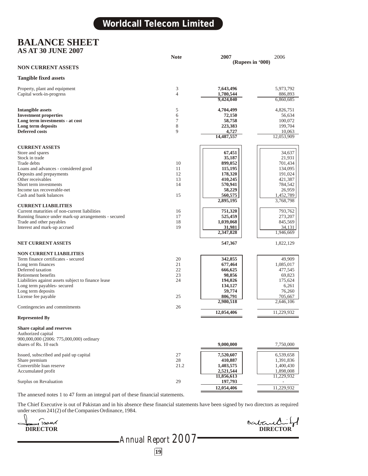### **BALANCE SHEET AS AT 30 JUNE 2007**

|                                                      | <b>Note</b>    | 2007                 | 2006                   |
|------------------------------------------------------|----------------|----------------------|------------------------|
|                                                      |                | (Rupees in '000)     |                        |
| <b>NON CURRENT ASSETS</b>                            |                |                      |                        |
| <b>Tangible fixed assets</b>                         |                |                      |                        |
| Property, plant and equipment                        | 3              | 7,643,496            | 5,973,792              |
| Capital work-in-progress                             | $\overline{4}$ | 1,780,544            | 886,893                |
|                                                      |                | 9,424,040            | 6,860,685              |
|                                                      |                |                      |                        |
| <b>Intangible assets</b>                             | 5              | 4,704,499            | 4,826,751              |
| <b>Investment properties</b>                         | 6              | 72,150               | 56,634                 |
| Long term investments - at cost                      | 7              | 58,758               | 100,072                |
| Long term deposits<br><b>Deferred costs</b>          | 8<br>9         | 223,383<br>4,727     | 199,704<br>10,063      |
|                                                      |                | 14,487,557           | 12,053,909             |
| <b>CURRENT ASSETS</b>                                |                |                      |                        |
| Store and spares                                     |                | 67,451               | 34,637                 |
| Stock in trade                                       |                | 35,187               | 21,931                 |
| Trade debts                                          | 10             | 899,052              | 701,434                |
| Loans and advances - considered good                 | 11             | 115,195              | 134,095                |
| Deposits and prepayments                             | 12             | 178,320              | 191,024                |
| Other receivables                                    | 13             | 410,245              | 421,387                |
| Short term investments                               | 14             | 570,941              | 784,542                |
| Income tax recoverable-net                           |                | 58,229               | 26,959                 |
| Cash and bank balances                               | 15             | 560,575<br>2,895,195 | 1,452,789<br>3,768,798 |
| <b>CURRENT LIABILITIES</b>                           |                |                      |                        |
| Current maturities of non-current liabilities        | 16             | 751,320              | 793,762                |
| Running finance under mark-up arrangements - secured | 17             | 525,459              | 273,207                |
| Trade and other payables                             | 18             | 1,039,068            | 845,569                |
| Interest and mark-up accrued                         | 19             | 31,981               | 34,131                 |
|                                                      |                | 2,347,828            | 1,946,669              |
| <b>NET CURRENT ASSETS</b>                            |                | 547,367              | 1,822,129              |
| <b>NON CURRENT LIABILITIES</b>                       |                |                      |                        |
| Term finance certificates - secured                  | 20             | 342,855              | 49,909                 |
| Long term finances                                   | 21             | 677,464              | 1,085,017              |
| Deferred taxation                                    | 22             | 666,625              | 477,545                |
| Retirement benefits                                  | 23             | 98,856               | 69,823                 |
| Liabilities against assets subject to finance lease  | 24             | 194,026              | 175,624                |
| Long term payables- secured                          |                | 134,127              | 6,261                  |
| Long term deposits                                   | 25             | 59,774               | 76,260                 |
| License fee payable                                  |                | 806,791<br>2,980,518 | 705,667<br>2,646,106   |
| Contingencies and commitments                        | 26             |                      |                        |
| <b>Represented By</b>                                |                | 12,054,406           | 11,229,932             |
| Share capital and reserves                           |                |                      |                        |
| Authorized capital                                   |                |                      |                        |
| 900,000,000 (2006: 775,000,000) ordinary             |                |                      |                        |
| shares of Rs. 10 each                                |                | 9,000,000            | 7,750,000              |
| Issued, subscribed and paid up capital               | 27             | 7,520,607            | 6,539,658              |
| Share premium                                        | 28             | 410,887              | 1,391,836              |
| Convertible loan reserve                             | 21.2           | 1,403,575            | 1,400,430              |
| Accumulated profit                                   |                | 2,521,544            | 1,898,008              |
|                                                      |                | 11,856,613           | 11,229,932             |
| Surplus on Revaluation                               | 29             | 197,793              |                        |
|                                                      |                | 12,054,406           | 11,229,932             |

The annexed notes 1 to 47 form an integral part of these financial statements.

The Chief Executive is out of Pakistan and in his absence these financial statements have been signed by two directors as required under section 241(2) of the Companies Ordinance, 1984.

IJ we Taser

**Barbara Barbara Barbara Barbara Barbara Barbara Barbara Barbara Barbara Barbara Barbara Barbara Binector** 

 $\blacksquare$ Annual Report  $2007$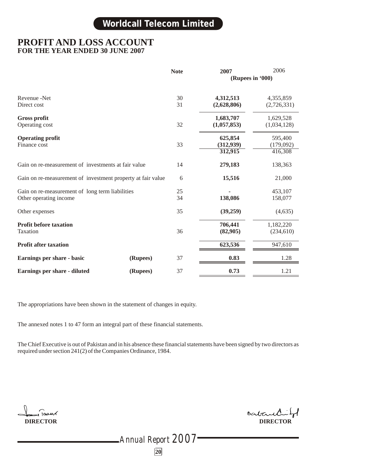### **PROFIT AND LOSS ACCOUNT FOR THE YEAR ENDED 30 JUNE 2007**

|                                                             |          | <b>Note</b> | 2007                     | 2006                     |
|-------------------------------------------------------------|----------|-------------|--------------------------|--------------------------|
|                                                             |          |             | (Rupees in '000)         |                          |
| Revenue -Net<br>Direct cost                                 |          | 30<br>31    | 4,312,513<br>(2,628,806) | 4,355,859<br>(2,726,331) |
| <b>Gross profit</b><br>Operating cost                       |          | 32          | 1,683,707<br>(1,057,853) | 1,629,528<br>(1,034,128) |
| <b>Operating profit</b><br>Finance cost                     |          | 33          | 625,854<br>(312, 939)    | 595,400<br>(179,092)     |
|                                                             |          |             | 312,915                  | 416,308                  |
| Gain on re-measurement of investments at fair value         |          | 14          | 279,183                  | 138,363                  |
| Gain on re-measurement of investment property at fair value |          | 6           | 15,516                   | 21,000                   |
| Gain on re-measurement of long term liabilities             |          | 25          |                          | 453,107                  |
| Other operating income                                      |          | 34          | 138,086                  | 158,077                  |
| Other expenses                                              |          | 35          | (39,259)                 | (4,635)                  |
| <b>Profit before taxation</b><br><b>Taxation</b>            |          | 36          | 706,441<br>(82,905)      | 1,182,220<br>(234, 610)  |
| <b>Profit after taxation</b>                                |          |             | 623,536                  | 947,610                  |
| Earnings per share - basic                                  | (Rupees) | 37          | 0.83                     | 1.28                     |
| Earnings per share - diluted                                | (Rupees) | 37          | 0.73                     | 1.21                     |

The appropriations have been shown in the statement of changes in equity.

The annexed notes 1 to 47 form an integral part of these financial statements.

The Chief Executive is out of Pakistan and in his absence these financial statements have been signed by two directors as required under section 241(2) of the Companies Ordinance, 1984.

une Taser

**DIRECTOR DIRECTOR DIRECTOR** 

 $\blacksquare$ Annual Report  $2007$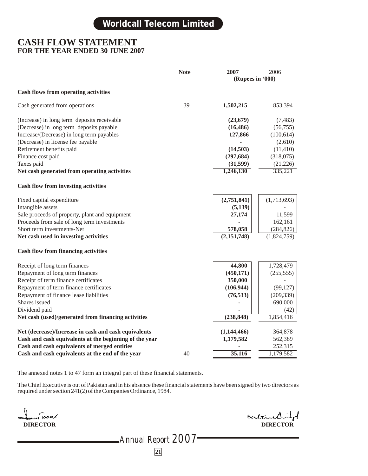### **CASH FLOW STATEMENT FOR THE YEAR ENDED 30 JUNE 2007**

|                                                        | <b>Note</b> | 2007<br>(Rupees in '000) | 2006        |
|--------------------------------------------------------|-------------|--------------------------|-------------|
|                                                        |             |                          |             |
| <b>Cash flows from operating activities</b>            |             |                          |             |
| Cash generated from operations                         | 39          | 1,502,215                | 853,394     |
| (Increase) in long term deposits receivable            |             | (23, 679)                | (7,483)     |
| (Decrease) in long term deposits payable               |             | (16, 486)                | (56,755)    |
| Increase/(Decrease) in long term payables              |             | 127,866                  | (100, 614)  |
| (Decrease) in license fee payable                      |             |                          | (2,610)     |
| Retirement benefits paid                               |             | (14,503)                 | (11, 410)   |
| Finance cost paid                                      |             | (297, 684)               | (318,075)   |
| Taxes paid                                             |             | (31,599)                 | (21, 226)   |
| Net cash generated from operating activities           |             | 1,246,130                | 335,221     |
| <b>Cash flow from investing activities</b>             |             |                          |             |
| Fixed capital expenditure                              |             | (2,751,841)              | (1,713,693) |
| Intangible assets                                      |             | (5,139)                  |             |
| Sale proceeds of property, plant and equipment         |             | 27,174                   | 11,599      |
| Proceeds from sale of long term investments            |             |                          | 162,161     |
| Short term investments-Net                             |             | 578,058                  | (284, 826)  |
| Net cash used in investing activities                  |             | (2,151,748)              | (1,824,759) |
|                                                        |             |                          |             |
| <b>Cash flow from financing activities</b>             |             |                          |             |
| Receipt of long term finances                          |             | 44,800                   | 1,728,479   |
| Repayment of long term finances                        |             | (450, 171)               | (255, 555)  |
| Receipt of term finance certificates                   |             | 350,000                  |             |
| Repayment of term finance certificates                 |             | (106, 944)               | (99, 127)   |
| Repayment of finance lease liabilities                 |             | (76, 533)                | (209, 339)  |
| Shares issued                                          |             |                          | 690,000     |
| Dividend paid                                          |             |                          | (42)        |
| Net cash (used)/generated from financing activities    |             | (238, 848)               | 1,854,416   |
| Net (decrease)/Increase in cash and cash equivalents   |             | (1,144,466)              | 364,878     |
| Cash and cash equivalents at the beginning of the year |             | 1,179,582                | 562,389     |
| Cash and cash equivalents of merged entities           |             |                          | 252,315     |
| Cash and cash equivalents at the end of the year       | 40          | 35,116                   | 1,179,582   |
|                                                        |             |                          |             |

The annexed notes 1 to 47 form an integral part of these financial statements.

The Chief Executive is out of Pakistan and in his absence these financial statements have been signed by two directors as required under section 241(2) of the Companies Ordinance, 1984.

ung Taser

**DIRECTOR DIRECTOR** 

Annual Report 2007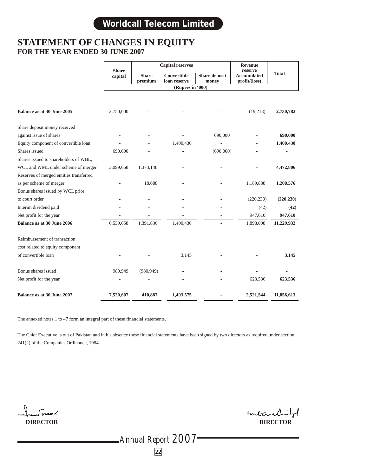# **STATEMENT OF CHANGES IN EQUITY FOR THE YEAR ENDED 30 JUNE 2007**

|                                         | <b>Share</b> |              | <b>Capital reserves</b>          |                      | <b>Revenue</b><br>reserve |              |
|-----------------------------------------|--------------|--------------|----------------------------------|----------------------|---------------------------|--------------|
|                                         | capital      | <b>Share</b> | <b>Convertible</b>               | <b>Share deposit</b> | <b>Accumulated</b>        | <b>Total</b> |
|                                         |              | premium      | loan reserve<br>(Rupees in '000) | money                | profit/(loss)             |              |
|                                         |              |              |                                  |                      |                           |              |
|                                         |              |              |                                  |                      |                           |              |
| <b>Balance as at 30 June 2005</b>       | 2,750,000    |              |                                  |                      | (19,218)                  | 2,730,782    |
| Share deposit money received            |              |              |                                  |                      |                           |              |
| against issue of shares                 |              |              |                                  | 690,000              |                           | 690,000      |
| Equity component of convertible loan    |              |              | 1,400,430                        |                      |                           | 1,400,430    |
| Shares issued                           | 690,000      |              |                                  | (690,000)            |                           |              |
| Shares issued to shareholders of WBL,   |              |              |                                  |                      |                           |              |
| WCL and WML under scheme of merger      | 3,099,658    | 1,373,148    |                                  |                      |                           | 4,472,806    |
| Reserves of merged entities transferred |              |              |                                  |                      |                           |              |
| as per scheme of merger                 |              | 18,688       |                                  |                      | 1,189,888                 | 1,208,576    |
| Bonus shares issued by WCL prior        |              |              |                                  |                      |                           |              |
| to court order                          |              |              |                                  |                      | (220, 230)                | (220, 230)   |
| Interim dividend paid                   |              |              |                                  |                      | (42)                      | (42)         |
| Net profit for the year                 |              |              |                                  |                      | 947,610                   | 947,610      |
| <b>Balance as at 30 June 2006</b>       | 6,539,658    | 1,391,836    | 1,400,430                        |                      | 1,898,008                 | 11,229,932   |
| Reimbursement of transaction            |              |              |                                  |                      |                           |              |
| cost related to equity component        |              |              |                                  |                      |                           |              |
| of convertible loan                     |              |              | 3,145                            |                      |                           | 3,145        |
| Bonus shares issued                     | 980,949      | (980, 949)   |                                  |                      |                           |              |
| Net profit for the year                 |              |              |                                  |                      | 623,536                   | 623,536      |
| <b>Balance as at 30 June 2007</b>       | 7,520,607    | 410,887      | 1,403,575                        |                      | 2,521,544                 | 11,856,613   |

The annexed notes 1 to 47 form an integral part of these financial statements.

The Chief Executive is out of Pakistan and in his absence these financial statements have been signed by two directors as required under section 241(2) of the Companies Ordinance, 1984.

aure Tasser

**DIRECTOR DIRECTOR** 

 $\,$ -Annual Report  $2007$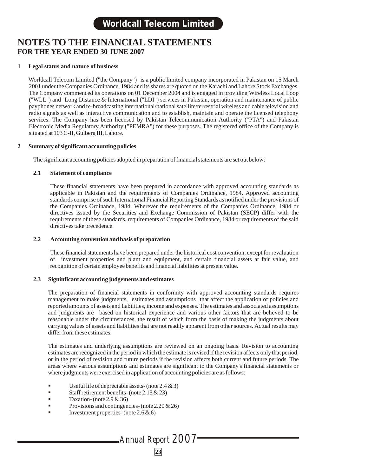## **NOTES TO THE FINANCIAL STATEMENTS FOR THE YEAR ENDED 30 JUNE 2007**

### **1 Legal status and nature of business**

Worldcall Telecom Limited ("the Company") is a public limited company incorporated in Pakistan on 15 March 2001 under the Companies Ordinance, 1984 and its shares are quoted on the Karachi and Lahore Stock Exchanges. The Company commenced its operations on 01 December 2004 and is engaged in providing Wireless Local Loop ("WLL") and Long Distance & International ("LDI") services in Pakistan, operation and maintenance of public payphones network and re-broadcasting international/national satellite/terrestrial wireless and cable television and radio signals as well as interactive communication and to establish, maintain and operate the licensed telephony services. The Company has been licensed by Pakistan Telecommunication Authority ("PTA") and Pakistan Electronic Media Regulatory Authority ("PEMRA") for these purposes. The registered office of the Company is situated at 103 C-II, Gulberg III, Lahore.

### **2 Summary of significant accounting policies**

The significant accounting policies adopted in preparation of financial statements are set out below:

### **2.1 Statement of compliance**

These financial statements have been prepared in accordance with approved accounting standards as applicable in Pakistan and the requirements of Companies Ordinance, 1984. Approved accounting standards comprise of such International Financial Reporting Standards as notified under the provisions of the Companies Ordinance, 1984. Wherever the requirements of the Companies Ordinance, 1984 or directives issued by the Securities and Exchange Commission of Pakistan (SECP) differ with the requirements of these standards, requirements of Companies Ordinance, 1984 or requirements of the said directives take precedence.

### **2.2 Accounting convention and basis of preparation**

These financial statements have been prepared under the historical cost convention, except for revaluation of investment properties and plant and equipment, and certain financial assets at fair value, and recognition of certain employee benefits and financial liabilities at present value.

### **2.3 Signinficant accounting judgements and estimates**

The preparation of financial statements in conformity with approved accounting standards requires management to make judgments, estimates and assumptions that affect the application of policies and reported amounts of assets and liabilities, income and expenses. The estimates and associated assumptions and judgments are based on historical experience and various other factors that are believed to be reasonable under the circumstances, the result of which form the basis of making the judgments about carrying values of assets and liabilities that are not readily apparent from other sources. Actual results may differ from these estimates.

The estimates and underlying assumptions are reviewed on an ongoing basis. Revision to accounting estimates are recognized in the period in which the estimate is revised if the revision affects only that period, or in the period of revision and future periods if the revision affects both current and future periods. The areas where various assumptions and estimates are significant to the Company's financial statements or where judgments were exercised in application of accounting policies are as follows:

- Useful life of depreciable assets- (note 2.4 & 3)
- Staff retirement benefits- (note  $2.15 \& 23$ )
- **•** Taxation- (note  $2.9 \& 36$ )
- Provisions and contingencies- (note 2.20 & 26)
- Investment properties- (note  $2.6 \& 6$ )

Annual Report 2007-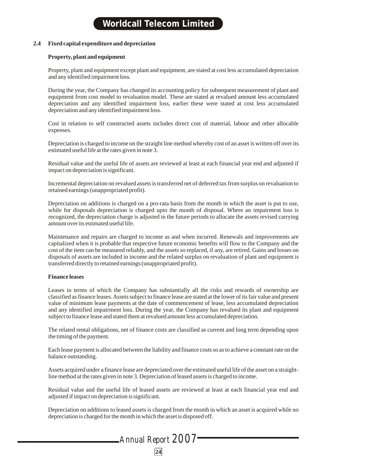### **2.4 Fixed capital expenditure and depreciation**

### **Property, plant and equipment**

Property, plant and equipment except plant and equipment, are stated at cost less accumulated depreciation and any identified impairment loss.

During the year, the Company has changed its accounting policy for subsequent measurement of plant and equipment from cost model to revaluation model. These are stated at revalued amount less accumulated depreciation and any identified impairment loss, earlier these were stated at cost less accumulated depreciation and any identified impairment loss.

Cost in relation to self constructed assets includes direct cost of material, labour and other allocable expenses.

Depreciation is charged to income on the straight line method whereby cost of an asset is written off over its estimated useful life at the rates given in note 3.

Residual value and the useful life of assets are reviewed at least at each financial year end and adjusted if impact on depreciation is significant.

Incremental depreciation on revalued assets is transferred net of deferred tax from surplus on revaluation to retained earnings (unappropriated profit).

Depreciation on additions is charged on a pro-rata basis from the month in which the asset is put to use, while for disposals depreciation is charged upto the month of disposal. Where an impairment loss is recognized, the depreciation charge is adjusted in the future periods to allocate the assets revised carrying amount over its estimated useful life.

Maintenance and repairs are charged to income as and when incurred. Renewals and improvements are capitalized when it is probable that respective future economic benefits will flow to the Company and the cost of the item can be measured reliably, and the assets so replaced, if any, are retired. Gains and losses on disposals of assets are included in income and the related surplus on revaluation of plant and equipment is transferred directly to retained earnings (unappropriated profit).

### **Finance leases**

Leases in terms of which the Company has substantially all the risks and rewards of ownership are classified as finance leases. Assets subject to finance lease are stated at the lower of its fair value and present value of minimum lease payments at the date of commencement of lease, less accumulated depreciation and any identified impairment loss. During the year, the Company has revalued its plant and equipment subject to finance lease and stated them at revalued amount less accumulated depreciation.

The related rental obligations, net of finance costs are classified as current and long term depending upon the timing of the payment.

Each lease payment is allocated between the liability and finance costs so as to achieve a constant rate on the balance outstanding.

Assets acquired under a finance lease are depreciated over the estimated useful life of the asset on a straightline method at the rates given in note 3. Depreciation of leased assets is charged to income.

Residual value and the useful life of leased assets are reviewed at least at each financial year end and adjusted if impact on depreciation is significant.

Depreciation on additions to leased assets is charged from the month in which an asset is acquired while no depreciation is charged for the month in which the asset is disposed off.

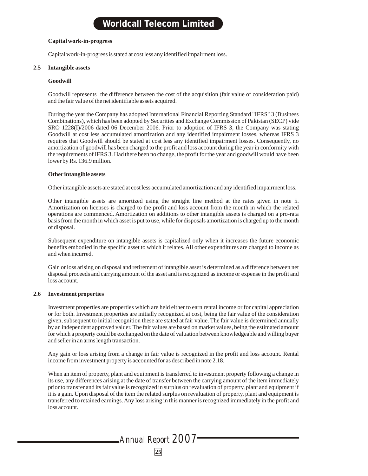### **Capital work-in-progress**

Capital work-in-progress is stated at cost less any identified impairment loss.

### **2.5 Intangible assets**

### **Goodwill**

Goodwill represents the difference between the cost of the acquisition (fair value of consideration paid) and the fair value of the net identifiable assets acquired.

During the year the Company has adopted International Financial Reporting Standard "IFRS" 3 (Business Combinations), which has been adopted by Securities and Exchange Commission of Pakistan (SECP) vide SRO 1228(I)/2006 dated 06 December 2006. Prior to adoption of IFRS 3, the Company was stating Goodwill at cost less accumulated amortization and any identified impairment losses, whereas IFRS 3 requires that Goodwill should be stated at cost less any identified impairment losses. Consequently, no amortization of goodwill has been charged to the profit and loss account during the year in conformity with the requirements of IFRS 3. Had there been no change, the profit for the year and goodwill would have been lower by Rs. 136.9 million.

### **Other intangible assets**

Other intangible assets are stated at cost less accumulated amortization and any identified impairment loss.

Other intangible assets are amortized using the straight line method at the rates given in note 5. Amortization on licenses is charged to the profit and loss account from the month in which the related operations are commenced. Amortization on additions to other intangible assets is charged on a pro-rata basis from the month in which asset is put to use, while for disposals amortization is charged up to the month of disposal.

Subsequent expenditure on intangible assets is capitalized only when it increases the future economic benefits embodied in the specific asset to which it relates. All other expenditures are charged to income as and when incurred.

Gain or loss arising on disposal and retirement of intangible asset is determined as a difference between net disposal proceeds and carrying amount of the asset and is recognized as income or expense in the profit and loss account.

### **2.6 Investment properties**

Investment properties are properties which are held either to earn rental income or for capital appreciation or for both. Investment properties are initially recognized at cost, being the fair value of the consideration given, subsequent to initial recognition these are stated at fair value. The fair value is determined annually by an independent approved valuer. The fair values are based on market values, being the estimated amount for which a property could be exchanged on the date of valuation between knowledgeable and willing buyer and seller in an arms length transaction.

Any gain or loss arising from a change in fair value is recognized in the profit and loss account. Rental income from investment property is accounted for as described in note 2.18.

When an item of property, plant and equipment is transferred to investment property following a change in its use, any differences arising at the date of transfer between the carrying amount of the item immediately prior to transfer and its fair value is recognized in surplus on revaluation of property, plant and equipment if it is a gain. Upon disposal of the item the related surplus on revaluation of property, plant and equipment is transferred to retained earnings. Any loss arising in this manner is recognized immediately in the profit and loss account.

**25**

.<br>Annual Report  $2007\text{-}$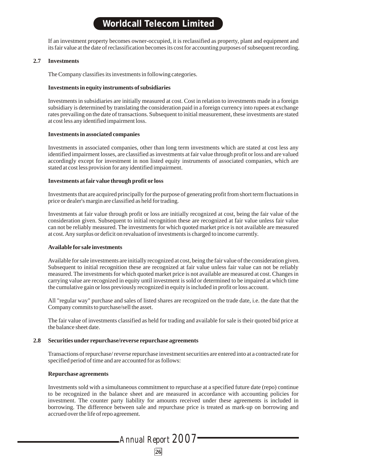If an investment property becomes owner-occupied, it is reclassified as property, plant and equipment and its fair value at the date of reclassification becomes its cost for accounting purposes of subsequent recording.

### **2.7 Investments**

The Company classifies its investments in following categories.

### **Investments in equity instruments of subsidiaries**

Investments in subsidiaries are initially measured at cost. Cost in relation to investments made in a foreign subsidiary is determined by translating the consideration paid in a foreign currency into rupees at exchange rates prevailing on the date of transactions. Subsequent to initial measurement, these investments are stated at cost less any identified impairment loss.

### **Investments in associated companies**

Investments in associated companies, other than long term investments which are stated at cost less any identified impairment losses, are classified as investments at fair value through profit or loss and are valued accordingly except for investment in non listed equity instruments of associated companies, which are stated at cost less provision for any identified impairment.

### **Investments at fair value through profit or loss**

Investments that are acquired principally for the purpose of generating profit from short term fluctuations in price or dealer's margin are classified as held for trading.

Investments at fair value through profit or loss are initially recognized at cost, being the fair value of the consideration given. Subsequent to initial recognition these are recognized at fair value unless fair value can not be reliably measured. The investments for which quoted market price is not available are measured at cost. Any surplus or deficit on revaluation of investments is charged to income currently.

### **Available for sale investments**

Available for sale investments are initially recognized at cost, being the fair value of the consideration given. Subsequent to initial recognition these are recognized at fair value unless fair value can not be reliably measured. The investments for which quoted market price is not available are measured at cost. Changes in carrying value are recognized in equity until investment is sold or determined to be impaired at which time the cumulative gain or loss previously recognized in equity is included in profit or loss account.

All "regular way" purchase and sales of listed shares are recognized on the trade date, i.e. the date that the Company commits to purchase/sell the asset.

The fair value of investments classified as held for trading and available for sale is their quoted bid price at the balance sheet date.

### **2.8 Securities under repurchase/reverse repurchase agreements**

Transactions of repurchase/ reverse repurchase investment securities are entered into at a contracted rate for specified period of time and are accounted for as follows:

### **Repurchase agreements**

Investments sold with a simultaneous commitment to repurchase at a specified future date (repo) continue to be recognized in the balance sheet and are measured in accordance with accounting policies for investment. The counter party liability for amounts received under these agreements is included in borrowing. The difference between sale and repurchase price is treated as mark-up on borrowing and accrued over the life of repo agreement.

# Annual Report  $2007$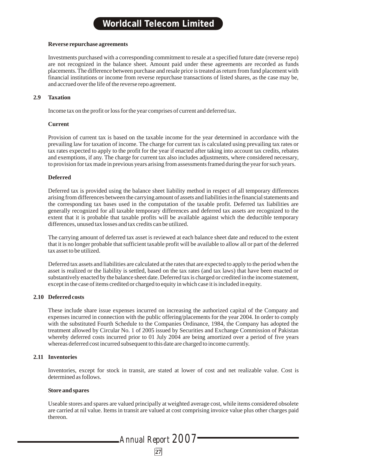### **Reverse repurchase agreements**

Investments purchased with a corresponding commitment to resale at a specified future date (reverse repo) are not recognized in the balance sheet. Amount paid under these agreements are recorded as funds placements. The difference between purchase and resale price is treated as return from fund placement with financial institutions or income from reverse repurchase transactions of listed shares, as the case may be, and accrued over the life of the reverse repo agreement.

### **2.9 Taxation**

Income tax on the profit or loss for the year comprises of current and deferred tax.

### **Current**

Provision of current tax is based on the taxable income for the year determined in accordance with the prevailing law for taxation of income. The charge for current tax is calculated using prevailing tax rates or tax rates expected to apply to the profit for the year if enacted after taking into account tax credits, rebates and exemptions, if any. The charge for current tax also includes adjustments, where considered necessary, to provision for tax made in previous years arising from assessments framed during the year for such years.

### **Deferred**

Deferred tax is provided using the balance sheet liability method in respect of all temporary differences arising from differences between the carrying amount of assets and liabilities in the financial statements and the corresponding tax bases used in the computation of the taxable profit. Deferred tax liabilities are generally recognized for all taxable temporary differences and deferred tax assets are recognized to the extent that it is probable that taxable profits will be available against which the deductible temporary differences, unused tax losses and tax credits can be utilized.

The carrying amount of deferred tax asset is reviewed at each balance sheet date and reduced to the extent that it is no longer probable that sufficient taxable profit will be available to allow all or part of the deferred tax asset to be utilized.

Deferred tax assets and liabilities are calculated at the rates that are expected to apply to the period when the asset is realized or the liability is settled, based on the tax rates (and tax laws) that have been enacted or substantively enacted by the balance sheet date. Deferred tax is charged or credited in the income statement, except in the case of items credited or charged to equity in which case it is included in equity.

### **2.10 Deferred costs**

These include share issue expenses incurred on increasing the authorized capital of the Company and expenses incurred in connection with the public offering/placements for the year 2004. In order to comply with the substituted Fourth Schedule to the Companies Ordinance, 1984, the Company has adopted the treatment allowed by Circular No. 1 of 2005 issued by Securities and Exchange Commission of Pakistan whereby deferred costs incurred prior to 01 July 2004 are being amortized over a period of five years whereas deferred cost incurred subsequent to this date are charged to income currently.

### **2.11 Inventories**

Inventories, except for stock in transit, are stated at lower of cost and net realizable value. Cost is determined as follows.

### **Store and spares**

Useable stores and spares are valued principally at weighted average cost, while items considered obsolete are carried at nil value. Items in transit are valued at cost comprising invoice value plus other charges paid thereon.

Annual Report 2007-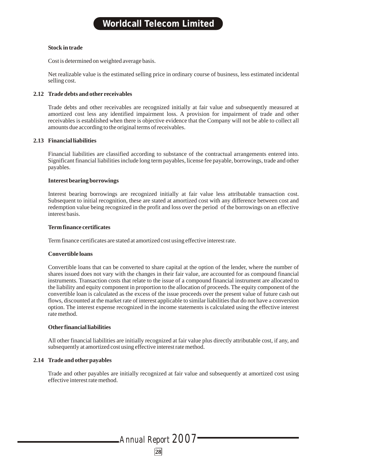### **Stock in trade**

Cost is determined on weighted average basis.

Net realizable value is the estimated selling price in ordinary course of business, less estimated incidental selling cost.

### **2.12 Trade debts and other receivables**

Trade debts and other receivables are recognized initially at fair value and subsequently measured at amortized cost less any identified impairment loss. A provision for impairment of trade and other receivables is established when there is objective evidence that the Company will not be able to collect all amounts due according to the original terms of receivables.

### **2.13 Financial liabilities**

Financial liabilities are classified according to substance of the contractual arrangements entered into. Significant financial liabilities include long term payables, license fee payable, borrowings, trade and other payables.

### **Interest bearing borrowings**

Interest bearing borrowings are recognized initially at fair value less attributable transaction cost. Subsequent to initial recognition, these are stated at amortized cost with any difference between cost and redemption value being recognized in the profit and loss over the period of the borrowings on an effective interest basis.

### **Term finance certificates**

Term finance certificates are stated at amortized cost using effective interest rate.

### **Convertible loans**

Convertible loans that can be converted to share capital at the option of the lender, where the number of shares issued does not vary with the changes in their fair value, are accounted for as compound financial instruments. Transaction costs that relate to the issue of a compound financial instrument are allocated to the liability and equity component in proportion to the allocation of proceeds. The equity component of the convertible loan is calculated as the excess of the issue proceeds over the present value of future cash out flows, discounted at the market rate of interest applicable to similar liabilities that do not have a conversion option. The interest expense recognized in the income statements is calculated using the effective interest rate method.

### **Other financial liabilities**

All other financial liabilities are initially recognized at fair value plus directly attributable cost, if any, and subsequently at amortized cost using effective interest rate method.

### **2.14 Trade and other payables**

Trade and other payables are initially recognized at fair value and subsequently at amortized cost using effective interest rate method.

Annual Report 2007-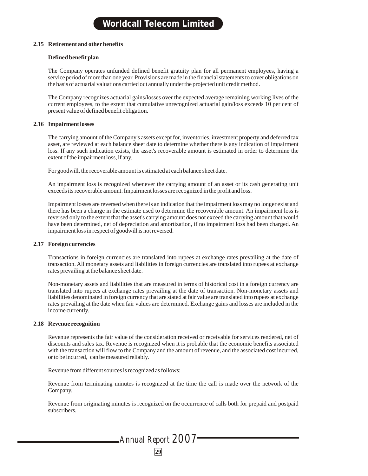### **2.15 Retirement and other benefits**

### **Defined benefit plan**

The Company operates unfunded defined benefit gratuity plan for all permanent employees, having a service period of more than one year. Provisions are made in the financial statements to cover obligations on the basis of actuarial valuations carried out annually under the projected unit credit method.

The Company recognizes actuarial gains/losses over the expected average remaining working lives of the current employees, to the extent that cumulative unrecognized actuarial gain/loss exceeds 10 per cent of present value of defined benefit obligation.

### **2.16 Impairment losses**

The carrying amount of the Company's assets except for, inventories, investment property and deferred tax asset, are reviewed at each balance sheet date to determine whether there is any indication of impairment loss. If any such indication exists, the asset's recoverable amount is estimated in order to determine the extent of the impairment loss, if any.

For goodwill, the recoverable amount is estimated at each balance sheet date.

An impairment loss is recognized whenever the carrying amount of an asset or its cash generating unit exceeds its recoverable amount. Impairment losses are recognized in the profit and loss.

Impairment losses are reversed when there is an indication that the impairment loss may no longer exist and there has been a change in the estimate used to determine the recoverable amount. An impairment loss is reversed only to the extent that the asset's carrying amount does not exceed the carrying amount that would have been determined, net of depreciation and amortization, if no impairment loss had been charged. An impairment loss in respect of goodwill is not reversed.

### **2.17 Foreign currencies**

Transactions in foreign currencies are translated into rupees at exchange rates prevailing at the date of transaction. All monetary assets and liabilities in foreign currencies are translated into rupees at exchange rates prevailing at the balance sheet date.

Non-monetary assets and liabilities that are measured in terms of historical cost in a foreign currency are translated into rupees at exchange rates prevailing at the date of transaction. Non-monetary assets and liabilities denominated in foreign currency that are stated at fair value are translated into rupees at exchange rates prevailing at the date when fair values are determined. Exchange gains and losses are included in the income currently.

### **2.18 Revenue recognition**

Revenue represents the fair value of the consideration received or receivable for services rendered, net of discounts and sales tax. Revenue is recognized when it is probable that the economic benefits associated with the transaction will flow to the Company and the amount of revenue, and the associated cost incurred, or to be incurred, can be measured reliably.

Revenue from different sources is recognized as follows:

Revenue from terminating minutes is recognized at the time the call is made over the network of the Company.

Revenue from originating minutes is recognized on the occurrence of calls both for prepaid and postpaid subscribers.

Annual Report  $2007$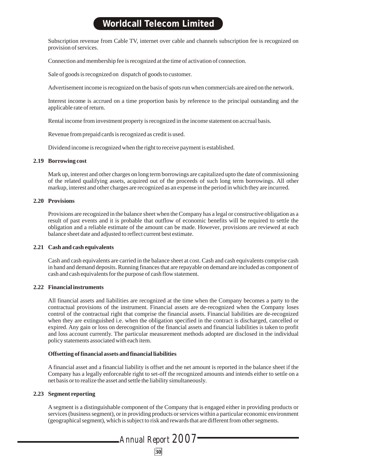Subscription revenue from Cable TV, internet over cable and channels subscription fee is recognized on provision of services.

Connection and membership fee is recognized at the time of activation of connection.

Sale of goods is recognized on dispatch of goods to customer.

Advertisement income is recognized on the basis of spots run when commercials are aired on the network.

Interest income is accrued on a time proportion basis by reference to the principal outstanding and the applicable rate of return.

Rental income from investment property is recognized in the income statement on accrual basis.

Revenue from prepaid cards is recognized as credit is used.

Dividend income is recognized when the right to receive payment is established.

### **2.19 Borrowing cost**

Mark up, interest and other charges on long term borrowings are capitalized upto the date of commissioning of the related qualifying assets, acquired out of the proceeds of such long term borrowings. All other markup, interest and other charges are recognized as an expense in the period in which they are incurred.

### **2.20 Provisions**

Provisions are recognized in the balance sheet when the Company has a legal or constructive obligation as a result of past events and it is probable that outflow of economic benefits will be required to settle the obligation and a reliable estimate of the amount can be made. However, provisions are reviewed at each balance sheet date and adjusted to reflect current best estimate.

### **2.21 Cash and cash equivalents**

Cash and cash equivalents are carried in the balance sheet at cost. Cash and cash equivalents comprise cash in hand and demand deposits. Running finances that are repayable on demand are included as component of cash and cash equivalents for the purpose of cash flow statement.

### **2.22 Financial instruments**

All financial assets and liabilities are recognized at the time when the Company becomes a party to the contractual provisions of the instrument. Financial assets are de-recognized when the Company loses control of the contractual right that comprise the financial assets. Financial liabilities are de-recognized when they are extinguished i.e. when the obligation specified in the contract is discharged, cancelled or expired. Any gain or loss on derecognition of the financial assets and financial liabilities is taken to profit and loss account currently. The particular measurement methods adopted are disclosed in the individual policy statements associated with each item.

### **Offsetting of financial assets and financial liabilities**

A financial asset and a financial liability is offset and the net amount is reported in the balance sheet if the Company has a legally enforceable right to set-off the recognized amounts and intends either to settle on a net basis or to realize the asset and settle the liability simultaneously.

### **2.23 Segment reporting**

A segment is a distinguishable component of the Company that is engaged either in providing products or services (business segment), or in providing products or services within a particular economic environment (geographical segment), which is subject to risk and rewards that are different from other segments.

Annual Report 2007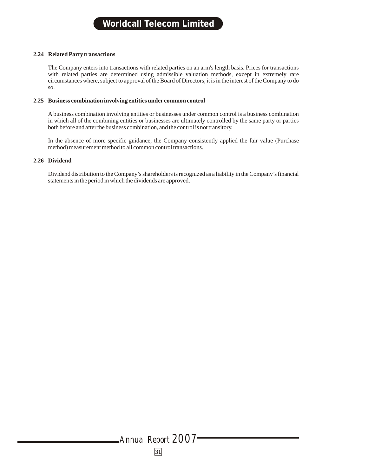### **2.24 Related Party transactions**

The Company enters into transactions with related parties on an arm's length basis. Prices for transactions with related parties are determined using admissible valuation methods, except in extremely rare circumstances where, subject to approval of the Board of Directors, it is in the interest of the Company to do so.

### **2.25 Business combination involving entities under common control**

A business combination involving entities or businesses under common control is a business combination in which all of the combining entities or businesses are ultimately controlled by the same party or parties both before and after the business combination, and the control is not transitory.

In the absence of more specific guidance, the Company consistently applied the fair value (Purchase method) measurement method to all common control transactions.

### **2.26 Dividend**

Dividend distribution to the Company's shareholders is recognized as a liability in the Company's financial statements in the period in which the dividends are approved.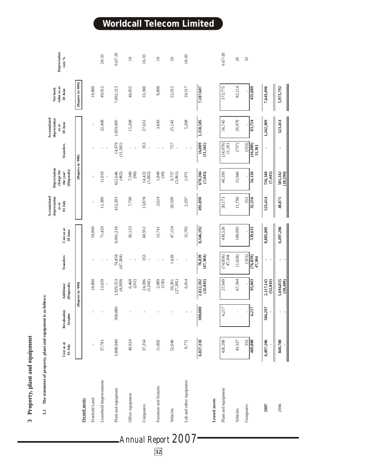|             |                         |                       |                        |                           |                                    |                       | Accumulated<br>depreciation<br>as at | Depreciation<br>charge for |                              | Accumulated<br>depreciation<br>as at | value as at<br>Net book | Depreciation |
|-------------|-------------------------|-----------------------|------------------------|---------------------------|------------------------------------|-----------------------|--------------------------------------|----------------------------|------------------------------|--------------------------------------|-------------------------|--------------|
|             |                         | Cost as at<br>01 July | Revaluation<br>Surplus | (Disposals)<br>Additions/ | <b>Transfers</b>                   | Cost as at<br>30 June | 01 July                              | (Disposals)<br>the year/   | Transfers                    | $30\,{\rm Junc}$                     | 30 June                 | rate %       |
|             |                         |                       |                        | (Rupees in '000)          |                                    |                       |                                      | (Rupes in '000)            |                              |                                      | (Rupees in '000)        |              |
|             | Owned assets            |                       |                        |                           |                                    |                       |                                      |                            |                              |                                      |                         |              |
|             | Freehold Land           |                       |                        | 19,800                    |                                    | 19,800                |                                      |                            |                              |                                      | 19,800                  |              |
|             | Leasehold improvements  | 57,781                |                        | 13,639                    |                                    | 71,420                | 11,389                               | 11,019                     |                              | 22,408                               | 49,012                  | $20 - 33$    |
|             | Plant and equipment     | 5,808,040             | 300,080                | 1,929,553<br>(4,009)      | 74,858<br>(47,304)                 | 8,061,218             | 433,203                              | 622,646<br>(462)           | $14,979$<br>(11,361)         | 1,059,005                            | 7,002,213               | $6.67 - 20$  |
|             | Office equipment        | 49,924                |                        | 6,460<br>(261)            |                                    | 56,123                | 7,798                                | 7,560<br>(90)              |                              | 15,268                               | 40,855                  | $\supseteq$  |
| nual Donort | Computers               | 37,354                |                        | 24,286<br>(1,042)         | 353                                | 60,951                | 13,878                               | (1,002)<br>14,422          | 353                          | 27,651                               | 33,300                  | $10 - 33$    |
|             | Furniture and fixtures  | 11,802                |                        | 2,089<br>(150)            |                                    | 13,741                | 2,024                                | 1,849<br>(30)              |                              | 3,843                                | 9,898                   | $\approx$    |
| 0           | Vehicles                | 52,646                |                        | (27, 381)<br>20,261       | 1,628<br>$\blacksquare$            | 47,154                | 20,509                               | (5,861)<br>9,737           | 757                          | 25,142                               | 22,012                  | $20\,$       |
|             | Lab and other equipment | 9,771                 |                        | 6,014                     |                                    | 15,785                | 2,297                                | 2,971                      |                              | 5,268                                | 10,517                  | $10 - 20$    |
|             |                         | 6,027,318             | 300,080                | 2,022,102<br>(32,843)     | $76,839$<br>(47,304)               | 8,346,192             | 491,098                              | 670,204<br>(7,445)         | 16,089<br>(11,361)           | 1,158,585                            | 7,187,607               |              |
|             | Leased assets           |                       |                        |                           |                                    |                       |                                      |                            |                              |                                      |                         |              |
|             | Plant and equipment     | 426,208               | 4,217                  | 27,649                    | $(74, 858)$<br>$47, 304$           | 430,520               | 20,173                               | 40,190                     | (14,979)<br>11,361           | 56,745                               | 373,775                 | $6.67 - 20$  |
|             | Vehicles                | 43,327                |                        | 67,394                    | (1,628)                            | 109,093               | 11,790                               | 15,946                     | (757)                        | 26,979                               | 82,114                  | 20           |
|             | Computers               | 353<br>469,888        | 4,217                  | 95,043                    | (353)<br>$\frac{(76,839)}{47,304}$ | 539,613               | 353<br>32,316                        | 56,136                     | (353)<br>(16, 089)<br>11,361 | 83,724                               | 455,889                 | 33           |
|             | <b>2007</b>             | 6,497,206             | 304,297                | 2,117,145<br>(32,843)     | ı<br>$\blacksquare$                | 8,885,805             | 523,414                              | 726,340<br>(7,445)         | ı                            | 1,242,309                            | 7,643,496               |              |
|             | 2006                    | 840,780               |                        | 5,694,835                 |                                    | 6,497,206             | 40,871                               | 501,142                    |                              | 523,414                              | 5,973,792               |              |

**- (38,409) - (18,599)**

 $(38,409)$ 

 $(18,599)$ 

3.1 The statement of property, plant and equipment is as follows: **3.1 The statement of property, plant and equipment is as follows:**

3 Property, plant and equipment **Property, plant and equipment**

> **32**  $\blacksquare$ Annual Report  $2007$

**Worldcall Telecom Limited**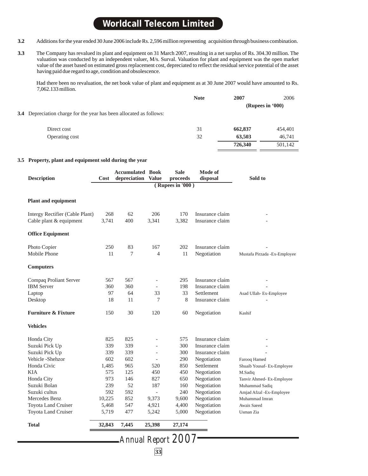- **3.2** Additions for the year ended 30 June 2006 include Rs. 2,596 million representing acquisition through business combination.
- **3.3** The Company has revalued its plant and equipment on 31 March 2007, resulting in a net surplus of Rs. 304.30 million. The valuation was conducted by an independent valuer, M/s. Surval. Valuation for plant and equipment was the open market value of the asset based on estimated gross replacement cost, depreciated to reflect the residual service potential of the asset having paid due regard to age, condition and obsolescence.

Had there been no revaluation, the net book value of plant and equipment as at 30 June 2007 would have amounted to Rs. 7,062.133 million.

|                                                                     | <b>Note</b> | 2007    | 2006             |
|---------------------------------------------------------------------|-------------|---------|------------------|
|                                                                     |             |         | (Rupees in '000) |
| 3.4 Depreciation charge for the year has been allocated as follows: |             |         |                  |
| Direct cost                                                         | 31          | 662,837 | 454,401          |
| Operating cost                                                      | 32          | 63,503  | 46,741           |
|                                                                     |             | 726,340 | 501,142          |
|                                                                     |             |         |                  |

### **3.5 Property, plant and equipment sold during the year**

| <b>Description</b>              | Cost             | <b>Accumulated Book</b><br>depreciation | <b>Value</b>             | <b>Sale</b><br>proceeds | Mode of<br>disposal | Sold to                       |
|---------------------------------|------------------|-----------------------------------------|--------------------------|-------------------------|---------------------|-------------------------------|
|                                 | (Rupees in '000) |                                         |                          |                         |                     |                               |
| <b>Plant and equipment</b>      |                  |                                         |                          |                         |                     |                               |
| Intergy Rectifier (Cable Plant) | 268              | 62                                      | 206                      | 170                     | Insurance claim     |                               |
| Cable plant & equipment         | 3,741            | 400                                     | 3,341                    | 3,382                   | Insurance claim     |                               |
| <b>Office Equipment</b>         |                  |                                         |                          |                         |                     |                               |
| Photo Copier                    | 250              | 83                                      | 167                      | 202                     | Insurance claim     |                               |
| Mobile Phone                    | 11               | 7                                       | $\overline{\mathcal{A}}$ | 11                      | Negotiation         | Mustafa Pirzada - Ex-Employee |
| <b>Computers</b>                |                  |                                         |                          |                         |                     |                               |
| Compaq Proliant Server          | 567              | 567                                     | $\overline{a}$           | 295                     | Insurance claim     |                               |
| <b>IBM</b> Server               | 360              | 360                                     |                          | 198                     | Insurance claim     |                               |
| Laptop                          | 97               | 64                                      | 33                       | 33                      | Settlement          | Asad Ullah-Ex-Employee        |
| Desktop                         | 18               | 11                                      | 7                        | 8                       | Insurance claim     |                               |
| <b>Furniture &amp; Fixture</b>  | 150              | 30                                      | 120                      | 60                      | Negotiation         | Kashif                        |
| <b>Vehicles</b>                 |                  |                                         |                          |                         |                     |                               |
| Honda City                      | 825              | 825                                     |                          | 575                     | Insurance claim     |                               |
| Suzuki Pick Up                  | 339              | 339                                     |                          | 300                     | Insurance claim     |                               |
| Suzuki Pick Up                  | 339              | 339                                     | $\overline{a}$           | 300                     | Insurance claim     |                               |
| Vehicle -Shehzor                | 602              | 602                                     |                          | 290                     | Negotiation         | Farooq Hamed                  |
| Honda Civic                     | 1,485            | 965                                     | 520                      | 850                     | Settlement          | Shuaib Yousaf- Ex-Employee    |
| <b>KIA</b>                      | 575              | 125                                     | 450                      | 450                     | Negotiation         | M.Sadiq                       |
| Honda City                      | 973              | 146                                     | 827                      | 650                     | Negotiation         | Tanvir Ahmed- Ex-Employee     |
| Suzuki Bolan                    | 239              | 52                                      | 187                      | 160                     | Negotiation         | Muhammad Sadiq                |
| Suzuki cultus                   | 592              | 592                                     | $\overline{\phantom{a}}$ | 240                     | Negotiation         | Amjad Afzal -Ex-Employee      |
| Mercedes Benz                   | 10,225           | 852                                     | 9,373                    | 9,600                   | Negotiation         | Muhammad Imran                |
| Toyota Land Cruiser             | 5,468            | 547                                     | 4,921                    | 4,400                   | Negotiation         | Awais Saeed                   |
| Toyota Land Cruiser             | 5,719            | 477                                     | 5,242                    | 5,000                   | Negotiation         | Usman Zia                     |
| <b>Total</b>                    | 32,843           | 7,445                                   | 25,398                   | 27,174                  |                     |                               |
|                                 |                  |                                         |                          | Annual Report 2007      |                     |                               |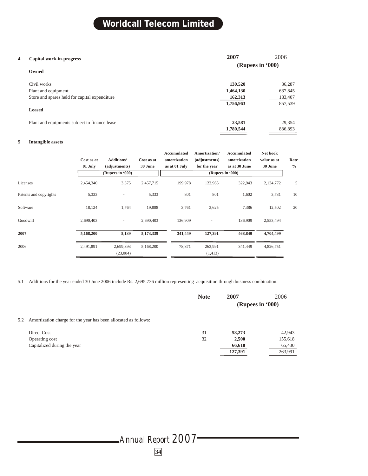### **4 Capital work-in-progress**

# **2007** 2006

**(Rupees in '000)**

| Owned                                         |           |         |
|-----------------------------------------------|-----------|---------|
| Civil works                                   | 130,520   | 36,287  |
| Plant and equipment                           | 1,464,130 | 637,845 |
| Store and spares held for capital expenditure | 162,313   | 183,407 |
|                                               | 1,756,963 | 857,539 |
| <b>Leased</b>                                 |           |         |
| Plant and equipments subject to finance lease | 23,581    | 29,354  |
|                                               | 1,780,544 | 886,893 |
|                                               |           |         |

### **5 Intangible assets**

|                        | Cost as at<br>01 July | <b>Additions/</b><br>(adjustments) | Cost as at<br>30 June | <b>Accumulated</b><br>amortization<br>as at 01 July | Amortization/<br>(adjustments)<br>for the year | <b>Accumulated</b><br>amortization<br>as at 30 June | Net book<br>value as at<br>30 June | Rate<br>$\frac{0}{0}$ |
|------------------------|-----------------------|------------------------------------|-----------------------|-----------------------------------------------------|------------------------------------------------|-----------------------------------------------------|------------------------------------|-----------------------|
|                        |                       | (Rupees in '000)                   |                       |                                                     |                                                | (Rupees in '000)                                    |                                    |                       |
| Licenses               | 2,454,340             | 3,375                              | 2,457,715             | 199,978                                             | 122,965                                        | 322,943                                             | 2,134,772                          | 5                     |
| Patents and copyrights | 5,333                 | $\overline{\phantom{a}}$           | 5,333                 | 801                                                 | 801                                            | 1,602                                               | 3,731                              | 10                    |
| Software               | 18,124                | 1,764                              | 19,888                | 3,761                                               | 3,625                                          | 7,386                                               | 12,502                             | 20                    |
| Goodwill               | 2,690,403             |                                    | 2,690,403             | 136,909                                             |                                                | 136,909                                             | 2,553,494                          |                       |
| 2007                   | 5,168,200             | 5,139                              | 5,173,339             | 341,449                                             | 127,391                                        | 468,840                                             | 4,704,499                          |                       |
| 2006                   | 2,491,891             | 2,699,393                          | 5,168,200             | 78,871                                              | 263,991                                        | 341,449                                             | 4,826,751                          |                       |
|                        |                       | (23,084)                           |                       |                                                     | (1, 413)                                       |                                                     |                                    |                       |

5.1 Additions for the year ended 30 June 2006 include Rs. 2,695.736 million representing acquisition through business combination.

|     |                                                                 | <b>Note</b> | 2007    | 2006             |
|-----|-----------------------------------------------------------------|-------------|---------|------------------|
|     |                                                                 |             |         | (Rupees in '000) |
| 5.2 | Amortization charge for the year has been allocated as follows: |             |         |                  |
|     | Direct Cost                                                     | 31          | 58,273  | 42,943           |
|     | Operating cost                                                  | 32          | 2,500   | 155,618          |
|     | Capitalized during the year                                     |             | 66,618  | 65,430           |
|     |                                                                 |             | 127.391 | 263,991          |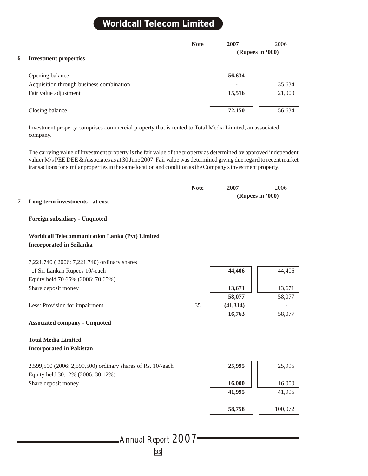|   |                                          | <b>Note</b> | 2007             | 2006   |  |
|---|------------------------------------------|-------------|------------------|--------|--|
| 6 | <b>Investment properties</b>             |             | (Rupees in '000) |        |  |
|   | Opening balance                          |             | 56,634           |        |  |
|   | Acquisition through business combination |             | ۰                | 35,634 |  |
|   | Fair value adjustment                    |             | 15,516           | 21,000 |  |
|   | Closing balance                          |             | 72,150           | 56,634 |  |
|   |                                          |             |                  |        |  |

Investment property comprises commercial property that is rented to Total Media Limited, an associated company.

The carrying value of investment property is the fair value of the property as determined by approved independent valuer M/s PEE DEE & Associates as at 30 June 2007. Fair value was determined giving due regard to recent market transactions for similar properties in the same location and condition as the Company's investment property.

|   |                                                                                                  | <b>Note</b> | 2007             | 2006   |
|---|--------------------------------------------------------------------------------------------------|-------------|------------------|--------|
| 7 | Long term investments - at cost                                                                  |             | (Rupees in '000) |        |
|   | Foreign subsidiary - Unquoted                                                                    |             |                  |        |
|   | Worldcall Telecommunication Lanka (Pvt) Limited<br><b>Incorporated in Srilanka</b>               |             |                  |        |
|   | 7,221,740 (2006: 7,221,740) ordinary shares                                                      |             |                  |        |
|   | of Sri Lankan Rupees 10/-each<br>Equity held 70.65% (2006: 70.65%)                               |             | 44,406           | 44,406 |
|   | Share deposit money                                                                              |             | 13,671           | 13,671 |
|   |                                                                                                  |             | 58,077           | 58,077 |
|   | Less: Provision for impairment                                                                   | 35          | (41, 314)        |        |
|   | <b>Associated company - Unquoted</b>                                                             |             | 16,763           | 58,077 |
|   | <b>Total Media Limited</b>                                                                       |             |                  |        |
|   | <b>Incorporated in Pakistan</b>                                                                  |             |                  |        |
|   | 2,599,500 (2006: 2,599,500) ordinary shares of Rs. 10/-each<br>Equity held 30.12% (2006: 30.12%) |             | 25,995           | 25,995 |
|   | Share deposit money                                                                              |             | 16,000           | 16,000 |
|   |                                                                                                  |             | 41,995           | 41,995 |
|   |                                                                                                  |             |                  |        |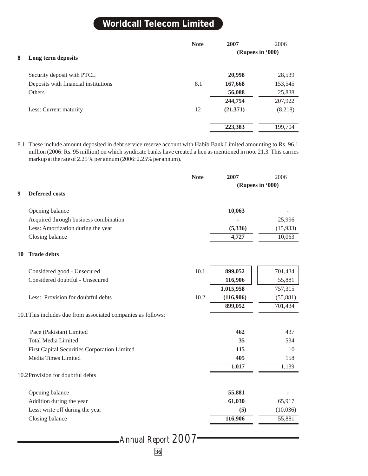| 8<br>Long term deposits              | <b>Note</b> | 2007<br>(Rupees in '000) | 2006    |
|--------------------------------------|-------------|--------------------------|---------|
| Security deposit with PTCL           |             | 20,998                   | 28,539  |
| Deposits with financial institutions | 8.1         | 167,668                  | 153,545 |
| <b>Others</b>                        |             | 56,088                   | 25,838  |
|                                      |             | 244,754                  | 207,922 |
| Less: Current maturity               | 12          | (21,371)                 | (8,218) |
|                                      |             | 223,383                  | 199,704 |

8.1 These include amount deposited in debt service reserve account with Habib Bank Limited amounting to Rs. 96.1 million (2006: Rs. 95 million) on which syndicate banks have created a lien as mentioned in note 21.3. This carries markup at the rate of 2.25 % per annum (2006: 2.25% per annum).

|    |                                                              | <b>Note</b> | 2007             | 2006      |  |
|----|--------------------------------------------------------------|-------------|------------------|-----------|--|
|    |                                                              |             | (Rupees in '000) |           |  |
| 9  | <b>Deferred costs</b>                                        |             |                  |           |  |
|    | Opening balance                                              |             | 10,063           |           |  |
|    | Acquired through business combination                        |             |                  | 25,996    |  |
|    | Less: Amortization during the year                           |             | (5, 336)         | (15, 933) |  |
|    | Closing balance                                              |             | 4,727            | 10,063    |  |
| 10 | <b>Trade debts</b>                                           |             |                  |           |  |
|    | Considered good - Unsecured                                  | 10.1        | 899,052          | 701,434   |  |
|    | Considered doubtful - Unsecured                              |             | 116,906          | 55,881    |  |
|    |                                                              |             | 1,015,958        | 757,315   |  |
|    | Less: Provision for doubtful debts                           | 10.2        | (116,906)        | (55,881)  |  |
|    |                                                              |             | 899,052          | 701,434   |  |
|    | 10.1 This includes due from associated companies as follows: |             |                  |           |  |
|    | Pace (Pakistan) Limited                                      |             | 462              | 437       |  |
|    | <b>Total Media Limited</b>                                   |             | 35               | 534       |  |
|    | First Capital Securities Corporation Limited                 |             | 115              | 10        |  |
|    | Media Times Limited                                          |             | 405              | 158       |  |
|    |                                                              |             | 1,017            | 1,139     |  |
|    | 10.2 Provision for doubtful debts                            |             |                  |           |  |
|    | Opening balance                                              |             | 55,881           |           |  |
|    | Addition during the year                                     |             | 61,030           | 65,917    |  |
|    | Less: write off during the year                              |             | (5)              | (10,036)  |  |
|    | Closing balance                                              |             | 116,906          | 55,881    |  |
|    |                                                              |             |                  |           |  |

Annual Report 2007–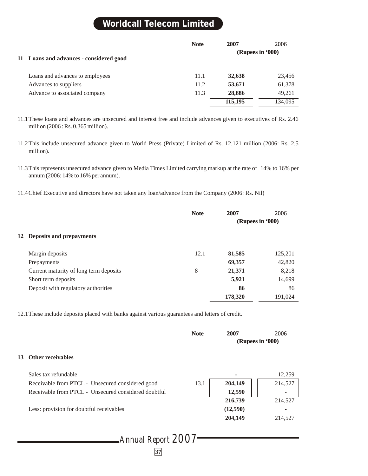|                                         | <b>Note</b> | 2007    | 2006             |  |  |  |
|-----------------------------------------|-------------|---------|------------------|--|--|--|
| 11 Loans and advances - considered good |             |         | (Rupees in '000) |  |  |  |
| Loans and advances to employees         | 11.1        | 32,638  | 23,456           |  |  |  |
| Advances to suppliers                   | 11.2        | 53,671  | 61,378           |  |  |  |
| Advance to associated company           | 11.3        | 28,886  | 49,261           |  |  |  |
|                                         |             | 115,195 | 134,095          |  |  |  |

11.1These loans and advances are unsecured and interest free and include advances given to executives of Rs. 2.46 million (2006 : Rs. 0.365 million).

11.2This include unsecured advance given to World Press (Private) Limited of Rs. 12.121 million (2006: Rs. 2.5 million).

11.3This represents unsecured advance given to Media Times Limited carrying markup at the rate of 14% to 16% per annum (2006: 14% to 16% per annum).

11.4Chief Executive and directors have not taken any loan/advance from the Company (2006: Rs. Nil)

|    |                                        | <b>Note</b> | 2007             | 2006    |
|----|----------------------------------------|-------------|------------------|---------|
|    |                                        |             | (Rupees in '000) |         |
| 12 | Deposits and prepayments               |             |                  |         |
|    | Margin deposits                        | 12.1        | 81,585           | 125,201 |
|    | Prepayments                            |             | 69,357           | 42,820  |
|    | Current maturity of long term deposits | 8           | 21,371           | 8,218   |
|    | Short term deposits                    |             | 5,921            | 14,699  |
|    | Deposit with regulatory authorities    |             | 86               | 86      |
|    |                                        |             | 178,320          | 191,024 |

12.1These include deposits placed with banks against various guarantees and letters of credit.

|                                                      |      | 2007<br>2006<br>(Rupees in '000) |         |
|------------------------------------------------------|------|----------------------------------|---------|
| 13 Other receivables                                 |      |                                  |         |
| Sales tax refundable                                 |      |                                  | 12,259  |
| Receivable from PTCL - Unsecured considered good     | 13.1 | 204,149                          | 214,527 |
| Receivable from PTCL - Unsecured considered doubtful |      | 12,590                           |         |
|                                                      |      | 216,739                          | 214,527 |
| Less: provision for doubtful receivables             |      | (12,590)                         |         |
|                                                      |      | 204,149                          | 214,527 |

Annual Report  $2007$   $-$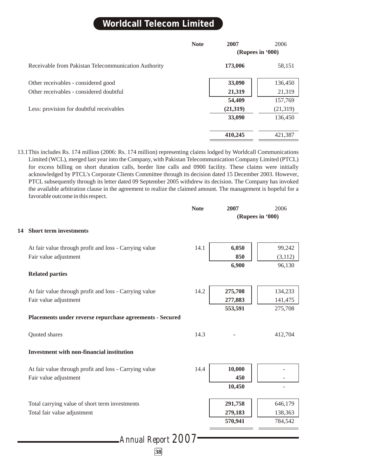|                                                      | <b>Note</b> | 2007<br>2006<br>(Rupees in '000) |          |
|------------------------------------------------------|-------------|----------------------------------|----------|
| Receivable from Pakistan Telecommunication Authority |             | 173,006                          | 58,151   |
| Other receivables - considered good                  |             | 33,090                           | 136,450  |
| Other receivables - considered doubtful              |             | 21,319                           | 21,319   |
|                                                      |             | 54,409                           | 157,769  |
| Less: provision for doubtful receivables             |             | (21,319)                         | (21,319) |
|                                                      |             | 33,090                           | 136,450  |
|                                                      |             | 410,245                          | 421,387  |

13.1This includes Rs. 174 million (2006: Rs. 174 million) representing claims lodged by Worldcall Communications Limited (WCL), merged last year into the Company, with Pakistan Telecommunication Company Limited (PTCL) for excess billing on short duration calls, border line calls and 0900 facility. These claims were initially acknowledged by PTCL's Corporate Clients Committee through its decision dated 15 December 2003. However, PTCL subsequently through its letter dated 09 September 2005 withdrew its decision. The Company has invoked the available arbitration clause in the agreement to realize the claimed amount. The management is hopeful for a favorable outcome in this respect.

|    |                                                          | <b>Note</b> | 2007             | 2006     |
|----|----------------------------------------------------------|-------------|------------------|----------|
|    |                                                          |             | (Rupees in '000) |          |
| 14 | <b>Short term investments</b>                            |             |                  |          |
|    | At fair value through profit and loss - Carrying value   | 14.1        | 6,050            | 99,242   |
|    | Fair value adjustment                                    |             | 850              | (3, 112) |
|    |                                                          |             | 6,900            | 96,130   |
|    | <b>Related parties</b>                                   |             |                  |          |
|    | At fair value through profit and loss - Carrying value   | 14.2        | 275,708          | 134,233  |
|    | Fair value adjustment                                    |             | 277,883          | 141,475  |
|    |                                                          |             | 553,591          | 275,708  |
|    | Placements under reverse repurchase agreements - Secured |             |                  |          |
|    | Quoted shares                                            | 14.3        |                  | 412,704  |
|    | <b>Investment with non-financial institution</b>         |             |                  |          |
|    | At fair value through profit and loss - Carrying value   | 14.4        | 10,000           |          |
|    | Fair value adjustment                                    |             | 450              |          |
|    |                                                          |             | 10,450           |          |
|    | Total carrying value of short term investments           |             | 291,758          | 646,179  |
|    | Total fair value adjustment                              |             | 279,183          | 138,363  |
|    |                                                          |             | 570,941          | 784,542  |
|    | Annual Report $2007\,$                                   |             |                  |          |
|    |                                                          |             |                  |          |

**38**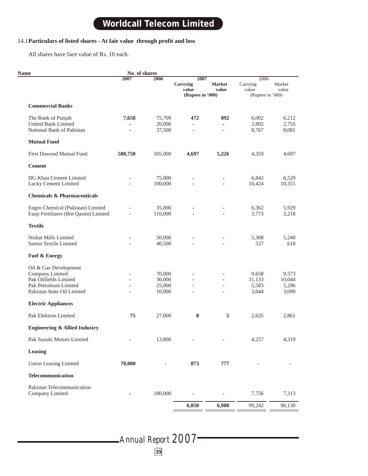## 14.1**Particulars of listed shares - At fair value through profit and loss**

All shares have face value of Rs. 10 each.

| <b>Name</b>                                                                | No. of shares |                   |                           |                        |                           |                |
|----------------------------------------------------------------------------|---------------|-------------------|---------------------------|------------------------|---------------------------|----------------|
|                                                                            | 2007          | 2006              | 2007                      |                        | 2006                      |                |
|                                                                            |               |                   | Carrying                  | <b>Market</b><br>value | Carrying                  | Market         |
|                                                                            |               |                   | value<br>(Rupees in '000) |                        | value<br>(Rupees in '000) | value          |
|                                                                            |               |                   |                           |                        |                           |                |
| <b>Commercial Banks</b>                                                    |               |                   |                           |                        |                           |                |
| The Bank of Punjab                                                         | 7,658         | 75,709            | 472                       | 892                    | 6,002                     | 6,212          |
| <b>United Bank Limited</b>                                                 | ٠             | 20,000            | $\sim$                    | $\blacksquare$         | 2,802                     | 2,755          |
| National Bank of Pakistan                                                  |               | 37,500            | $\tilde{\phantom{a}}$     | ä,                     | 8,767                     | 8,081          |
| <b>Mutual Fund</b>                                                         |               |                   |                           |                        |                           |                |
|                                                                            |               |                   |                           |                        |                           |                |
| First Dawood Mutual Fund                                                   | 580,750       | 505,000           | 4,697                     | 5,226                  | 4,359                     | 4,697          |
| <b>Cement</b>                                                              |               |                   |                           |                        |                           |                |
| DG Khan Cement Limited                                                     |               | 75,000            |                           |                        | 6,842                     | 6,529          |
| Lucky Cement Limited                                                       |               | 100,000           |                           |                        | 10,424                    | 10,355         |
| <b>Chemicals &amp; Pharmaceuticals</b>                                     |               |                   |                           |                        |                           |                |
|                                                                            |               |                   |                           |                        |                           |                |
| Engro Chemical (Pakistan) Limited<br>Fauji Fertilizers (Bin Qasim) Limited |               | 35,000<br>110,000 |                           |                        | 6,362<br>3,773            | 5,929<br>3,218 |
|                                                                            |               |                   |                           |                        |                           |                |
| <b>Textile</b>                                                             |               |                   |                           |                        |                           |                |
| Nishat Mills Limited                                                       |               | 50,000            |                           | ×,                     | 5,308                     | 5,240          |
| Samin Textile Limited                                                      |               | 40,500            |                           |                        | 537                       | 618            |
| <b>Fuel &amp; Energy</b>                                                   |               |                   |                           |                        |                           |                |
| Oil & Gas Development                                                      |               |                   |                           |                        |                           |                |
| Company Limited                                                            | ۰             | 70,000            |                           |                        | 9,658                     | 9,573          |
| Pak Oilfields Limited                                                      |               | 30,000            |                           |                        | 11,133                    | 10,044         |
| Pak Petroleum Limited                                                      |               | 25,000            |                           | ٠                      | 5,583                     | 5,296          |
| Pakistan State Oil Limited                                                 |               | 10,000            | ä,                        | ä,                     | 3,044                     | 3,090          |
| <b>Electric Appliances</b>                                                 |               |                   |                           |                        |                           |                |
|                                                                            |               |                   |                           |                        |                           |                |
| Pak Elektron Limited                                                       | 75            | 27,000            | 8                         | 5                      | 2,635                     | 2,861          |
| <b>Engineering &amp; Allied Industry</b>                                   |               |                   |                           |                        |                           |                |
| Pak Suzuki Motors Limited                                                  |               | 13,800            |                           |                        | 4,257                     | 4,319          |
| Leasing                                                                    |               |                   |                           |                        |                           |                |
| Union Leasing Limited                                                      | 70,000        |                   | 873                       | 777                    |                           |                |
| Telecommunication                                                          |               |                   |                           |                        |                           |                |
|                                                                            |               |                   |                           |                        |                           |                |
| Pakistan Telecommunication<br>Company Limited                              |               | 180,000           |                           |                        | 7,756                     | 7,313          |
|                                                                            |               |                   |                           |                        |                           |                |
|                                                                            |               |                   | 6,050                     | 6,900                  | 99,242                    | 96,130         |

 $\blacksquare$ Annual Report 2007 $\blacksquare$ 

 $\equiv$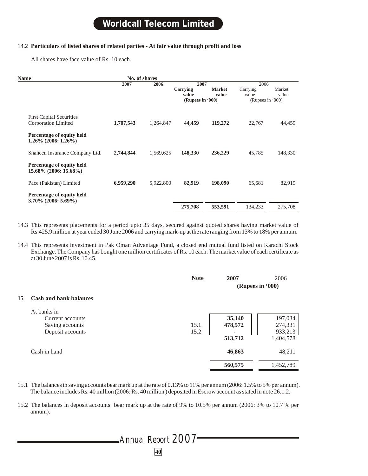## 14.2 **Particulars of listed shares of related parties - At fair value through profit and loss**

All shares have face value of Rs. 10 each.

|                                                        |           | No. of shares |                   |                        |                   |                 |
|--------------------------------------------------------|-----------|---------------|-------------------|------------------------|-------------------|-----------------|
|                                                        | 2007      | 2006          | 2007              |                        | 2006              |                 |
|                                                        |           |               | Carrying<br>value | <b>Market</b><br>value | Carrying<br>value | Market<br>value |
|                                                        |           |               | (Rupees in '000)  |                        | (Rupees in '000)  |                 |
| <b>First Capital Securities</b><br>Corporation Limited | 1,707,543 | 1,264,847     | 44,459            | 119,272                | 22,767            | 44,459          |
| Percentage of equity held<br>$1.26\%$ (2006: 1.26%)    |           |               |                   |                        |                   |                 |
| Shaheen Insurance Company Ltd.                         | 2,744,844 | 1,569,625     | 148,330           | 236,229                | 45,785            | 148,330         |
| Percentage of equity held<br>15.68% (2006: 15.68%)     |           |               |                   |                        |                   |                 |
| Pace (Pakistan) Limited                                | 6,959,290 | 5,922,800     | 82,919            | 198,090                | 65,681            | 82,919          |
| Percentage of equity held<br>$3.70\%$ (2006: 5.69%)    |           |               |                   |                        |                   |                 |
|                                                        |           |               | 275,708           | 553,591                | 134,233           | 275,708         |

- 14.3 This represents placements for a period upto 35 days, secured against quoted shares having market value of Rs.425.9 million at year ended 30 June 2006 and carrying mark-up at the rate ranging from 13% to 18% per annum.
- 14.4 This represents investment in Pak Oman Advantage Fund, a closed end mutual fund listed on Karachi Stock Exchange. The Company has bought one million certificates of Rs. 10 each. The market value of each certificate as at 30 June 2007 is Rs. 10.45.

|    |                               | <b>Note</b> | 2007<br>2006<br>(Rupees in '000) |           |
|----|-------------------------------|-------------|----------------------------------|-----------|
| 15 | <b>Cash and bank balances</b> |             |                                  |           |
|    | At banks in                   |             |                                  |           |
|    | Current accounts              |             | 35,140                           | 197,034   |
|    | Saving accounts               | 15.1        | 478,572                          | 274,331   |
|    | Deposit accounts              | 15.2        |                                  | 933,213   |
|    |                               |             | 513,712                          | 1,404,578 |
|    | Cash in hand                  |             | 46,863                           | 48,211    |
|    |                               |             | 560,575                          | 1,452,789 |

- 15.1 The balances in saving accounts bear mark up at the rate of 0.13% to 11% per annum (2006: 1.5% to 5% per annum). The balance includes Rs. 40 million (2006: Rs. 40 million ) deposited in Escrow account as stated in note 26.1.2.
- 15.2 The balances in deposit accounts bear mark up at the rate of 9% to 10.5% per annum (2006: 3% to 10.7 % per annum).

Annual Report  $2007$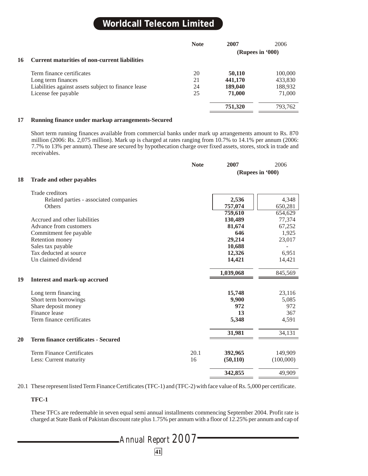|    |                                                      | <b>Note</b> | 2007             | 2006    |
|----|------------------------------------------------------|-------------|------------------|---------|
|    |                                                      |             | (Rupees in '000) |         |
| 16 | <b>Current maturities of non-current liabilities</b> |             |                  |         |
|    | Term finance certificates                            | 20          | 50,110           | 100,000 |
|    | Long term finances                                   | 21          | 441,170          | 433,830 |
|    | Liabilities against assets subject to finance lease  | 24          | 189,040          | 188,932 |
|    | License fee payable                                  | 25          | 71,000           | 71,000  |
|    |                                                      |             | 751,320          | 793.762 |

#### **17 Running finance under markup arrangements-Secured**

Short term running finances available from commercial banks under mark up arrangements amount to Rs. 870 million (2006: Rs. 2,075 million). Mark up is charged at rates ranging from 10.7% to 14.1% per annum (2006: 7.7% to 13% per annum). These are secured by hypothecation charge over fixed assets, stores, stock in trade and receivables.

|    |                                            | <b>Note</b> | 2007      | 2006             |
|----|--------------------------------------------|-------------|-----------|------------------|
|    |                                            |             |           | (Rupees in '000) |
| 18 | Trade and other payables                   |             |           |                  |
|    | Trade creditors                            |             |           |                  |
|    | Related parties - associated companies     |             | 2,536     | 4,348            |
|    | Others                                     |             | 757,074   | 650,281          |
|    |                                            |             | 759,610   | 654,629          |
|    | Accrued and other liabilities              |             | 130,489   | 77,374           |
|    | Advance from customers                     |             | 81,674    | 67,252           |
|    | Commitment fee payable                     |             | 646       | 1,925            |
|    | Retention money                            |             | 29,214    | 23,017           |
|    | Sales tax payable                          |             | 10,688    |                  |
|    | Tax deducted at source                     |             | 12,326    | 6,951            |
|    | Un claimed dividend                        |             | 14,421    | 14,421           |
|    |                                            |             | 1,039,068 | 845,569          |
| 19 | Interest and mark-up accrued               |             |           |                  |
|    | Long term financing                        |             | 15,748    | 23,116           |
|    | Short term borrowings                      |             | 9,900     | 5,085            |
|    | Share deposit money                        |             | 972       | 972              |
|    | Finance lease                              |             | 13        | 367              |
|    | Term finance certificates                  |             | 5,348     | 4,591            |
|    |                                            |             | 31,981    | 34,131           |
| 20 | <b>Term finance certificates - Secured</b> |             |           |                  |
|    | <b>Term Finance Certificates</b>           | 20.1        | 392,965   | 149,909          |
|    | Less: Current maturity                     | 16          | (50, 110) | (100,000)        |
|    |                                            |             | 342,855   | 49,909           |
|    |                                            |             |           |                  |

#### 20.1 These represent listed Term Finance Certificates (TFC-1) and (TFC-2) with face value of Rs. 5,000 per certificate.

## **TFC-1**

These TFCs are redeemable in seven equal semi annual installments commencing September 2004. Profit rate is charged at State Bank of Pakistan discount rate plus 1.75% per annum with a floor of 12.25% per annum and cap of

Annual Report  $2007$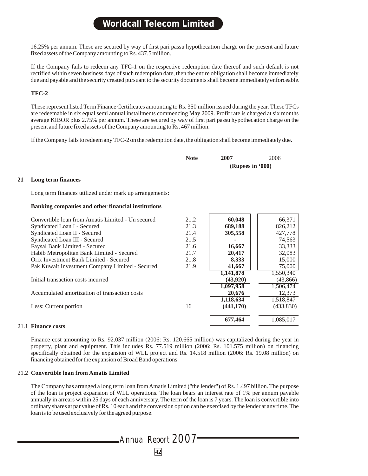16.25% per annum. These are secured by way of first pari passu hypothecation charge on the present and future fixed assets of the Company amounting to Rs. 437.5 million.

If the Company fails to redeem any TFC-1 on the respective redemption date thereof and such default is not rectified within seven business days of such redemption date, then the entire obligation shall become immediately due and payable and the security created pursuant to the security documents shall become immediately enforceable.

## **TFC-2**

These represent listed Term Finance Certificates amounting to Rs. 350 million issued during the year. These TFCs are redeemable in six equal semi annual installments commencing May 2009. Profit rate is charged at six months average KIBOR plus 2.75% per annum. These are secured by way of first pari passu hypothecation charge on the present and future fixed assets of the Company amounting to Rs. 467 million.

If the Company fails to redeem any TFC-2 on the redemption date, the obligation shall become immediately due.

| <b>Note</b> | 2007                 | 2006 |
|-------------|----------------------|------|
|             | (Rupees in $(000)$ ) |      |

#### **21 Long term finances**

Long term finances utilized under mark up arrangements:

#### **Banking companies and other financial institutions**

| Convertible Ioan from Amatis Limited - Un secured | 21.2 | 60,048     | 66,371    |
|---------------------------------------------------|------|------------|-----------|
| Syndicated Loan I - Secured                       | 21.3 | 689,188    | 826,212   |
| Syndicated Loan II - Secured                      | 21.4 | 305,558    | 427,778   |
| Syndicated Loan III - Secured                     | 21.5 |            | 74,563    |
| Faysal Bank Limited - Secured                     | 21.6 | 16,667     | 33,333    |
| Habib Metropolitan Bank Limited - Secured         | 21.7 | 20,417     | 32,083    |
| Orix Investment Bank Limited - Secured            | 21.8 | 8,333      | 15,000    |
| Pak Kuwait Investment Company Limited - Secured   | 21.9 | 41,667     | 75,000    |
|                                                   |      | 1,141,878  | 1,550,340 |
| Initial transaction costs incurred                |      | (43,920)   | (43, 866) |
|                                                   |      | 1,097,958  | 1,506,474 |
| Accumulated amortization of transaction costs     |      | 20,676     | 12,373    |
|                                                   |      | 1,118,634  | 1,518,847 |
| Less: Current portion                             | 16   | (441, 170) | (433,830) |
|                                                   |      | 677,464    | 1,085,017 |
|                                                   |      |            |           |

#### 21.1 **Finance costs**

Finance cost amounting to Rs. 92.037 million (2006: Rs. 120.665 million) was capitalized during the year in property, plant and equipment. This includes Rs. 77.519 million (2006: Rs. 101.575 million) on financing specifically obtained for the expansion of WLL project and Rs. 14.518 million (2006: Rs. 19.08 million) on financing obtained for the expansion of Broad Band operations.

#### 21.2 **Convertible loan from Amatis Limited**

The Company has arranged a long term loan from Amatis Limited ("the lender") of Rs. 1.497 billion. The purpose of the loan is project expansion of WLL operations. The loan bears an interest rate of 1% per annum payable annually in arrears within 25 days of each anniversary. The term of the loan is 7 years. The loan is convertible into ordinary shares at par value of Rs. 10 each and the conversion option can be exercised by the lender at any time. The loan is to be used exclusively for the agreed purpose.

## Annual Report 2007-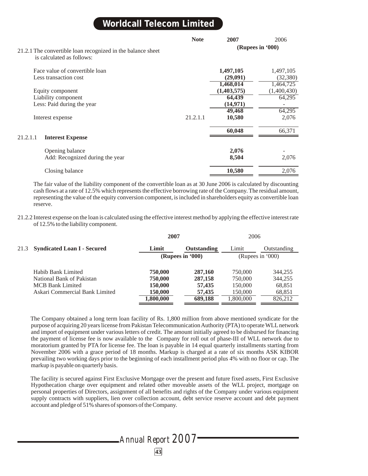| 21.2.1 The convertible loan recognized in the balance sheet<br>is calculated as follows: |             | (Rupees in '000) |
|------------------------------------------------------------------------------------------|-------------|------------------|
| Face value of convertible loan                                                           | 1,497,105   | 1,497,105        |
| Less transaction cost                                                                    | (29,091)    | (32, 380)        |
|                                                                                          | 1,468,014   | 1,464,725        |
| Equity component                                                                         | (1,403,575) | (1,400,430)      |
| Liability component                                                                      | 64,439      | 64,295           |
| Less: Paid during the year                                                               | (14, 971)   |                  |
|                                                                                          | 49,468      | 64,295           |
| 21.2.1.1<br>Interest expense                                                             | 10,580      | 2,076            |
| 21.2.1.1<br><b>Interest Expense</b>                                                      | 60,048      | 66,371           |
|                                                                                          |             |                  |
| Opening balance                                                                          | 2,076       |                  |
| Add: Recognized during the year                                                          | 8,504       | 2,076            |
| Closing balance                                                                          | 10,580      | 2,076            |

The fair value of the liability component of the convertible loan as at 30 June 2006 is calculated by discounting cash flows at a rate of 12.5% which represents the effective borrowing rate of the Company. The residual amount, representing the value of the equity conversion component, is included in shareholders equity as convertible loan reserve.

21.2.2 Interest expense on the loan is calculated using the effective interest method by applying the effective interest rate of 12.5% to the liability component.

|                                  | 2007             |             | 2006      |                  |  |
|----------------------------------|------------------|-------------|-----------|------------------|--|
| 21.3 Syndicated Loan I - Secured | Limit            | Outstanding | Limit     | Outstanding      |  |
|                                  | (Rupees in '000) |             |           | (Rupees in '000) |  |
| Habib Bank Limited               | 750,000          | 287,160     | 750,000   | 344,255          |  |
| National Bank of Pakistan        | 750,000          | 287,158     | 750,000   | 344,255          |  |
| <b>MCB Bank Limited</b>          | 150,000          | 57,435      | 150,000   | 68,851           |  |
| Askari Commercial Bank Limited   | 150,000          | 57,435      | 150,000   | 68,851           |  |
|                                  | 1,800,000        | 689.188     | 1,800,000 | 826,212          |  |
|                                  |                  |             |           |                  |  |

The Company obtained a long term loan facility of Rs. 1,800 million from above mentioned syndicate for the purpose of acquiring 20 years license from Pakistan Telecommunication Authority (PTA) to operate WLL network and import of equipment under various letters of credit. The amount initially agreed to be disbursed for financing the payment of license fee is now available to the Company for roll out of phase-III of WLL network due to moratorium granted by PTA for license fee. The loan is payable in 14 equal quarterly installments starting from November 2006 with a grace period of 18 months. Markup is charged at a rate of six months ASK KIBOR prevailing two working days prior to the beginning of each installment period plus 4% with no floor or cap. The markup is payable on quarterly basis.

The facility is secured against First Exclusive Mortgage over the present and future fixed assets, First Exclusive Hypothecation charge over equipment and related other moveable assets of the WLL project, mortgage on personal properties of Directors, assignment of all benefits and rights of the Company under various equipment supply contracts with suppliers, lien over collection account, debt service reserve account and debt payment account and pledge of 51% shares of sponsors of the Company.

## Annual Report 2007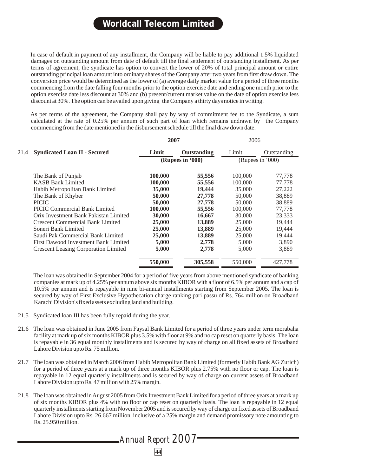In case of default in payment of any installment, the Company will be liable to pay additional 1.5% liquidated damages on outstanding amount from date of default till the final settlement of outstanding installment. As per terms of agreement, the syndicate has option to convert the lower of 20% of total principal amount or entire outstanding principal loan amount into ordinary shares of the Company after two years from first draw down. The conversion price would be determined as the lower of (a) average daily market value for a period of three months commencing from the date falling four months prior to the option exercise date and ending one month prior to the option exercise date less discount at 30% and (b) present/current market value on the date of option exercise less discount at 30%. The option can be availed upon giving the Company a thirty days notice in writing.

As per terms of the agreement, the Company shall pay by way of commitment fee to the Syndicate, a sum calculated at the rate of 0.25% per annum of such part of loan which remains undrawn by the Company commencing from the date mentioned in the disbursement schedule till the final draw down date.

|      | 2007                                        |         | 2006             |         |                  |
|------|---------------------------------------------|---------|------------------|---------|------------------|
| 21.4 | <b>Syndicated Loan II - Secured</b>         | Limit   | Outstanding      | Limit   | Outstanding      |
|      |                                             |         | (Rupees in '000) |         | (Rupees in '000) |
|      | The Bank of Punjab                          | 100,000 | 55,556           | 100,000 | 77,778           |
|      | <b>KASB Bank Limited</b>                    | 100,000 | 55,556           | 100,000 | 77,778           |
|      | Habib Metropolitan Bank Limited             | 35,000  | 19,444           | 35,000  | 27,222           |
|      | The Bank of Khyber                          | 50,000  | 27,778           | 50,000  | 38,889           |
|      | <b>PICIC</b>                                | 50,000  | 27,778           | 50,000  | 38,889           |
|      | <b>PICIC Commercial Bank Limited</b>        | 100,000 | 55,556           | 100,000 | 77,778           |
|      | Orix Investment Bank Pakistan Limited       | 30,000  | 16,667           | 30,000  | 23,333           |
|      | <b>Crescent Commercial Bank Limited</b>     | 25,000  | 13,889           | 25,000  | 19,444           |
|      | Soneri Bank Limited                         | 25,000  | 13,889           | 25,000  | 19,444           |
|      | Saudi Pak Commercial Bank Limited           | 25,000  | 13,889           | 25,000  | 19,444           |
|      | First Dawood Investment Bank Limited        | 5,000   | 2,778            | 5,000   | 3,890            |
|      | <b>Crescent Leasing Corporation Limited</b> | 5,000   | 2,778            | 5,000   | 3,889            |
|      |                                             | 550,000 | 305,558          | 550,000 | 427,778          |

The loan was obtained in September 2004 for a period of five years from above mentioned syndicate of banking companies at mark up of 4.25% per annum above six months KIBOR with a floor of 6.5% per annum and a cap of 10.5% per annum and is repayable in nine bi-annual installments starting from September 2005. The loan is secured by way of First Exclusive Hypothecation charge ranking pari passu of Rs. 764 million on Broadband Karachi Division's fixed assets excluding land and building.

- 21.5 Syndicated loan III has been fully repaid during the year.
- 21.6 The loan was obtained in June 2005 from Faysal Bank Limited for a period of three years under term morabaha facility at mark up of six months KIBOR plus 3.5% with floor at 9% and no cap reset on quarterly basis. The loan is repayable in 36 equal monthly installments and is secured by way of charge on all fixed assets of Broadband Lahore Division upto Rs. 75 million.
- 21.7 The loan was obtained in March 2006 from Habib Metropolitan Bank Limited (formerly Habib Bank AG Zurich) for a period of three years at a mark up of three months KIBOR plus 2.75% with no floor or cap. The loan is repayable in 12 equal quarterly installments and is secured by way of charge on current assets of Broadband Lahore Division upto Rs. 47 million with 25% margin.
- 21.8 The loan was obtained in August 2005 from Orix Investment Bank Limited for a period of three years at a mark up of six months KIBOR plus 4% with no floor or cap reset on quarterly basis. The loan is repayable in 12 equal quarterly installments starting from November 2005 and is secured by way of charge on fixed assets of Broadband Lahore Division upto Rs. 26.667 million, inclusive of a 25% margin and demand promissory note amounting to Rs. 25.950 million.

## Annual Report 2007-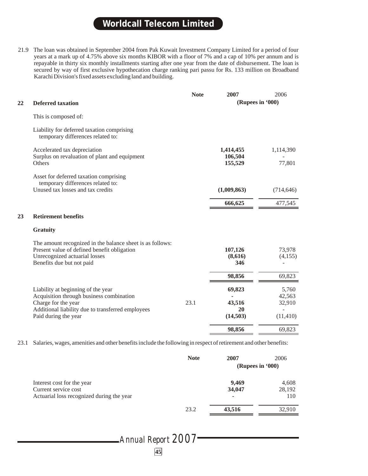21.9 The loan was obtained in September 2004 from Pak Kuwait Investment Company Limited for a period of four years at a mark up of 4.75% above six months KIBOR with a floor of 7% and a cap of 10% per annum and is repayable in thirty six monthly installments starting after one year from the date of disbursement. The loan is secured by way of first exclusive hypothecation charge ranking pari passu for Rs. 133 million on Broadband Karachi Division's fixed assets excluding land and building.

|    |                                                                                 | <b>Note</b> | 2007        | 2006             |
|----|---------------------------------------------------------------------------------|-------------|-------------|------------------|
| 22 | <b>Deferred taxation</b>                                                        |             |             | (Rupees in '000) |
|    | This is composed of:                                                            |             |             |                  |
|    | Liability for deferred taxation comprising<br>temporary differences related to: |             |             |                  |
|    | Accelerated tax depreciation                                                    |             | 1,414,455   | 1,114,390        |
|    | Surplus on revaluation of plant and equipment                                   |             | 106,504     |                  |
|    | Others                                                                          |             | 155,529     | 77,801           |
|    | Asset for deferred taxation comprising<br>temporary differences related to:     |             |             |                  |
|    | Unused tax losses and tax credits                                               |             | (1,009,863) | (714, 646)       |
|    |                                                                                 |             | 666,625     | 477,545          |
| 23 | <b>Retirement benefits</b>                                                      |             |             |                  |
|    | <b>Gratuity</b>                                                                 |             |             |                  |
|    | The amount recognized in the balance sheet is as follows:                       |             |             |                  |
|    | Present value of defined benefit obligation                                     |             | 107,126     | 73,978           |
|    | Unrecognized actuarial losses                                                   |             | (8,616)     | (4,155)          |
|    | Benefits due but not paid                                                       |             | 346         |                  |
|    |                                                                                 |             | 98,856      | 69,823           |
|    | Liability at beginning of the year                                              |             | 69,823      | 5,760            |
|    | Acquisition through business combination                                        |             |             | 42,563           |
|    | Charge for the year                                                             | 23.1        | 43,516      | 32,910           |
|    | Additional liability due to transferred employees                               |             | 20          |                  |
|    | Paid during the year                                                            |             | (14,503)    | (11, 410)        |
|    |                                                                                 |             | 98,856      | 69,823           |
|    |                                                                                 |             |             |                  |

23.1 Salaries, wages, amenities and other benefits include the following in respect of retirement and other benefits:

|                                                                                                 | <b>Note</b> | 2007                 | 2006                   |
|-------------------------------------------------------------------------------------------------|-------------|----------------------|------------------------|
|                                                                                                 |             | (Rupees in '000)     |                        |
| Interest cost for the year<br>Current service cost<br>Actuarial loss recognized during the year |             | 9,469<br>34,047<br>٠ | 4,608<br>28,192<br>110 |
|                                                                                                 | 23.2        | 43,516               | 32,910                 |

Annual Report 2007–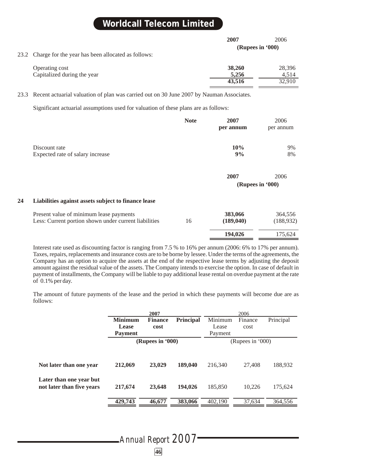|     | 2007             | 2006 |
|-----|------------------|------|
|     | (Rupees in '000) |      |
| \$1 |                  |      |
|     |                  |      |

| 23.2 Charge for the year has been allocated as follows: |  |
|---------------------------------------------------------|--|
|                                                         |  |

| Operating cost              | 38,260 | 28,396 |
|-----------------------------|--------|--------|
| Capitalized during the year | 5.256  | 4.514  |
|                             | 43.516 | 32.910 |

23.3 Recent actuarial valuation of plan was carried out on 30 June 2007 by Nauman Associates.

Significant actuarial assumptions used for valuation of these plans are as follows:

|    |                                                                                                  | <b>Note</b> | 2007<br>per annum    | 2006<br>per annum        |
|----|--------------------------------------------------------------------------------------------------|-------------|----------------------|--------------------------|
|    | Discount rate<br>Expected rate of salary increase                                                |             | 10%<br>9%            | 9%<br>8%                 |
|    |                                                                                                  |             | 2007                 | 2006<br>(Rupees in '000) |
| 24 | Liabilities against assets subject to finance lease                                              |             |                      |                          |
|    | Present value of minimum lease payments<br>Less: Current portion shown under current liabilities | 16          | 383,066<br>(189,040) | 364,556<br>(188, 932)    |
|    |                                                                                                  |             | 194,026              | 175,624                  |
|    |                                                                                                  |             |                      |                          |

Interest rate used as discounting factor is ranging from 7.5 % to 16% per annum (2006: 6% to 17% per annum). Taxes, repairs, replacements and insurance costs are to be borne by lessee. Under the terms of the agreements, the Company has an option to acquire the assets at the end of the respective lease terms by adjusting the deposit amount against the residual value of the assets. The Company intends to exercise the option. In case of default in payment of installments, the Company will be liable to pay additional lease rental on overdue payment at the rate of 0.1% per day.

The amount of future payments of the lease and the period in which these payments will become due are as follows:

|                                                      |                | 2007             |                  |         | 2006             |           |
|------------------------------------------------------|----------------|------------------|------------------|---------|------------------|-----------|
|                                                      | <b>Minimum</b> | <b>Finance</b>   | <b>Principal</b> | Minimum | Finance          | Principal |
|                                                      | <b>Lease</b>   | cost             |                  | Lease   | cost             |           |
|                                                      | <b>Payment</b> |                  |                  | Payment |                  |           |
|                                                      |                | (Rupees in '000) |                  |         | (Rupees in '000) |           |
|                                                      |                |                  |                  |         |                  |           |
| Not later than one year                              | 212,069        | 23,029           | 189,040          | 216,340 | 27,408           | 188,932   |
| Later than one year but<br>not later than five years | 217,674        | 23,648           | 194,026          | 185,850 | 10,226           | 175,624   |
|                                                      | 429,743        | 46,677           | 383,066          | 402,190 | 37,634           | 364,556   |

Annual Report  $2007$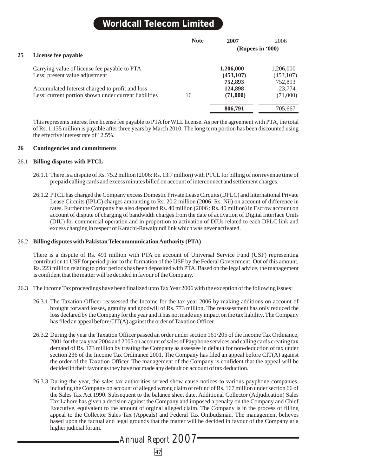|    |                                                       | <b>Note</b> | 2007                 | 2006       |
|----|-------------------------------------------------------|-------------|----------------------|------------|
| 25 | License fee payable                                   |             | (Rupees in $(000)$ ) |            |
|    | Carrying value of license fee payable to PTA          |             | 1,206,000            | 1,206,000  |
|    | Less: present value adjustment                        |             | (453, 107)           | (453, 107) |
|    |                                                       |             | 752,893              | 752,893    |
|    | Accumulated Interest charged to profit and loss       |             | 124,898              | 23,774     |
|    | Less: current portion shown under current liabilities | 16          | (71,000)             | (71,000)   |
|    |                                                       |             | 806,791              | 705,667    |

This represents interest free license fee payable to PTA for WLL license. As per the agreement with PTA, the total of Rs. 1,135 million is payable after three years by March 2010. The long term portion has been discounted using the effective interest rate of 12.5%.

#### **26 Contingencies and commitments**

#### 26.1 **Billing disputes with PTCL**

- 26.1.1 There is a dispute of Rs. 75.2 million (2006: Rs. 13.7 million) with PTCL for billing of non revenue time of prepaid calling cards and excess minutes billed on account of interconnect and settlement charges.
- 26.1.2 PTCL has charged the Company excess Domestic Private Lease Circuits (DPLC) and International Private Lease Circuits (IPLC) charges amounting to Rs. 20.2 million (2006: Rs. Nil) on account of difference in rates. Further the Company has also deposited Rs. 40 million (2006 : Rs. 40 million) in Escrow account on account of dispute of charging of bandwidth charges from the date of activation of Digital Interface Units (DIU) for commercial operation and in proportion to activation of DIUs related to each DPLC link and excess charging in respect of Karachi-Rawalpindi link which was never activated.

#### 26.2 **Billing disputes with Pakistan Telecommunication Authority (PTA)**

There is a dispute of Rs. 491 million with PTA on account of Universal Service Fund (USF) representing contribution to USF for period prior to the formation of the USF by the Federal Government. Out of this amount, Rs. 223 million relating to prior periods has been deposited with PTA. Based on the legal advice, the management is confident that the matter will be decided in favour of the Company.

- 26.3 The Income Tax proceedings have been finalized upto Tax Year 2006 with the exception of the following issues:
	- 26.3.1 The Taxation Officer reassessed the Income for the tax year 2006 by making additions on account of brought forward losses, gratuity and goodwill of Rs. 773 million. The reassessment has only reduced the loss declared by the Company for the year and it has not made any impact on the tax liability. The Company has filed an appeal before CIT(A) against the order of Taxation Officer.
	- 26.3.2 During the year the Taxation Officer passed an order under section 161/205 of the Income Tax Ordinance, 2001 for the tax year 2004 and 2005 on account of sales of Payphone services and calling cards creating tax demand of Rs. 173 million by treating the Company as assessee in default for non-deduction of tax under section 236 of the Income Tax Ordinance 2001. The Company has filed an appeal before CIT(A) against the order of the Taxation Officer. The management of the Company is confident that the appeal will be decided in their favour as they have not made any default on account of tax deduction.
	- 26.3.3 During the year, the sales tax authorities served show cause notices to various payphone companies, including the Company on account of alleged wrong claim of refund of Rs. 167 million under section 66 of the Sales Tax Act 1990. Subsequent to the balance sheet date, Additional Collector (Adjudication) Sales Tax Lahore has given a decision against the Company and imposed a penalty on the Company and Chief Executive, equivalent to the amount of orginal alleged claim. The Company is in the process of filling appeal to the Collector Sales Tax (Appeals) and Federal Tax Ombudsman. The management believes based upon the factual and legal grounds that the matter will be decided in favour of the Company at a higher judicial forum.

## $\,$ Annual Report  $2007$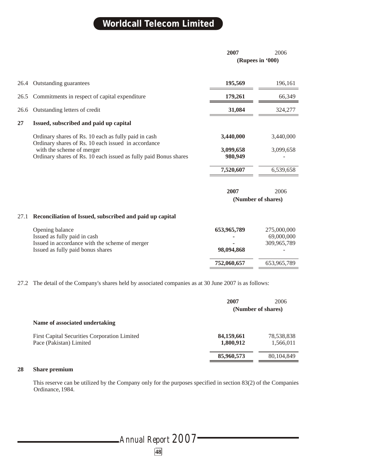|      |                                                                                                                                                      | 2007<br>2006<br>(Rupees in '000) |                                          |
|------|------------------------------------------------------------------------------------------------------------------------------------------------------|----------------------------------|------------------------------------------|
| 26.4 | Outstanding guarantees                                                                                                                               | 195,569                          | 196,161                                  |
| 26.5 | Commitments in respect of capital expenditure                                                                                                        | 179,261                          | 66,349                                   |
| 26.6 | Outstanding letters of credit                                                                                                                        | 31,084                           | 324,277                                  |
| 27   | Issued, subscribed and paid up capital                                                                                                               |                                  |                                          |
|      | Ordinary shares of Rs. 10 each as fully paid in cash                                                                                                 | 3,440,000                        | 3,440,000                                |
|      | Ordinary shares of Rs. 10 each issued in accordance<br>with the scheme of merger<br>Ordinary shares of Rs. 10 each issued as fully paid Bonus shares | 3,099,658<br>980,949             | 3,099,658                                |
|      |                                                                                                                                                      | 7,520,607                        | 6,539,658                                |
|      |                                                                                                                                                      | 2007                             | 2006<br>(Number of shares)               |
| 27.1 | Reconciliation of Issued, subscribed and paid up capital                                                                                             |                                  |                                          |
|      | Opening balance<br>Issued as fully paid in cash<br>Issued in accordance with the scheme of merger<br>Issued as fully paid bonus shares               | 653,965,789<br>98,094,868        | 275,000,000<br>69,000,000<br>309,965,789 |
|      |                                                                                                                                                      | 752,060,657                      | 653,965,789                              |
|      |                                                                                                                                                      |                                  |                                          |

27.2 The detail of the Company's shares held by associated companies as at 30 June 2007 is as follows:

|                                                                         | 2007                    | 2006<br>(Number of shares) |
|-------------------------------------------------------------------------|-------------------------|----------------------------|
| Name of associated undertaking                                          |                         |                            |
| First Capital Securities Corporation Limited<br>Pace (Pakistan) Limited | 84,159,661<br>1,800,912 | 78,538,838<br>1,566,011    |
|                                                                         | 85,960,573              | 80,104,849                 |

#### **28 Share premium**

This reserve can be utilized by the Company only for the purposes specified in section 83(2) of the Companies Ordinance, 1984.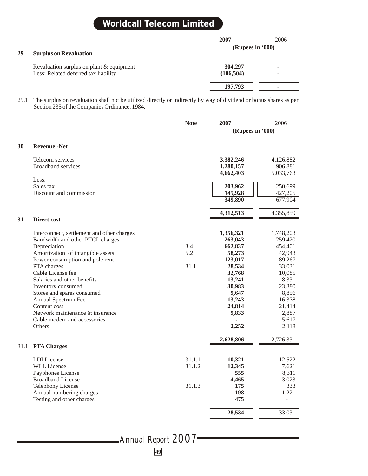|                       | 2006                     |
|-----------------------|--------------------------|
|                       |                          |
| 304,297<br>(106, 504) | -<br>-                   |
| 197,793               | -                        |
|                       | 2007<br>(Rupees in '000) |

29.1 The surplus on revaluation shall not be utilized directly or indirectly by way of dividend or bonus shares as per Section 235 of the Companies Ordinance, 1984.

|      |                                                  | <b>Note</b> | 2007                   | 2006                 |
|------|--------------------------------------------------|-------------|------------------------|----------------------|
|      |                                                  |             | (Rupees in '000)       |                      |
| 30   | <b>Revenue -Net</b>                              |             |                        |                      |
|      | Telecom services<br><b>Broadband services</b>    |             | 3,382,246<br>1,280,157 | 4,126,882<br>906,881 |
|      |                                                  |             | 4,662,403              | 5,033,763            |
|      | Less:<br>Sales tax                               |             | 203,962                | 250,699              |
|      | Discount and commission                          |             | 145,928                | 427,205              |
|      |                                                  |             | 349,890                | 677,904              |
|      |                                                  |             | 4,312,513              | 4,355,859            |
| 31   | <b>Direct cost</b>                               |             |                        |                      |
|      | Interconnect, settlement and other charges       |             | 1,356,321              | 1,748,203            |
|      | Bandwidth and other PTCL charges                 |             | 263,043                | 259,420              |
|      | Depreciation                                     | 3.4         | 662,837                | 454,401              |
|      | Amortization of intangible assets                | 5.2         | 58,273                 | 42,943               |
|      | Power consumption and pole rent                  |             | 123,017                | 89,267               |
|      | PTA charges                                      | 31.1        | 28,534                 | 33,031               |
|      | Cable License fee<br>Salaries and other benefits |             | 32,768                 | 10,085<br>8,331      |
|      |                                                  |             | 13,241<br>30,983       | 23,380               |
|      | Inventory consumed<br>Stores and spares consumed |             | 9,647                  | 8,856                |
|      | Annual Spectrum Fee                              |             | 13,243                 | 16,378               |
|      | Content cost                                     |             | 24,814                 | 21,414               |
|      | Network maintenance & insurance                  |             | 9,833                  | 2,887                |
|      | Cable modem and accessories                      |             |                        | 5,617                |
|      | Others                                           |             | 2,252                  | 2,118                |
|      |                                                  |             | 2,628,806              | 2,726,331            |
| 31.1 | <b>PTA Charges</b>                               |             |                        |                      |
|      | <b>LDI</b> License                               | 31.1.1      | 10,321                 | 12,522               |
|      | <b>WLL</b> License                               | 31.1.2      | 12,345                 | 7,621                |
|      | Payphones License                                |             | 555                    | 8,311                |
|      | <b>Broadband License</b>                         |             | 4,465                  | 3,023                |
|      | Telephony License                                | 31.1.3      | 175                    | 333                  |
|      | Annual numbering charges                         |             | 198                    | 1,221                |
|      | Testing and other charges                        |             | 475                    |                      |
|      |                                                  |             | 28,534                 | 33,031               |

 $\blacksquare$ Annual Report  $2007$   $\blacksquare$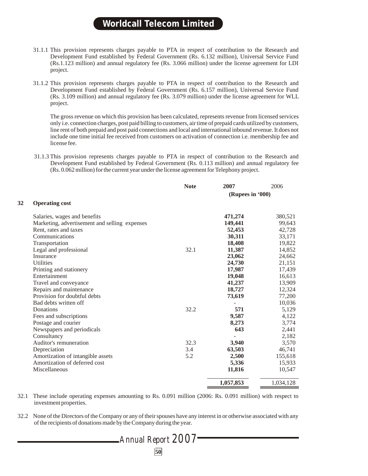- 31.1.1 This provision represents charges payable to PTA in respect of contribution to the Research and Development Fund established by Federal Government (Rs. 6.132 million), Universal Service Fund (Rs.1.123 million) and annual regulatory fee (Rs. 3.066 million) under the license agreement for LDI project.
- 31.1.2 This provision represents charges payable to PTA in respect of contribution to the Research and Development Fund established by Federal Government (Rs. 6.157 million), Universal Service Fund (Rs. 3.109 million) and annual regulatory fee (Rs. 3.079 million) under the license agreement for WLL project.

The gross revenue on which this provision has been calculated, represents revenue from licensed services only i.e. connection charges, post paid billing to customers, air time of prepaid cards utilized by customers, line rent of both prepaid and post paid connections and local and international inbound revenue. It does not include one time initial fee received from customers on activation of connection i.e. membership fee and license fee.

31.1.3 This provision represents charges payable to PTA in respect of contribution to the Research and Development Fund established by Federal Government (Rs. 0.113 million) and annual regulatory fee (Rs. 0.062 million) for the current year under the license agreement for Telephony project.

|    |                                               | <b>Note</b> | 2007             | 2006      |
|----|-----------------------------------------------|-------------|------------------|-----------|
|    |                                               |             | (Rupees in '000) |           |
| 32 | <b>Operating cost</b>                         |             |                  |           |
|    | Salaries, wages and benefits                  |             | 471,274          | 380,521   |
|    | Marketing, advertisement and selling expenses |             | 149,441          | 99,643    |
|    | Rent, rates and taxes                         |             | 52,453           | 42,728    |
|    | Communications                                |             | 30,311           | 33,171    |
|    | Transportation                                |             | 18,408           | 19,822    |
|    | Legal and professional                        | 32.1        | 11,387           | 14,852    |
|    | Insurance                                     |             | 23,062           | 24,662    |
|    | <b>Utilities</b>                              |             | 24,730           | 21,151    |
|    | Printing and stationery                       |             | 17,987           | 17,439    |
|    | Entertainment                                 |             | 19,048           | 16,613    |
|    | Travel and conveyance                         |             | 41,237           | 13,909    |
|    | Repairs and maintenance                       |             | 18,727           | 12,324    |
|    | Provision for doubtful debts                  |             | 73,619           | 77,200    |
|    | Bad debts written off                         |             |                  | 10,036    |
|    | Donations                                     | 32.2        | 571              | 5,129     |
|    | Fees and subscriptions                        |             | 9,587            | 4,122     |
|    | Postage and courier                           |             | 8,273            | 3,774     |
|    | Newspapers and periodicals                    |             | 643              | 2,441     |
|    | Consultancy                                   |             |                  | 2,182     |
|    | Auditor's remuneration                        | 32.3        | 3,940            | 3,570     |
|    | Depreciation                                  | 3.4         | 63,503           | 46,741    |
|    | Amortization of intangible assets             | 5.2         | 2,500            | 155,618   |
|    | Amortization of deferred cost                 |             | 5,336            | 15,933    |
|    | Miscellaneous                                 |             | 11,816           | 10,547    |
|    |                                               |             | 1,057,853        | 1,034,128 |

- 32.1 These include operating expenses amounting to Rs. 0.091 million (2006: Rs. 0.091 million) with respect to investment properties.
- 32.2 None of the Directors of the Company or any of their spouses have any interest in or otherwise associated with any of the recipients of donations made by the Company during the year.

## Annual Report  $2007\cdot$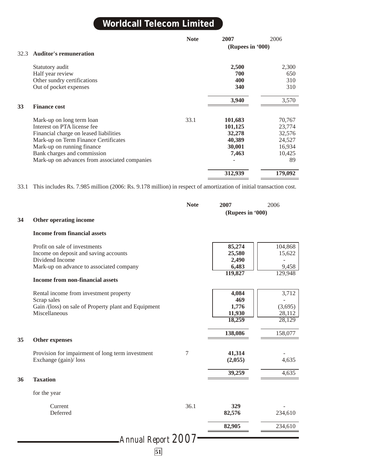|      |                                               | <b>Note</b> | 2007             | 2006    |
|------|-----------------------------------------------|-------------|------------------|---------|
| 32.3 | <b>Auditor's remuneration</b>                 |             | (Rupees in '000) |         |
|      |                                               |             |                  |         |
|      | Statutory audit                               |             | 2,500            | 2,300   |
|      | Half year review                              |             | 700              | 650     |
|      | Other sundry certifications                   |             | 400              | 310     |
|      | Out of pocket expenses                        |             | 340              | 310     |
|      |                                               |             | 3,940            | 3,570   |
| 33   | <b>Finance cost</b>                           |             |                  |         |
|      | Mark-up on long term loan                     | 33.1        | 101,683          | 70,767  |
|      | Interest on PTA license fee                   |             | 101,125          | 23,774  |
|      | Financial charge on leased liabilities        |             | 32,278           | 32,576  |
|      | Mark-up on Term Finance Certificates          |             | 40,389           | 24,527  |
|      | Mark-up on running finance                    |             | 30,001           | 16,934  |
|      | Bank charges and commission                   |             | 7,463            | 10,425  |
|      | Mark-up on advances from associated companies |             |                  | 89      |
|      |                                               |             | 312,939          | 179,092 |

33.1 This includes Rs. 7.985 million (2006: Rs. 9.178 million) in respect of amortization of initial transaction cost.

|    |                                                      | <b>Note</b> | 2007             | 2006             |
|----|------------------------------------------------------|-------------|------------------|------------------|
|    |                                                      |             | (Rupees in '000) |                  |
| 34 | Other operating income                               |             |                  |                  |
|    | <b>Income from financial assets</b>                  |             |                  |                  |
|    | Profit on sale of investments                        |             | 85,274           | 104,868          |
|    | Income on deposit and saving accounts                |             | 25,580           | 15,622           |
|    | Dividend Income                                      |             | 2,490            |                  |
|    | Mark-up on advance to associated company             |             | 6,483<br>119,827 | 9,458<br>129,948 |
|    | Income from non-financial assets                     |             |                  |                  |
|    | Rental income from investment property               |             | 4,084            | 3,712            |
|    | Scrap sales                                          |             | 469              |                  |
|    | Gain /(loss) on sale of Property plant and Equipment |             | 1,776            | (3,695)          |
|    | Miscellaneous                                        |             | 11,930           | 28,112           |
|    |                                                      |             | 18,259           | 28,129           |
|    |                                                      |             | 138,086          | 158,077          |
| 35 | <b>Other expenses</b>                                |             |                  |                  |
|    | Provision for impairment of long term investment     | 7           | 41,314           |                  |
|    | Exchange (gain)/ loss                                |             | (2,055)          | 4,635            |
|    |                                                      |             | 39,259           | 4,635            |
| 36 | <b>Taxation</b>                                      |             |                  |                  |
|    | for the year                                         |             |                  |                  |
|    | Current                                              | 36.1        | 329              |                  |
|    | Deferred                                             |             | 82,576           | 234,610          |
|    |                                                      |             | 82,905           | 234,610          |
|    | Annual Report $2007\,$                               |             |                  |                  |
|    |                                                      |             |                  |                  |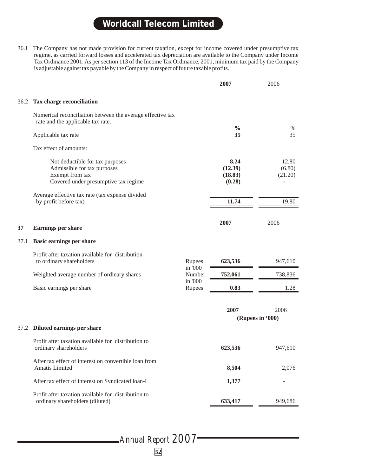36.1 The Company has not made provision for current taxation, except for income covered under presumptive tax regime, as carried forward losses and accelerated tax depreciation are available to the Company under Income Tax Ordinance 2001. As per section 113 of the Income Tax Ordinance, 2001, minimum tax paid by the Company is adjustable against tax payable by the Company in respect of future taxable profits.

|      |                                                                                                                           |                              | 2007                                 | 2006                       |
|------|---------------------------------------------------------------------------------------------------------------------------|------------------------------|--------------------------------------|----------------------------|
| 36.2 | Tax charge reconciliation                                                                                                 |                              |                                      |                            |
|      | Numerical reconciliation between the average effective tax<br>rate and the applicable tax rate.                           |                              | $\frac{0}{0}$                        |                            |
|      | Applicable tax rate                                                                                                       |                              | 35                                   | $\%$<br>35                 |
|      | Tax effect of amounts:                                                                                                    |                              |                                      |                            |
|      | Not deductible for tax purposes<br>Admissible for tax purposes<br>Exempt from tax<br>Covered under presumptive tax regime |                              | 8.24<br>(12.39)<br>(18.83)<br>(0.28) | 12.80<br>(6.80)<br>(21.20) |
|      | Average effective tax rate (tax expense divided<br>by profit before tax)                                                  |                              | 11.74                                | 19.80                      |
| 37   | Earnings per share                                                                                                        |                              | 2007                                 | 2006                       |
| 37.1 | <b>Basic earnings per share</b>                                                                                           |                              |                                      |                            |
|      | Profit after taxation available for distribution<br>to ordinary shareholders                                              | Rupees                       | 623,536                              | 947,610                    |
|      | Weighted average number of ordinary shares                                                                                | in '000<br>Number<br>in '000 | 752,061                              | 738,836                    |
|      | Basic earnings per share                                                                                                  | Rupees                       | 0.83                                 | 1.28                       |
|      |                                                                                                                           |                              | 2007                                 | 2006<br>(Rupees in '000)   |
| 37.2 | Diluted earnings per share                                                                                                |                              |                                      |                            |
|      | Profit after taxation available for distribution to<br>ordinary shareholders                                              |                              | 623,536                              | 947,610                    |
|      | After tax effect of interest on convertible loan from<br>Amatis Limited                                                   |                              | 8,504                                | 2,076                      |
|      | After tax effect of interest on Syndicated loan-I                                                                         |                              | 1,377                                |                            |
|      | Profit after taxation available for distribution to<br>ordinary shareholders (diluted)                                    |                              | 633,417                              | 949,686                    |
|      |                                                                                                                           |                              |                                      |                            |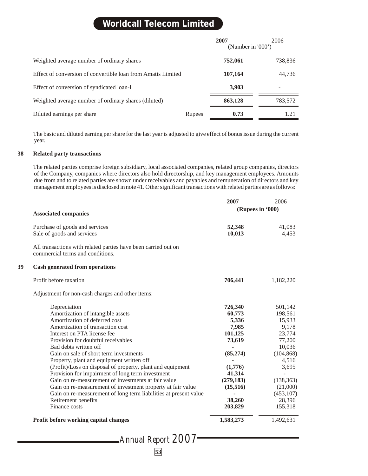|                                                              |        | 2007<br>(Number in $000$ ) | 2006    |
|--------------------------------------------------------------|--------|----------------------------|---------|
| Weighted average number of ordinary shares                   |        | 752,061                    | 738,836 |
| Effect of conversion of convertible loan from Amatis Limited |        | 107,164                    | 44,736  |
| Effect of conversion of syndicated loan-I                    |        | 3,903                      |         |
| Weighted average number of ordinary shares (diluted)         |        | 863,128                    | 783,572 |
| Diluted earnings per share                                   | Rupees | 0.73                       | 1.21    |

The basic and diluted earning per share for the last year is adjusted to give effect of bonus issue during the current year.

#### **38 Related party transactions**

The related parties comprise foreign subsidiary, local associated companies, related group companies, directors of the Company, companies where directors also hold directorship, and key management employees. Amounts due from and to related parties are shown under receivables and payables and remuneration of directors and key management employees is disclosed in note 41. Other significant transactions with related parties are as follows:

|                                                                                                    | 2007             | 2006             |
|----------------------------------------------------------------------------------------------------|------------------|------------------|
| <b>Associated companies</b>                                                                        |                  | (Rupees in '000) |
| Purchase of goods and services<br>Sale of goods and services                                       | 52,348<br>10,013 | 41,083<br>4,453  |
| All transactions with related parties have been carried out on<br>commercial terms and conditions. |                  |                  |
| <b>Cash generated from operations</b>                                                              |                  |                  |
| Profit before taxation                                                                             | 706,441          | 1,182,220        |
| Adjustment for non-cash charges and other items:                                                   |                  |                  |
| Depreciation                                                                                       | 726,340          | 501,142          |
| Amortization of intangible assets                                                                  | 60,773           | 198,561          |
| Amortization of deferred cost                                                                      | 5,336            | 15,933           |
| Amortization of transaction cost                                                                   | 7,985            | 9,178            |
| Interest on PTA license fee                                                                        | 101,125          | 23,774           |
| Provision for doubtful receivables                                                                 | 73,619           | 77,200           |
| Bad debts written off                                                                              |                  | 10,036           |
| Gain on sale of short term investments                                                             | (85,274)         | (104, 868)       |
| Property, plant and equipment written off                                                          |                  | 4,516            |
| (Profit)/Loss on disposal of property, plant and equipment                                         | (1,776)          | 3,695            |
| Provision for impairment of long term investment                                                   | 41,314           |                  |
| Gain on re-measurement of investments at fair value                                                | (279, 183)       | (138, 363)       |
| Gain on re-measurement of investment property at fair value                                        | (15,516)         | (21,000)         |
| Gain on re-measurement of long term liabilities at present value                                   |                  | (453, 107)       |
| Retirement benefits                                                                                | 38,260           | 28,396           |
| Finance costs                                                                                      | 203,829          | 155,318          |
| Profit before working capital changes                                                              | 1,583,273        | 1,492,631        |

Annual Report 2007-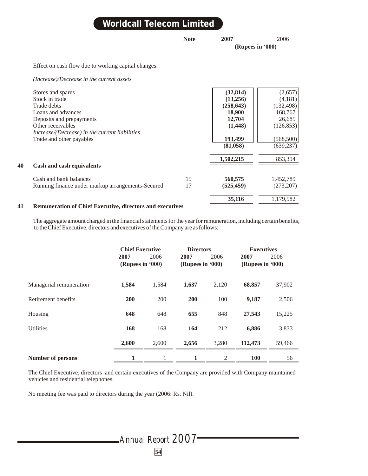**2007** 2006 **Note**

**(Rupees in '000)**

Effect on cash flow due to working capital changes:

*(Increase)/Decrease in the current assets*

|    | Stores and spares                                                |    | (32, 814)  | (2,657)    |
|----|------------------------------------------------------------------|----|------------|------------|
|    | Stock in trade                                                   |    | (13,256)   | (4,181)    |
|    | Trade debts                                                      |    | (258, 643) | (132, 498) |
|    | Loans and advances                                               |    | 18,900     | 168,767    |
|    | Deposits and prepayments                                         |    | 12,704     | 26,685     |
|    | Other receivables                                                |    | (1,448)    | (126, 853) |
|    | Increase/(Decrease) in the current liabilities                   |    |            |            |
|    | Trade and other payables                                         |    | 193,499    | (568, 500) |
|    |                                                                  |    | (81,058)   | (639, 237) |
|    |                                                                  |    | 1,502,215  | 853,394    |
| 40 | Cash and cash equivalents                                        |    |            |            |
|    | Cash and bank balances                                           | 15 | 560,575    | 1,452,789  |
|    | Running finance under markup arrangements-Secured                | 17 | (525, 459) | (273, 207) |
|    |                                                                  |    | 35,116     | 1,179,582  |
| 41 | <b>Remuneration of Chief Executive, directors and executives</b> |    |            |            |

The aggregate amount charged in the financial statements for the year for remuneration, including certain benefits, to the Chief Executive, directors and executives of the Company are as follows:

|                          | <b>Chief Executive</b> |       | <b>Directors</b> |       | <b>Executives</b> |        |
|--------------------------|------------------------|-------|------------------|-------|-------------------|--------|
|                          | 2007                   | 2006  | 2007             | 2006  | 2007              | 2006   |
|                          | (Rupees in '000)       |       | (Rupees in '000) |       | (Rupees in '000)  |        |
| Managerial remuneration  | 1,584                  | 1,584 | 1,637            | 2,120 | 68,857            | 37,902 |
| Retirement benefits      | 200                    | 200   | 200              | 100   | 9,187             | 2,506  |
| Housing                  | 648                    | 648   | 655              | 848   | 27,543            | 15,225 |
| <b>Utilities</b>         | 168                    | 168   | 164              | 212   | 6,886             | 3,833  |
|                          | 2,600                  | 2,600 | 2,656            | 3,280 | 112,473           | 59,466 |
| <b>Number of persons</b> | 1                      |       | 1                | 2     | <b>100</b>        | 56     |

The Chief Executive, directors and certain executives of the Company are provided with Company maintained vehicles and residential telephones.

No meeting fee was paid to directors during the year (2006: Rs. Nil).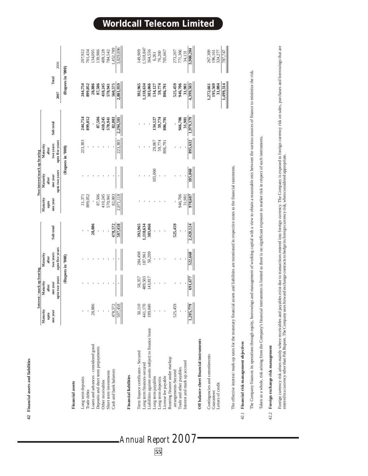|                                                                                                                                                       |                    | Interest / mark up bearing |                              |                    |                     | Non interest/mark up bearing |                              |                     |                      |                        |
|-------------------------------------------------------------------------------------------------------------------------------------------------------|--------------------|----------------------------|------------------------------|--------------------|---------------------|------------------------------|------------------------------|---------------------|----------------------|------------------------|
|                                                                                                                                                       | Maturity<br>upto   | Maturity<br>after          | Maturity<br>after            |                    | Maturity<br>upto    | Maturity<br>after            | Maturity<br>after            |                     |                      |                        |
|                                                                                                                                                       | one year           | upto two years<br>one year | upto five years<br>two years | Sub total          | one year            | upto two years<br>one year   | upto five years<br>two years | Sub total           | Total<br>2007        | 2006                   |
|                                                                                                                                                       |                    |                            | (Rupees in '000)             |                    |                     |                              | (Rupees in '000)             |                     | (Rupees in '000)     |                        |
| <b>Financial</b> assets                                                                                                                               |                    |                            |                              |                    |                     |                              |                              |                     |                      |                        |
| Long term deposits                                                                                                                                    |                    |                            |                              |                    |                     |                              | 223,383                      | 244,754             | 244,754              | 207,922                |
| Trade debts                                                                                                                                           |                    |                            |                              |                    | 21,371<br>899,052   |                              |                              | 899,052             | 899,052              | 701,434                |
| Loans and advances - considered good                                                                                                                  | 28,886             |                            |                              | 28,886             |                     |                              |                              |                     |                      | 134,095                |
| Deposits and short term prepayments                                                                                                                   |                    |                            |                              |                    | 87,506              |                              |                              | 87,506              | 28,886<br>87,506     | 139,986                |
| Other receivables                                                                                                                                     |                    |                            |                              |                    | 410,245             |                              |                              | 410,245             | 410,245              | 409,128                |
| Short term investments                                                                                                                                |                    |                            |                              |                    | 570,941             |                              |                              | 570,941             | 570,941              | 784,542                |
| Cash and bank balances                                                                                                                                | 478,572<br>507,458 |                            |                              | 478,572<br>507,458 | 82,003<br>2,071,118 |                              | 223,383                      | 82,003<br>2,294,501 | 560,575<br>2,801,959 | 3,829,896<br>1,452,789 |
|                                                                                                                                                       |                    |                            |                              |                    |                     |                              |                              |                     |                      |                        |
| <b>Financial liabilities</b>                                                                                                                          |                    |                            |                              |                    |                     |                              |                              |                     |                      |                        |
| Term finance certificates - Secured                                                                                                                   | 50,110             | 58,357                     | 284,498<br>187,961           | 392,965            |                     |                              |                              |                     | 392,965              | 149,909                |
| Long term finances-secured                                                                                                                            | 441,170            | 489,503                    |                              | 1,118,634          |                     |                              |                              |                     | 1,118,634            | ,518,847               |
| Liabilities against assets subject to finance lease                                                                                                   | 189,040            | 143,817                    | 50,209                       | 383,066            |                     |                              |                              |                     | 383,066              | 364,556                |
| Long term payables                                                                                                                                    |                    |                            |                              |                    |                     | 105,060                      | 29,067<br>59,774             | 134,127             | 134,127              | 6,261                  |
| Long term deposits                                                                                                                                    |                    |                            |                              |                    |                     |                              |                              | 59,774              | 59,774               | 76,260                 |
| License fee payable                                                                                                                                   |                    |                            |                              |                    |                     |                              | 806,791                      | 806,791             | 806,791              | 705,667                |
| Running finance under markup                                                                                                                          |                    |                            |                              |                    |                     |                              |                              |                     |                      |                        |
| arrangements-Secured                                                                                                                                  | 525,459            |                            |                              | 525,459            |                     |                              |                              |                     | 525,459              | 273,207                |
| Trade and other payables                                                                                                                              |                    |                            |                              |                    | 946,706             |                              |                              | 946,706             | 946,706              | 771,366                |
| Interest and mark up accrued                                                                                                                          |                    |                            |                              |                    | 31,981              |                              |                              | 31,981              | 31,981               | 34,131                 |
|                                                                                                                                                       | 1,205,779          | $\frac{691,677}{$          | 522,668                      | 2,420,124          | 978,687             | 105,060                      | 895,632                      | 1,979,379           | 4,399,503            | 3,900,204              |
| Off balance sheet financial instruments                                                                                                               |                    |                            |                              |                    |                     |                              |                              |                     |                      |                        |
|                                                                                                                                                       |                    |                            |                              |                    |                     |                              |                              |                     |                      |                        |
| Contingencies and commitments<br>Guarantees                                                                                                           |                    |                            |                              |                    |                     |                              |                              |                     | 195,569<br>1,272,661 | 267,309<br>196,161     |
| Letters of credit                                                                                                                                     |                    |                            |                              |                    |                     |                              |                              |                     | 31,084               | 324,277                |
|                                                                                                                                                       |                    |                            |                              |                    |                     |                              |                              |                     | 1,499,314            | 787,747                |
| The effective interest/mark-up rates for the monetary financial assets and liabilities are mentioned in respective notes to the financial statements. |                    |                            |                              |                    |                     |                              |                              |                     |                      |                        |

**55**

 $\blacksquare$ Annual Report  $2007$ 

**42 Financial assets and liabilities**

42 Financial assets and liabilities

# 42.1 Financial risk management objectives 42.1 **Financial risk management objectives**

The Company finances its operations through equity, borrowings and management of working capital with a view to obtain a reasonable mix between the various sources of finance to minimize the risk. The Company finances its operations through equity, borrowings and management of working capital with a view to obtain a reasonable mix between the various sources of finance to minimize the risk.

Taken as a whole, risk arising from the Company's financial instruments is limited as there is no significant exposure to market risk in respect of such instruments. Taken as a whole, risk arising from the Company's financial instruments is limited as there is no significant exposure to market risk in respect of such instruments.

## Foreign exchange risk management 42.2 **Foreign exchange risk management**  $42.2$

Foreign currency risk arises mainly where receivables and payables exist due to transactions entered into foreign currency. The Company is exposed to foreign currency risk on sales, purchases and borrowings that are entere Foreign currency risk arises mainly where receivables and payables exist due to transactions entered into foreign currency. The Company is exposed to foreign currency risk on sales, purchases and borrowings that are entered in a currency otherthan PakRupees.TheCompany usesforward exchange contractsto hedge itsforeign currency risk, when considered appropriate.

## **Worldcall Telecom Limited**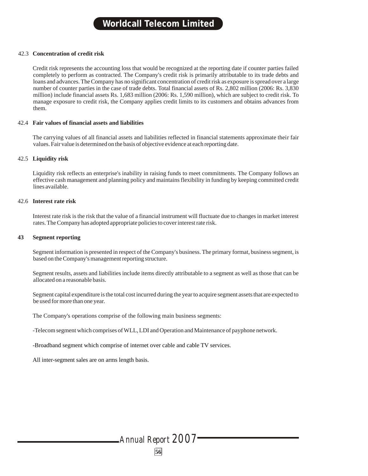## 42.3 **Concentration of credit risk**

Credit risk represents the accounting loss that would be recognized at the reporting date if counter parties failed completely to perform as contracted. The Company's credit risk is primarily attributable to its trade debts and loans and advances. The Company has no significant concentration of credit risk as exposure is spread over a large number of counter parties in the case of trade debts. Total financial assets of Rs. 2,802 million (2006: Rs. 3,830 million) include financial assets Rs. 1,683 million (2006: Rs. 1,590 million), which are subject to credit risk. To manage exposure to credit risk, the Company applies credit limits to its customers and obtains advances from them.

#### 42.4 **Fair values of financial assets and liabilities**

The carrying values of all financial assets and liabilities reflected in financial statements approximate their fair values. Fair value is determined on the basis of objective evidence at each reporting date.

#### 42.5 **Liquidity risk**

Liquidity risk reflects an enterprise's inability in raising funds to meet commitments. The Company follows an effective cash management and planning policy and maintains flexibility in funding by keeping committed credit lines available.

#### 42.6 **Interest rate risk**

Interest rate risk is the risk that the value of a financial instrument will fluctuate due to changes in market interest rates. The Company has adopted appropriate policies to cover interest rate risk.

#### **43 Segment reporting**

Segment information is presented in respect of the Company's business. The primary format, business segment, is based on the Company's management reporting structure.

Segment results, assets and liabilities include items directly attributable to a segment as well as those that can be allocated on a reasonable basis.

Segment capital expenditure is the total cost incurred during the year to acquire segment assets that are expected to be used for more than one year.

The Company's operations comprise of the following main business segments:

-Telecom segment which comprises of WLL, LDI and Operation and Maintenance of payphone network.

-Broadband segment which comprise of internet over cable and cable TV services.

All inter-segment sales are on arms length basis.

Annual Report  $2007\cdot$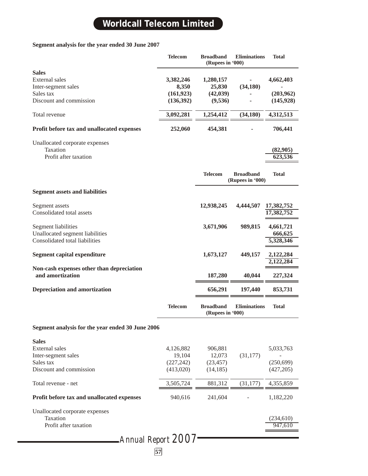## **Segment analysis for the year ended 30 June 2007**

|                                                  | <b>Telecom</b>          | <b>Broadband</b><br>(Rupees in '000) | <b>Eliminations</b>                  | <b>Total</b>             |
|--------------------------------------------------|-------------------------|--------------------------------------|--------------------------------------|--------------------------|
| <b>Sales</b>                                     |                         |                                      |                                      |                          |
| External sales                                   | 3,382,246               | 1,280,157                            |                                      | 4,662,403                |
| Inter-segment sales<br>Sales tax                 | 8,350                   | 25,830                               | (34, 180)                            |                          |
| Discount and commission                          | (161, 923)<br>(136,392) | (42, 039)<br>(9,536)                 |                                      | (203,962)<br>(145, 928)  |
|                                                  |                         |                                      |                                      |                          |
| Total revenue                                    | 3,092,281               | 1,254,412                            | (34, 180)                            | 4,312,513                |
| Profit before tax and unallocated expenses       | 252,060                 | 454,381                              |                                      | 706,441                  |
| Unallocated corporate expenses                   |                         |                                      |                                      |                          |
| Taxation<br>Profit after taxation                |                         |                                      |                                      | (82,905)<br>623,536      |
|                                                  |                         |                                      |                                      |                          |
|                                                  |                         | Telecom                              | <b>Broadband</b><br>(Rupees in '000) | <b>Total</b>             |
| <b>Segment assets and liabilities</b>            |                         |                                      |                                      |                          |
| Segment assets                                   |                         | 12,938,245                           | 4,444,507                            | 17,382,752               |
| Consolidated total assets                        |                         |                                      |                                      | 17,382,752               |
| Segment liabilities                              |                         | 3,671,906                            | 989,815                              | 4,661,721                |
| Unallocated segment liabilities                  |                         |                                      |                                      | 666,625                  |
| Consolidated total liabilities                   |                         |                                      |                                      | 5,328,346                |
| <b>Segment capital expenditure</b>               |                         | 1,673,127                            | 449,157                              | 2,122,284                |
| Non-cash expenses other than depreciation        |                         |                                      |                                      | 2.122.284                |
| and amortization                                 |                         | 187,280                              | 40,044                               | 227,324                  |
| Depreciation and amortization                    |                         | 656,291                              | 197,440                              | 853,731                  |
|                                                  | <b>Telecom</b>          | <b>Broadband</b><br>(Rupees in '000) | <b>Eliminations</b>                  | <b>Total</b>             |
| Segment analysis for the year ended 30 June 2006 |                         |                                      |                                      |                          |
| <b>Sales</b>                                     |                         |                                      |                                      |                          |
| External sales                                   | 4,126,882               | 906,881                              |                                      | 5,033,763                |
| Inter-segment sales                              | 19,104                  | 12,073                               | (31, 177)                            | $\overline{\phantom{0}}$ |
| Sales tax<br>Discount and commission             | (227, 242)<br>(413,020) | (23, 457)<br>(14, 185)               |                                      | (250, 699)<br>(427, 205) |
|                                                  |                         |                                      |                                      |                          |
| Total revenue - net                              | 3,505,724               | 881,312                              | (31, 177)                            | 4,355,859                |
| Profit before tax and unallocated expenses       | 940,616                 | 241,604                              |                                      | 1,182,220                |
| Unallocated corporate expenses                   |                         |                                      |                                      |                          |
| Taxation                                         |                         |                                      |                                      | (234,610)                |
| Profit after taxation                            |                         |                                      |                                      | 947,610                  |
| Annual Report $2007^\prime$                      |                         |                                      |                                      |                          |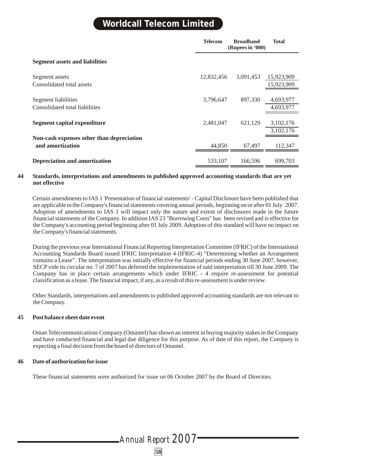|                                           | <b>Telecom</b> | <b>Broadband</b><br>(Rupees in '000) | <b>Total</b> |
|-------------------------------------------|----------------|--------------------------------------|--------------|
| <b>Segment assets and liabilities</b>     |                |                                      |              |
| Segment assets                            | 12,832,456     | 3,091,453                            | 15,923,909   |
| Consolidated total assets                 |                |                                      | 15,923,909   |
|                                           |                |                                      |              |
| Segment liabilities                       | 3,796,647      | 897,330                              | 4,693,977    |
| Consolidated total liabilities            |                |                                      | 4,693,977    |
|                                           |                |                                      |              |
| <b>Segment capital expenditure</b>        | 2,481,047      | 621,129                              | 3,102,176    |
|                                           |                |                                      | 3,102,176    |
| Non-cash expenses other than depreciation |                |                                      |              |
| and amortization                          | 44,850         | 67.497                               | 112,347      |
|                                           |                |                                      |              |
| <b>Depreciation and amortization</b>      | 533,107        | 166,596                              | 699.703      |

#### **44 Standards, interpretations and amendments to published approved accounting standards that are yet not effective**

Certain amendments to IAS 1 'Presentation of financial statements' - Capital Disclosure have been published that are applicable to the Company's financial statements covering annual periods, beginning on or after 01 July 2007. Adoption of amendments to IAS 1 will impact only the nature and extent of disclosures made in the future financial statements of the Company. In addition IAS 23 "Borrowing Costs" has been revised and is effective for the Company's accounting period beginning after 01 July 2009. Adoption of this standard will have no impact on the Company's financial statements.

During the previous year International Financial Reporting Interpretation Committee (IFRIC) of the International Accounting Standards Board issued IFRIC Interpretation 4 (IFRIC-4) "Determining whether an Arrangement contains a Lease". The interpretation was initially effective for financial periods ending 30 June 2007, however, SECP vide its circular no. 7 of 2007 has deferred the implementation of said interpretation till 30 June 2009. The Company has in place certain arrangements which under IFRIC - 4 require re-assessment for potential classification as a lease. The financial impact, if any, as a result of this re-assessment is under review.

Other Standards, interpretations and amendments to published approved accounting standards are not relevant to the Company.

## **45 Post balance sheet date event**

Oman Telecommunications Company (Omantel) has shown an interest in buying majority stakes in the Company and have conducted financial and legal due diligence for this purpose. As of date of this report, the Company is expecting a final decision from the board of directors of Omantel.

## **46 Date of authorization for issue**

These financial statements were authorized for issue on 06 October 2007 by the Board of Directors.

Annual Report 2007-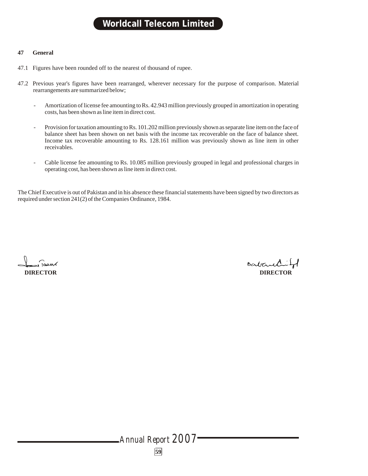## **47 General**

- 47.1 Figures have been rounded off to the nearest of thousand of rupee.
- 47.2 Previous year's figures have been rearranged, wherever necessary for the purpose of comparison. Material rearrangements are summarized below;
	- Amortization of license fee amounting to Rs. 42.943 million previously grouped in amortization in operating costs, has been shown as line item in direct cost.
	- Provision for taxation amounting to Rs. 101.202 million previously shown as separate line item on the face of balance sheet has been shown on net basis with the income tax recoverable on the face of balance sheet. Income tax recoverable amounting to Rs. 128.161 million was previously shown as line item in other receivables.
	- Cable license fee amounting to Rs. 10.085 million previously grouped in legal and professional charges in operating cost, has been shown as line item in direct cost.

The Chief Executive is out of Pakistan and in his absence these financial statements have been signed by two directors as required under section 241(2) of the Companies Ordinance, 1984.

10 Taser

Babardity **DIRECTOR DIRECTOR**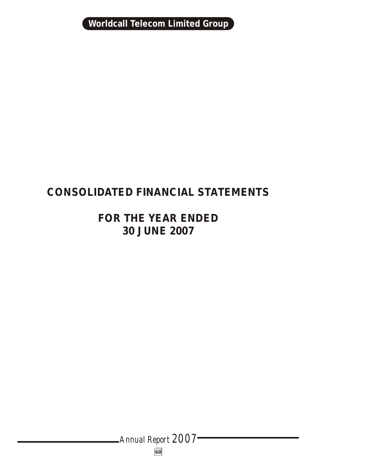## **CONSOLIDATED FINANCIAL STATEMENTS**

**FOR THE YEAR ENDED 30 JUNE 2007**

 $\blacksquare$ Annual Report  $2007$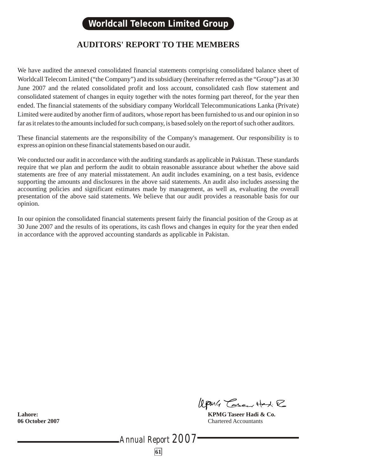## **AUDITORS' REPORT TO THE MEMBERS**

We have audited the annexed consolidated financial statements comprising consolidated balance sheet of Worldcall Telecom Limited ("the Company") and its subsidiary (hereinafter referred as the "Group") as at 30 June 2007 and the related consolidated profit and loss account, consolidated cash flow statement and consolidated statement of changes in equity together with the notes forming part thereof, for the year then ended. The financial statements of the subsidiary company Worldcall Telecommunications Lanka (Private) Limited were audited by another firm of auditors, whose report has been furnished to us and our opinion in so far as it relates to the amounts included for such company, is based solely on the report of such other auditors.

These financial statements are the responsibility of the Company's management. Our responsibility is to express an opinion on these financial statements based on our audit.

We conducted our audit in accordance with the auditing standards as applicable in Pakistan. These standards require that we plan and perform the audit to obtain reasonable assurance about whether the above said statements are free of any material misstatement. An audit includes examining, on a test basis, evidence supporting the amounts and disclosures in the above said statements. An audit also includes assessing the accounting policies and significant estimates made by management, as well as, evaluating the overall presentation of the above said statements. We believe that our audit provides a reasonable basis for our opinion.

In our opinion the consolidated financial statements present fairly the financial position of the Group as at 30 June 2007 and the results of its operations, its cash flows and changes in equity for the year then ended in accordance with the approved accounting standards as applicable in Pakistan.

Report Cosen Had R

**Lahore: KPMG Taseer Hadi & Co.**<br> **Character 2007 Character Constants Constants Chartered Accountants** 

Annual Report  $2007\textcolor{red}{\bullet}$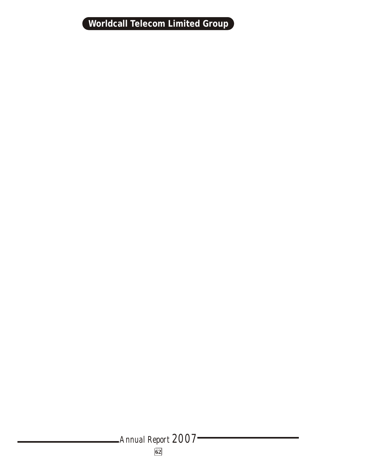Annual Report 2007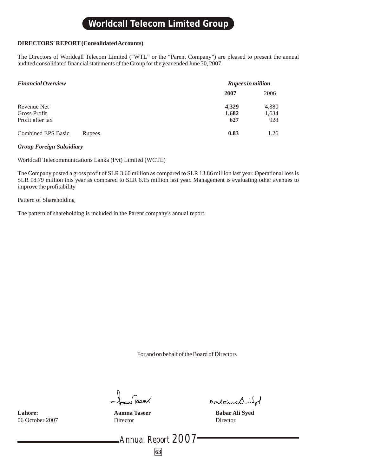#### **DIRECTORS' REPORT (Consolidated Accounts)**

The Directors of Worldcall Telecom Limited ("WTL" or the "Parent Company") are pleased to present the annual audited consolidated financial statements of the Group for the year ended June 30, 2007.

| <b>Financial Overview</b>                       |        |                       | <b>Rupees in million</b> |  |  |
|-------------------------------------------------|--------|-----------------------|--------------------------|--|--|
|                                                 |        | 2007                  | 2006                     |  |  |
| Revenue Net<br>Gross Profit<br>Profit after tax |        | 4,329<br>1,682<br>627 | 4,380<br>1,634<br>928    |  |  |
| Combined EPS Basic                              | Rupees | 0.83                  | 1.26                     |  |  |

#### *Group Foreign Subsidiary*

Worldcall Telecommunications Lanka (Pvt) Limited (WCTL)

The Company posted a gross profit of SLR 3.60 million as compared to SLR 13.86 million last year. Operational loss is SLR 18.79 million this year as compared to SLR 6.15 million last year. Management is evaluating other avenues to improve the profitability

Pattern of Shareholding

The pattern of shareholding is included in the Parent company's annual report.

For and on behalf of the Board of Directors

we laser

Babardif

**Lahore: Aamna Taseer Babar Ali Syed**

06 October 2007 Director Director

Annual Report 2007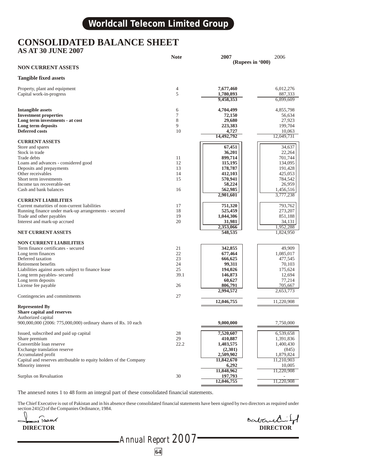## **CONSOLIDATED BALANCE SHEET AS AT 30 JUNE 2007**

|                                                                    | <b>Note</b>    | 2007             | 2006       |
|--------------------------------------------------------------------|----------------|------------------|------------|
|                                                                    |                | (Rupees in '000) |            |
| <b>NON CURRENT ASSETS</b>                                          |                |                  |            |
|                                                                    |                |                  |            |
| <b>Tangible fixed assets</b>                                       |                |                  |            |
|                                                                    |                |                  |            |
| Property, plant and equipment                                      | $\overline{4}$ | 7,677,460        | 6,012,276  |
| Capital work-in-progress                                           | 5              | 1,780,893        | 887,333    |
|                                                                    |                | 9,458,353        | 6,899,609  |
|                                                                    |                |                  |            |
| <b>Intangible assets</b>                                           | 6              | 4,704,499        | 4,855,798  |
| <b>Investment properties</b>                                       | 7              | 72,150           | 56,634     |
| Long term investments - at cost                                    | 8              | 29,680           | 27,923     |
| Long term deposits                                                 | 9              | 223,383          | 199,704    |
| <b>Deferred costs</b>                                              | 10             | 4,727            | 10,063     |
|                                                                    |                | 14,492,792       | 12,049,731 |
| <b>CURRENT ASSETS</b>                                              |                |                  |            |
| Store and spares                                                   |                | 67,451           | 34,637     |
|                                                                    |                |                  |            |
| Stock in trade                                                     |                | 36,201           | 22,264     |
| Trade debts                                                        | 11             | 899,714          | 701,744    |
| Loans and advances - considered good                               | 12             | 115,195          | 134,095    |
| Deposits and prepayments                                           | 13             | 178,787          | 191,428    |
| Other receivables                                                  | 14             | 412,103          | 425,053    |
| Short term investments                                             | 15             | 570,941          | 784,542    |
| Income tax recoverable-net                                         |                | 58,224           | 26,959     |
| Cash and bank balances                                             | 16             | 562,985          | 1,456,516  |
|                                                                    |                |                  |            |
|                                                                    |                | 2,901,601        | 3,777,238  |
| <b>CURRENT LIABILITIES</b>                                         |                |                  |            |
| Current maturities of non-current liabilities                      | 17             | 751,320          | 793,762    |
| Running finance under mark-up arrangements - secured               | 18             | 525,459          | 273,207    |
| Trade and other payables                                           | 19             | 1,044,306        | 851,188    |
| Interest and mark-up accrued                                       | 20             | 31,981           | 34,131     |
|                                                                    |                | 2,353,066        | 1,952,288  |
| <b>NET CURRENT ASSETS</b>                                          |                | 548,535          | 1,824,950  |
|                                                                    |                |                  |            |
| <b>NON CURRENT LIABILITIES</b>                                     |                |                  |            |
| Term finance certificates - secured                                | 21             | 342,855          | 49,909     |
| Long term finances                                                 | 22             | 677,464          | 1,085,017  |
| Deferred taxation                                                  | 23             | 666,625          | 477,545    |
|                                                                    |                |                  |            |
| Retirement benefits                                                | 24             | 99,311           | 70,103     |
| Liabilities against assets subject to finance lease                | 25             | 194,026          | 175,624    |
| Long term payables- secured                                        | 39.1           | 146,873          | 12,694     |
| Long term deposits                                                 |                | 60,627           | 77,214     |
| License fee payable                                                | 26             | 806,791          | 705,667    |
|                                                                    |                | 2,994,572        | 2,653,773  |
| Contingencies and commitments                                      | 27             |                  |            |
|                                                                    |                | 12,046,755       | 11,220,908 |
| <b>Represented By</b>                                              |                |                  |            |
| Share capital and reserves                                         |                |                  |            |
| Authorized capital                                                 |                |                  |            |
| 900,000,000 (2006: 775,000,000) ordinary shares of Rs. 10 each     |                | 9,000,000        | 7,750,000  |
|                                                                    |                |                  |            |
|                                                                    |                |                  |            |
| Issued, subscribed and paid up capital                             | 28             | 7,520,607        | 6,539,658  |
| Share premium                                                      | 29             | 410,887          | 1,391,836  |
| Convertible loan reserve                                           | 22.2           | 1,403,575        | 1,400,430  |
| Exchange translation reserve                                       |                | (2,301)          | (845)      |
| Accumulated profit                                                 |                | 2,509,902        | 1,879,824  |
| Capital and reserves attributable to equity holders of the Company |                | 11,842,670       | 11.210.903 |
| Minority interest                                                  |                | 6,292            | 10,005     |
|                                                                    |                | 11,848,962       | 11,220,908 |
| Surplus on Revaluation                                             | 30             | 197,793          |            |
|                                                                    |                |                  |            |
|                                                                    |                | 12,046,755       | 11,220,908 |

The annexed notes 1 to 48 form an integral part of these consolidated financial statements.

The Chief Executive is out of Pakistan and in his absence these consolidated financial statements have been signed by two directors as required under section 241(2) of the Companies Ordinance, 1984.

we laser

**DIRECTOR DIRECTOR DIRECTOR** 

Annual Report 2007-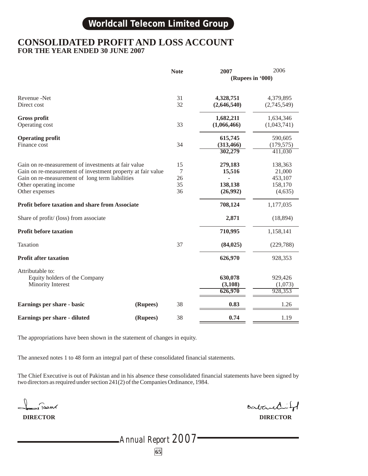## **CONSOLIDATED PROFIT AND LOSS ACCOUNT FOR THE YEAR ENDED 30 JUNE 2007**

|                                                             |          | <b>Note</b> | 2007             | 2006        |  |
|-------------------------------------------------------------|----------|-------------|------------------|-------------|--|
|                                                             |          |             | (Rupees in '000) |             |  |
| Revenue -Net                                                |          | 31          | 4,328,751        | 4,379,895   |  |
| Direct cost                                                 |          | 32          | (2,646,540)      | (2,745,549) |  |
| <b>Gross profit</b>                                         |          |             | 1,682,211        | 1,634,346   |  |
| Operating cost                                              |          | 33          | (1,066,466)      | (1,043,741) |  |
| <b>Operating profit</b>                                     |          |             | 615,745          | 590,605     |  |
| Finance cost                                                |          | 34          | (313, 466)       | (179, 575)  |  |
|                                                             |          |             | 302,279          | 411,030     |  |
| Gain on re-measurement of investments at fair value         |          | 15          | 279,183          | 138,363     |  |
| Gain on re-measurement of investment property at fair value |          | 7           | 15,516           | 21,000      |  |
| Gain on re-measurement of long term liabilities             |          | 26          |                  | 453,107     |  |
| Other operating income                                      |          | 35          | 138,138          | 158,170     |  |
| Other expenses                                              |          | 36          | (26,992)         | (4,635)     |  |
| <b>Profit before taxation and share from Associate</b>      |          |             | 708,124          | 1,177,035   |  |
| Share of profit/ (loss) from associate                      |          |             | 2,871            | (18, 894)   |  |
| <b>Profit before taxation</b>                               |          |             | 710,995          | 1,158,141   |  |
| Taxation                                                    |          | 37          | (84, 025)        | (229, 788)  |  |
| <b>Profit after taxation</b>                                |          |             | 626,970          | 928,353     |  |
| Attributable to:                                            |          |             |                  |             |  |
| Equity holders of the Company                               |          |             | 630,078          | 929,426     |  |
| Minority Interest                                           |          |             | (3,108)          | (1,073)     |  |
|                                                             |          |             | 626,970          | 928,353     |  |
| Earnings per share - basic                                  | (Rupees) | 38          | 0.83             | 1.26        |  |
| Earnings per share - diluted                                | (Rupees) | 38          | 0.74             | 1.19        |  |

The appropriations have been shown in the statement of changes in equity.

The annexed notes 1 to 48 form an integral part of these consolidated financial statements.

The Chief Executive is out of Pakistan and in his absence these consolidated financial statements have been signed by two directors as required under section 241(2) of the Companies Ordinance, 1984.

 $\int$ lasev $\ell$ 

Babardif **DIRECTOR DIRECTOR**

Annual Report 2007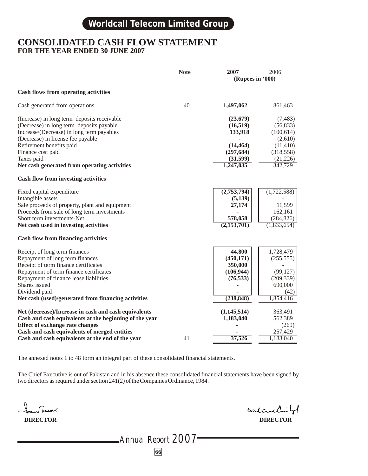## **CONSOLIDATED CASH FLOW STATEMENT FOR THE YEAR ENDED 30 JUNE 2007**

| <b>Cash flows from operating activities</b><br>40<br>Cash generated from operations<br>1,497,062<br>861,463<br>(Increase) in long term deposits receivable<br>(23,679)<br>(7, 483)<br>(Decrease) in long term deposits payable<br>(16, 519)<br>(56, 833)<br>Increase/(Decrease) in long term payables<br>133,918<br>(100, 614)<br>(Decrease) in license fee payable<br>(2,610)<br>Retirement benefits paid<br>(14, 464)<br>(11, 410)<br>(297, 684)<br>Finance cost paid<br>(318, 558)<br>Taxes paid<br>(31,599)<br>(21, 226)<br>1,247,035<br>Net cash generated from operating activities<br>342,729<br><b>Cash flow from investing activities</b><br>(2,753,794)<br>(1,722,588)<br>Fixed capital expenditure<br>Intangible assets<br>(5,139)<br>Sale proceeds of property, plant and equipment<br>27,174<br>11,599<br>Proceeds from sale of long term investments<br>162,161<br>Short term investments-Net<br>578,058<br>(284, 826)<br>(2,153,701)<br>(1,833,654)<br>Net cash used in investing activities<br><b>Cash flow from financing activities</b><br>Receipt of long term finances<br>44,800<br>1,728,479<br>Repayment of long term finances<br>(450, 171)<br>(255, 555)<br>Receipt of term finance certificates<br>350,000<br>Repayment of term finance certificates<br>(106, 944)<br>(99, 127)<br>Repayment of finance lease liabilities<br>(76, 533)<br>(209, 339)<br>Shares issued<br>690,000<br>Dividend paid<br>(42)<br>(238, 848)<br>1,854,416<br>Net cash (used)/generated from financing activities<br>Net (decrease)/Increase in cash and cash equivalents<br>(1, 145, 514)<br>363,491<br>Cash and cash equivalents at the beginning of the year<br>562,389<br>1,183,040<br><b>Effect of exchange rate changes</b><br>(269)<br>Cash and cash equivalents of merged entities<br>257,429<br>37,526<br>Cash and cash equivalents at the end of the year<br>41<br>1,183,040 | <b>Note</b> | 2007<br>(Rupees in '000) | 2006 |
|-------------------------------------------------------------------------------------------------------------------------------------------------------------------------------------------------------------------------------------------------------------------------------------------------------------------------------------------------------------------------------------------------------------------------------------------------------------------------------------------------------------------------------------------------------------------------------------------------------------------------------------------------------------------------------------------------------------------------------------------------------------------------------------------------------------------------------------------------------------------------------------------------------------------------------------------------------------------------------------------------------------------------------------------------------------------------------------------------------------------------------------------------------------------------------------------------------------------------------------------------------------------------------------------------------------------------------------------------------------------------------------------------------------------------------------------------------------------------------------------------------------------------------------------------------------------------------------------------------------------------------------------------------------------------------------------------------------------------------------------------------------------------------------------------------------------------------------------------------------------------------------------|-------------|--------------------------|------|
|                                                                                                                                                                                                                                                                                                                                                                                                                                                                                                                                                                                                                                                                                                                                                                                                                                                                                                                                                                                                                                                                                                                                                                                                                                                                                                                                                                                                                                                                                                                                                                                                                                                                                                                                                                                                                                                                                           |             |                          |      |
|                                                                                                                                                                                                                                                                                                                                                                                                                                                                                                                                                                                                                                                                                                                                                                                                                                                                                                                                                                                                                                                                                                                                                                                                                                                                                                                                                                                                                                                                                                                                                                                                                                                                                                                                                                                                                                                                                           |             |                          |      |
|                                                                                                                                                                                                                                                                                                                                                                                                                                                                                                                                                                                                                                                                                                                                                                                                                                                                                                                                                                                                                                                                                                                                                                                                                                                                                                                                                                                                                                                                                                                                                                                                                                                                                                                                                                                                                                                                                           |             |                          |      |
|                                                                                                                                                                                                                                                                                                                                                                                                                                                                                                                                                                                                                                                                                                                                                                                                                                                                                                                                                                                                                                                                                                                                                                                                                                                                                                                                                                                                                                                                                                                                                                                                                                                                                                                                                                                                                                                                                           |             |                          |      |
|                                                                                                                                                                                                                                                                                                                                                                                                                                                                                                                                                                                                                                                                                                                                                                                                                                                                                                                                                                                                                                                                                                                                                                                                                                                                                                                                                                                                                                                                                                                                                                                                                                                                                                                                                                                                                                                                                           |             |                          |      |
|                                                                                                                                                                                                                                                                                                                                                                                                                                                                                                                                                                                                                                                                                                                                                                                                                                                                                                                                                                                                                                                                                                                                                                                                                                                                                                                                                                                                                                                                                                                                                                                                                                                                                                                                                                                                                                                                                           |             |                          |      |
|                                                                                                                                                                                                                                                                                                                                                                                                                                                                                                                                                                                                                                                                                                                                                                                                                                                                                                                                                                                                                                                                                                                                                                                                                                                                                                                                                                                                                                                                                                                                                                                                                                                                                                                                                                                                                                                                                           |             |                          |      |
|                                                                                                                                                                                                                                                                                                                                                                                                                                                                                                                                                                                                                                                                                                                                                                                                                                                                                                                                                                                                                                                                                                                                                                                                                                                                                                                                                                                                                                                                                                                                                                                                                                                                                                                                                                                                                                                                                           |             |                          |      |
|                                                                                                                                                                                                                                                                                                                                                                                                                                                                                                                                                                                                                                                                                                                                                                                                                                                                                                                                                                                                                                                                                                                                                                                                                                                                                                                                                                                                                                                                                                                                                                                                                                                                                                                                                                                                                                                                                           |             |                          |      |
|                                                                                                                                                                                                                                                                                                                                                                                                                                                                                                                                                                                                                                                                                                                                                                                                                                                                                                                                                                                                                                                                                                                                                                                                                                                                                                                                                                                                                                                                                                                                                                                                                                                                                                                                                                                                                                                                                           |             |                          |      |
|                                                                                                                                                                                                                                                                                                                                                                                                                                                                                                                                                                                                                                                                                                                                                                                                                                                                                                                                                                                                                                                                                                                                                                                                                                                                                                                                                                                                                                                                                                                                                                                                                                                                                                                                                                                                                                                                                           |             |                          |      |
|                                                                                                                                                                                                                                                                                                                                                                                                                                                                                                                                                                                                                                                                                                                                                                                                                                                                                                                                                                                                                                                                                                                                                                                                                                                                                                                                                                                                                                                                                                                                                                                                                                                                                                                                                                                                                                                                                           |             |                          |      |
|                                                                                                                                                                                                                                                                                                                                                                                                                                                                                                                                                                                                                                                                                                                                                                                                                                                                                                                                                                                                                                                                                                                                                                                                                                                                                                                                                                                                                                                                                                                                                                                                                                                                                                                                                                                                                                                                                           |             |                          |      |
|                                                                                                                                                                                                                                                                                                                                                                                                                                                                                                                                                                                                                                                                                                                                                                                                                                                                                                                                                                                                                                                                                                                                                                                                                                                                                                                                                                                                                                                                                                                                                                                                                                                                                                                                                                                                                                                                                           |             |                          |      |
|                                                                                                                                                                                                                                                                                                                                                                                                                                                                                                                                                                                                                                                                                                                                                                                                                                                                                                                                                                                                                                                                                                                                                                                                                                                                                                                                                                                                                                                                                                                                                                                                                                                                                                                                                                                                                                                                                           |             |                          |      |
|                                                                                                                                                                                                                                                                                                                                                                                                                                                                                                                                                                                                                                                                                                                                                                                                                                                                                                                                                                                                                                                                                                                                                                                                                                                                                                                                                                                                                                                                                                                                                                                                                                                                                                                                                                                                                                                                                           |             |                          |      |
|                                                                                                                                                                                                                                                                                                                                                                                                                                                                                                                                                                                                                                                                                                                                                                                                                                                                                                                                                                                                                                                                                                                                                                                                                                                                                                                                                                                                                                                                                                                                                                                                                                                                                                                                                                                                                                                                                           |             |                          |      |
|                                                                                                                                                                                                                                                                                                                                                                                                                                                                                                                                                                                                                                                                                                                                                                                                                                                                                                                                                                                                                                                                                                                                                                                                                                                                                                                                                                                                                                                                                                                                                                                                                                                                                                                                                                                                                                                                                           |             |                          |      |
|                                                                                                                                                                                                                                                                                                                                                                                                                                                                                                                                                                                                                                                                                                                                                                                                                                                                                                                                                                                                                                                                                                                                                                                                                                                                                                                                                                                                                                                                                                                                                                                                                                                                                                                                                                                                                                                                                           |             |                          |      |
|                                                                                                                                                                                                                                                                                                                                                                                                                                                                                                                                                                                                                                                                                                                                                                                                                                                                                                                                                                                                                                                                                                                                                                                                                                                                                                                                                                                                                                                                                                                                                                                                                                                                                                                                                                                                                                                                                           |             |                          |      |
|                                                                                                                                                                                                                                                                                                                                                                                                                                                                                                                                                                                                                                                                                                                                                                                                                                                                                                                                                                                                                                                                                                                                                                                                                                                                                                                                                                                                                                                                                                                                                                                                                                                                                                                                                                                                                                                                                           |             |                          |      |
|                                                                                                                                                                                                                                                                                                                                                                                                                                                                                                                                                                                                                                                                                                                                                                                                                                                                                                                                                                                                                                                                                                                                                                                                                                                                                                                                                                                                                                                                                                                                                                                                                                                                                                                                                                                                                                                                                           |             |                          |      |
|                                                                                                                                                                                                                                                                                                                                                                                                                                                                                                                                                                                                                                                                                                                                                                                                                                                                                                                                                                                                                                                                                                                                                                                                                                                                                                                                                                                                                                                                                                                                                                                                                                                                                                                                                                                                                                                                                           |             |                          |      |
|                                                                                                                                                                                                                                                                                                                                                                                                                                                                                                                                                                                                                                                                                                                                                                                                                                                                                                                                                                                                                                                                                                                                                                                                                                                                                                                                                                                                                                                                                                                                                                                                                                                                                                                                                                                                                                                                                           |             |                          |      |
|                                                                                                                                                                                                                                                                                                                                                                                                                                                                                                                                                                                                                                                                                                                                                                                                                                                                                                                                                                                                                                                                                                                                                                                                                                                                                                                                                                                                                                                                                                                                                                                                                                                                                                                                                                                                                                                                                           |             |                          |      |
|                                                                                                                                                                                                                                                                                                                                                                                                                                                                                                                                                                                                                                                                                                                                                                                                                                                                                                                                                                                                                                                                                                                                                                                                                                                                                                                                                                                                                                                                                                                                                                                                                                                                                                                                                                                                                                                                                           |             |                          |      |
|                                                                                                                                                                                                                                                                                                                                                                                                                                                                                                                                                                                                                                                                                                                                                                                                                                                                                                                                                                                                                                                                                                                                                                                                                                                                                                                                                                                                                                                                                                                                                                                                                                                                                                                                                                                                                                                                                           |             |                          |      |
|                                                                                                                                                                                                                                                                                                                                                                                                                                                                                                                                                                                                                                                                                                                                                                                                                                                                                                                                                                                                                                                                                                                                                                                                                                                                                                                                                                                                                                                                                                                                                                                                                                                                                                                                                                                                                                                                                           |             |                          |      |
|                                                                                                                                                                                                                                                                                                                                                                                                                                                                                                                                                                                                                                                                                                                                                                                                                                                                                                                                                                                                                                                                                                                                                                                                                                                                                                                                                                                                                                                                                                                                                                                                                                                                                                                                                                                                                                                                                           |             |                          |      |
|                                                                                                                                                                                                                                                                                                                                                                                                                                                                                                                                                                                                                                                                                                                                                                                                                                                                                                                                                                                                                                                                                                                                                                                                                                                                                                                                                                                                                                                                                                                                                                                                                                                                                                                                                                                                                                                                                           |             |                          |      |
|                                                                                                                                                                                                                                                                                                                                                                                                                                                                                                                                                                                                                                                                                                                                                                                                                                                                                                                                                                                                                                                                                                                                                                                                                                                                                                                                                                                                                                                                                                                                                                                                                                                                                                                                                                                                                                                                                           |             |                          |      |

The annexed notes 1 to 48 form an integral part of these consolidated financial statements.

The Chief Executive is out of Pakistan and in his absence these consolidated financial statements have been signed by two directors as required under section 241(2) of the Companies Ordinance, 1984.

we Taser

Babardif **DIRECTOR DIRECTOR**

 $\blacksquare$ Annual Report  $2007$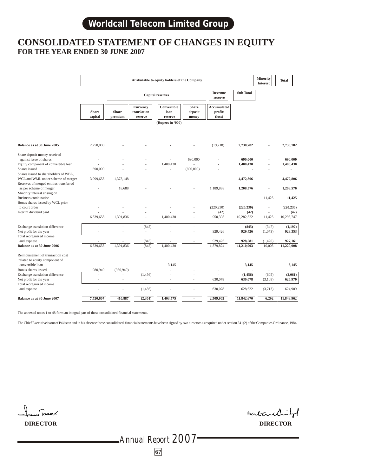## **CONSOLIDATED STATEMENT OF CHANGES IN EQUITY FOR THE YEAR ENDED 30 JUNE 2007**

|                                                                                                | Atributable to equity holders of the Company |                         |                                    |                                |                                  | Minority<br><b>Interest</b>                      | <b>Total</b>       |                  |                     |
|------------------------------------------------------------------------------------------------|----------------------------------------------|-------------------------|------------------------------------|--------------------------------|----------------------------------|--------------------------------------------------|--------------------|------------------|---------------------|
|                                                                                                |                                              | <b>Capital reserves</b> |                                    |                                | Revenue<br>reserve               | <b>Sub Total</b>                                 |                    |                  |                     |
|                                                                                                | <b>Share</b><br>capital                      | <b>Share</b><br>premium | Currency<br>translation<br>reserve | Convertible<br>loan<br>reserve | <b>Share</b><br>deposit<br>money | <b>Accumulated</b><br>profit/<br>$(\text{loss})$ |                    |                  |                     |
|                                                                                                |                                              |                         |                                    | (Rupees in '000)               |                                  |                                                  |                    |                  |                     |
| Balance as at 30 June 2005                                                                     | 2,750,000                                    |                         |                                    |                                |                                  | (19,218)                                         | 2,730,782          |                  | 2,730,782           |
| Share deposit money received<br>against issue of shares                                        |                                              |                         |                                    |                                | 690,000                          |                                                  | 690,000            |                  | 690,000             |
| Equity component of convertible loan<br>Shares issued<br>Shares issued to shareholders of WBL, | 690,000                                      |                         |                                    | 1,400,430                      | (690,000)                        |                                                  | 1,400,430          | ٠                | 1,400,430           |
| WCL and WML under scheme of merger<br>Reserves of merged entities transferred                  | 3,099,658                                    | 1,373,148               |                                    |                                |                                  |                                                  | 4,472,806          |                  | 4,472,806           |
| as per scheme of merger<br>Minority interest arising on                                        |                                              | 18,688                  |                                    |                                |                                  | 1,189,888                                        | 1,208,576          |                  | 1,208,576           |
| <b>Business combination</b><br>Bonus shares issued by WCL prior                                |                                              |                         |                                    |                                |                                  |                                                  |                    | 11,425           | 11,425              |
| to court order<br>Interim dividend paid                                                        |                                              |                         |                                    |                                |                                  | (220, 230)<br>(42)                               | (220, 230)<br>(42) |                  | (220, 230)<br>(42)  |
|                                                                                                | 6,539,658                                    | 1,391,836               | L,                                 | 1,400,430                      |                                  | 950,398                                          | 10,282,322         | 11,425           | 10,293,747          |
| Exchange translation difference<br>Net profit for the year                                     | L,                                           | L,                      | (845)                              |                                | ÷,                               | $\overline{a}$<br>929,426                        | (845)<br>929,426   | (347)<br>(1,073) | (1, 192)<br>928,353 |
| Total reorganized income<br>and expnese                                                        |                                              |                         | (845)                              |                                |                                  | 929,426                                          | 928,581            | (1,420)          | 927,161             |
| Balance as at 30 June 2006                                                                     | 6,539,658                                    | 1,391,836               | (845)                              | 1,400,430                      |                                  | 1,879,824                                        | 11,210,903         | 10,005           | 11,220,908          |
| Reimbursement of transaction cost<br>related to equity component of<br>convertible loan        |                                              |                         |                                    | 3,145                          |                                  |                                                  | 3,145              |                  | 3,145               |
| Bonus shares issued                                                                            | 980,949                                      | (980, 949)              | $\overline{a}$                     |                                | ÷                                |                                                  |                    | $\overline{a}$   |                     |
| Exchange translation difference                                                                | $\overline{a}$                               | ÷,                      | (1, 456)                           | $\overline{\phantom{a}}$       | ÷,                               | L,                                               | (1, 456)           | (605)            | (2,061)             |
| Net profit for the year<br>Total reorganized income                                            |                                              | L,                      |                                    |                                | l,                               | 630,078                                          | 630,078            | (3,108)          | 626,970             |
| and expnese                                                                                    |                                              |                         | (1, 456)                           |                                |                                  | 630,078                                          | 628,622            | (3,713)          | 624,909             |
| Balance as at 30 June 2007                                                                     | 7,520,607                                    | 410,887                 | (2,301)                            | 1,403,575                      |                                  | 2,509,902                                        | 11,842,670         | 6,292            | 11,848,962          |

The annexed notes 1 to 48 form an integral part of these consolidated financial statements.

The Chief Executive is out of Pakistan and in his absence these consolidated financial statements have been signed by two directors as required under section 241(2) of the Companies Ordinance, 1984.

une Taser

Babardif

**DIRECTOR DIRECTOR**

 $\blacksquare$ Annual Report  $2007$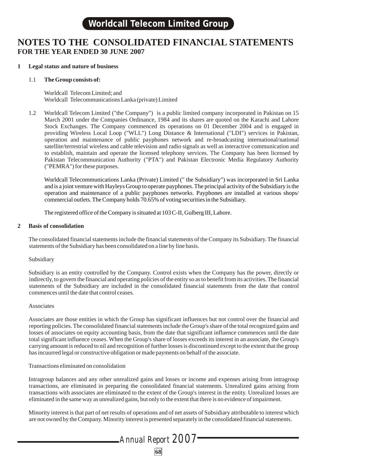## **NOTES TO THE CONSOLIDATED FINANCIAL STATEMENTS FOR THE YEAR ENDED 30 JUNE 2007**

## **1 Legal status and nature of business**

## 1.1 **The Group consists of:**

Worldcall Telecom Limited; and Worldcall Telecommunications Lanka (private) Limited

1.2 Worldcall Telecom Limited ("the Company") is a public limited company incorporated in Pakistan on 15 March 2001 under the Companies Ordinance, 1984 and its shares are quoted on the Karachi and Lahore Stock Exchanges. The Company commenced its operations on 01 December 2004 and is engaged in providing Wireless Local Loop ("WLL") Long Distance & International ("LDI") services in Pakistan, operation and maintenance of public payphones network and re-broadcasting international/national satellite/terrestrial wireless and cable television and radio signals as well as interactive communication and to establish, maintain and operate the licensed telephony services. The Company has been licensed by Pakistan Telecommunication Authority ("PTA") and Pakistan Electronic Media Regulatory Authority ("PEMRA") for these purposes.

Worldcall Telecommunications Lanka (Private) Limited (" the Subsidiary") was incorporated in Sri Lanka and is a joint venture with Hayleys Group to operate payphones. The principal activity of the Subsidiary is the operation and maintenance of a public payphones networks. Payphones are installed at various shops/ commercial outlets. The Company holds 70.65% of voting securities in the Subsidiary.

The registered office of the Company is situated at 103 C-II, Gulberg III, Lahore.

#### **2 Basis of consolidation**

The consolidated financial statements include the financial statements of the Company its Subsidiary. The financial statements of the Subsidiary has been consolidated on a line by line basis.

#### Subsidiary

Subsidiary is an entity controlled by the Company. Control exists when the Company has the power, directly or indirectly, to govern the financial and operating policies of the entity so as to benefit from its activities. The financial statements of the Subsidiary are included in the consolidated financial statements from the date that control commences until the date that control ceases.

#### Associates

Associates are those entities in which the Group has significant influences but not control over the financial and reporting policies. The consolidated financial statements include the Group's share of the total recognized gains and losses of associates on equity accounting basis, from the date that significant influence commences until the date total significant influence ceases. When the Group's share of losses exceeds its interest in an associate, the Group's carrying amount is reduced to nil and recognition of further losses is discontinued except to the extent that the group has incuurred legal or constructive obligation or made payments on behalf of the associate.

## Transactions eliminated on consolidation

Intragroup balances and any other unrealized gains and losses or income and expenses arising from intragroup transactions, are eliminated in preparing the consolidated financial statements. Unrealized gains arising from transactions with associates are eliminated to the extent of the Group's interest in the entity. Unrealized losses are eliminated in the same way as unrealized gains, but only to the extent that there is no evidence of impairment.

Minority interest is that part of net results of operations and of net assets of Subsidiary attributable to interest which are not owned by the Company. Minority interest is presented separately in the consolidated financial statements.

.Annual Report  $2007\text{-}$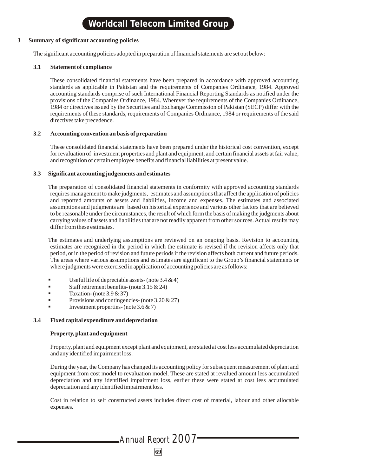#### **3 Summary of significant accounting policies**

The significant accounting policies adopted in preparation of financial statements are set out below:

#### **3.1 Statement of compliance**

These consolidated financial statements have been prepared in accordance with approved accounting standards as applicable in Pakistan and the requirements of Companies Ordinance, 1984. Approved accounting standards comprise of such International Financial Reporting Standards as notified under the provisions of the Companies Ordinance, 1984. Wherever the requirements of the Companies Ordinance, 1984 or directives issued by the Securities and Exchange Commission of Pakistan (SECP) differ with the requirements of these standards, requirements of Companies Ordinance, 1984 or requirements of the said directives take precedence.

#### **3.2 Accounting convention an basis of preparation**

These consolidated financial statements have been prepared under the historical cost convention, except for revaluation of investment properties and plant and equipment, and certain financial assets at fair value, and recognition of certain employee benefits and financial liabilities at present value.

#### **3.3 Significant accounting judgements and estimates**

The preparation of consolidated financial statements in conformity with approved accounting standards requires management to make judgments, estimates and assumptions that affect the application of policies and reported amounts of assets and liabilities, income and expenses. The estimates and associated assumptions and judgments are based on historical experience and various other factors that are believed to be reasonable under the circumstances, the result of which form the basis of making the judgments about carrying values of assets and liabilities that are not readily apparent from other sources. Actual results may differ from these estimates.

The estimates and underlying assumptions are reviewed on an ongoing basis. Revision to accounting estimates are recognized in the period in which the estimate is revised if the revision affects only that period, or in the period of revision and future periods if the revision affects both current and future periods. The areas where various assumptions and estimates are significant to the Group's financial statements or where judgments were exercised in application of accounting policies are as follows:

- **•** Useful life of depreciable assets- (note  $3.4 \& 4$ )
- Staff retirement benefits- (note 3.15 & 24)
- § Taxation- (note 3.9 & 37)
- § Provisions and contingencies- (note 3.20 & 27)
- § Investment properties- (note 3.6 & 7)

## **3.4 Fixed capital expenditure and depreciation**

## **Property, plant and equipment**

Property, plant and equipment except plant and equipment, are stated at cost less accumulated depreciation and any identified impairment loss.

During the year, the Company has changed its accounting policy for subsequent measurement of plant and equipment from cost model to revaluation model. These are stated at revalued amount less accumulated depreciation and any identified impairment loss, earlier these were stated at cost less accumulated depreciation and any identified impairment loss.

Cost in relation to self constructed assets includes direct cost of material, labour and other allocable expenses.

.<br>Annual Report  $2007\text{-}$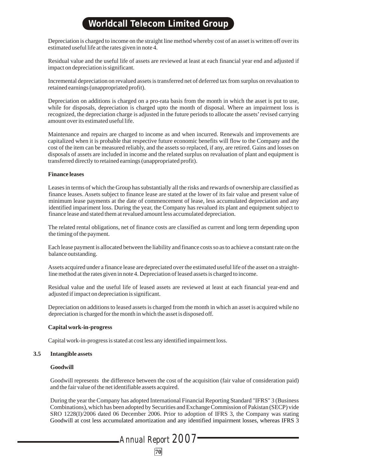Depreciation is charged to income on the straight line method whereby cost of an asset is written off over its estimated useful life at the rates given in note 4.

Residual value and the useful life of assets are reviewed at least at each financial year end and adjusted if impact on depreciation is significant.

Incremental depreciation on revalued assets is transferred net of deferred tax from surplus on revaluation to retained earnings (unappropriated profit).

Depreciation on additions is charged on a pro-rata basis from the month in which the asset is put to use, while for disposals, depreciation is charged upto the month of disposal. Where an impairment loss is recognized, the depreciation charge is adjusted in the future periods to allocate the assets' revised carrying amount over its estimated useful life.

Maintenance and repairs are charged to income as and when incurred. Renewals and improvements are capitalized when it is probable that respective future economic benefits will flow to the Company and the cost of the item can be measured reliably, and the assets so replaced, if any, are retired. Gains and losses on disposals of assets are included in income and the related surplus on revaluation of plant and equipment is transferred directly to retained earnings (unappropriated profit).

#### **Finance leases**

Leases in terms of which the Group has substantially all the risks and rewards of ownership are classified as finance leases. Assets subject to finance lease are stated at the lower of its fair value and present value of minimum lease payments at the date of commencement of lease, less accumulated depreciation and any identified impariment loss. During the year, the Company has revalued its plant and equipment subject to finance lease and stated them at revalued amount less accumulated depreciation.

The related rental obligations, net of finance costs are classified as current and long term depending upon the timing of the payment.

Each lease payment is allocated between the liability and finance costs so as to achieve a constant rate on the balance outstanding.

Assets acquired under a finance lease are depreciated over the estimated useful life of the asset on a straightline method at the rates given in note 4. Depreciation of leased assets is charged to income.

Residual value and the useful life of leased assets are reviewed at least at each financial year-end and adjusted if impact on depreciation is significant.

Depreciation on additions to leased assets is charged from the month in which an asset is acquired while no depreciation is charged for the month in which the asset is disposed off.

#### **Capital work-in-progress**

Capital work-in-progress is stated at cost less any identified impairment loss.

#### **3.5 Intangible assets**

#### **Goodwill**

Goodwill represents the difference between the cost of the acquisition (fair value of consideration paid) and the fair value of the net identifiable assets acquired.

During the year the Company has adopted International Financial Reporting Standard "IFRS" 3 (Business Combinations), which has been adopted by Securities and Exchange Commission of Pakistan (SECP) vide SRO 1228(I)/2006 dated 06 December 2006. Prior to adoption of IFRS 3, the Company was stating Goodwill at cost less accumulated amortization and any identified impairment losses, whereas IFRS 3

.<br>Annual Report  $2007\cdot$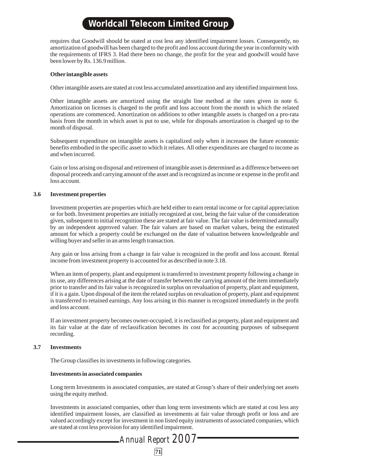requires that Goodwill should be stated at cost less any identified impairment losses. Consequently, no amortization of goodwill has been charged to the profit and loss account during the year in conformity with the requirements of IFRS 3. Had there been no change, the profit for the year and goodwill would have been lower by Rs. 136.9 million.

#### **Other intangible assets**

Other intangible assets are stated at cost less accumulated amortization and any identified impairment loss.

Other intangible assets are amortized using the straight line method at the rates given in note 6. Amortization on licenses is charged to the profit and loss account from the month in which the related operations are commenced. Amortization on additions to other intangible assets is charged on a pro-rata basis from the month in which asset is put to use, while for disposals amortization is charged up to the month of disposal.

Subsequent expenditure on intangible assets is capitalized only when it increases the future economic benefits embodied in the specific asset to which it relates. All other expenditures are charged to income as and when incurred.

Gain or loss arising on disposal and retirement of intangible asset is determined as a difference between net disposal proceeds and carrying amount of the asset and is recognized as income or expense in the profit and loss account.

#### **3.6 Investment properties**

Investment properties are properties which are held either to earn rental income or for capital appreciation or for both. Investment properties are initially recognized at cost, being the fair value of the consideration given, subsequent to initial recognition these are stated at fair value. The fair value is determined annually by an independent approved valuer. The fair values are based on market values, being the estimated amount for which a property could be exchanged on the date of valuation between knowledgeable and willing buyer and seller in an arms length transaction.

Any gain or loss arising from a change in fair value is recognized in the profit and loss account. Rental income from investment property is accounted for as described in note 3.18.

When an item of property, plant and equipment is transferred to investment property following a change in its use, any differences arising at the date of transfer between the carrying amount of the item immediately prior to transfer and its fair value is recognized in surplus on revaluation of property, plant and equipment, if it is a gain. Upon disposal of the item the related surplus on revaluation of property, plant and equipment is transferred to retained earnings. Any loss arising in this manner is recognized immediately in the profit and loss account.

If an investment property becomes owner-occupied, it is reclassified as property, plant and equipment and its fair value at the date of reclassification becomes its cost for accounting purposes of subsequent recording.

## **3.7 Investments**

The Group classifies its investments in following categories.

#### **Investments in associated companies**

Long term Investments in associated companies, are stated at Group's share of their underlying net assets using the equity method.

Investments in associated companies, other than long term investments which are stated at cost less any identified impairment losses, are classified as investments at fair value through profit or loss and are valued accordingly except for investment in non listed equity instruments of associated companies, which are stated at cost less provision for any identified impairment.

**71** Annual Report  $2007^\centerdot$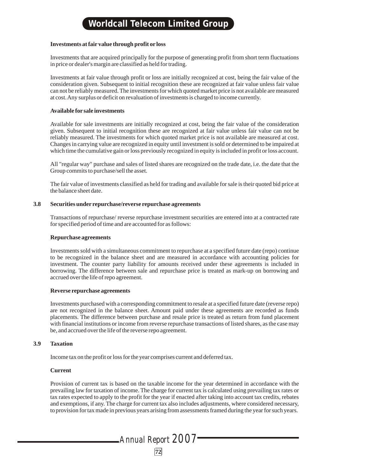#### **Investments at fair value through profit or loss**

Investments that are acquired principally for the purpose of generating profit from short term fluctuations in price or dealer's margin are classified as held for trading.

Investments at fair value through profit or loss are initially recognized at cost, being the fair value of the consideration given. Subsequent to initial recognition these are recognized at fair value unless fair value can not be reliably measured. The investments for which quoted market price is not available are measured at cost. Any surplus or deficit on revaluation of investments is charged to income currently.

#### **Available for sale investments**

Available for sale investments are initially recognized at cost, being the fair value of the consideration given. Subsequent to initial recognition these are recognized at fair value unless fair value can not be reliably measured. The investments for which quoted market price is not available are measured at cost. Changes in carrying value are recognized in equity until investment is sold or determined to be impaired at which time the cumulative gain or loss previously recognized in equity is included in profit or loss account.

All "regular way" purchase and sales of listed shares are recognized on the trade date, i.e. the date that the Group commits to purchase/sell the asset.

The fair value of investments classified as held for trading and available for sale is their quoted bid price at the balance sheet date.

#### **3.8 Securities under repurchase/reverse repurchase agreements**

Transactions of repurchase/ reverse repurchase investment securities are entered into at a contracted rate for specified period of time and are accounted for as follows:

#### **Repurchase agreements**

Investments sold with a simultaneous commitment to repurchase at a specified future date (repo) continue to be recognized in the balance sheet and are measured in accordance with accounting policies for investment. The counter party liability for amounts received under these agreements is included in borrowing. The difference between sale and repurchase price is treated as mark-up on borrowing and accrued over the life of repo agreement.

#### **Reverse repurchase agreements**

Investments purchased with a corresponding commitment to resale at a specified future date (reverse repo) are not recognized in the balance sheet. Amount paid under these agreements are recorded as funds placements. The difference between purchase and resale price is treated as return from fund placement with financial institutions or income from reverse repurchase transactions of listed shares, as the case may be, and accrued over the life of the reverse repo agreement.

#### **3.9 Taxation**

Income tax on the profit or loss for the year comprises current and deferred tax.

#### **Current**

Provision of current tax is based on the taxable income for the year determined in accordance with the prevailing law for taxation of income. The charge for current tax is calculated using prevailing tax rates or tax rates expected to apply to the profit for the year if enacted after taking into account tax credits, rebates and exemptions, if any. The charge for current tax also includes adjustments, where considered necessary, to provision for tax made in previous years arising from assessments framed during the year for such years.

## Annual Report 2007-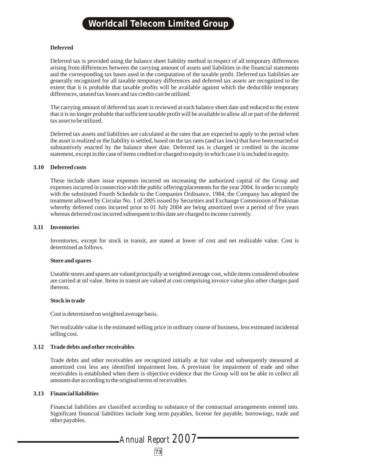#### **Deferred**

Deferred tax is provided using the balance sheet liability method in respect of all temporary differences arising from differences between the carrying amount of assets and liabilities in the financial statements and the corresponding tax bases used in the computation of the taxable profit. Deferred tax liabilities are generally recognized for all taxable temporary differences and deferred tax assets are recognized to the extent that it is probable that taxable profits will be available against which the deductible temporary differences, unused tax losses and tax credits can be utilized.

The carrying amount of deferred tax asset is reviewed at each balance sheet date and reduced to the extent that it is no longer probable that sufficient taxable profit will be available to allow all or part of the deferred tax asset to be utilized.

Deferred tax assets and liabilities are calculated at the rates that are expected to apply to the period when the asset is realized or the liability is settled, based on the tax rates (and tax laws) that have been enacted or substantively enacted by the balance sheet date. Deferred tax is charged or credited in the income statement, except in the case of items credited or charged to equity in which case it is included in equity.

#### **3.10 Deferred costs**

These include share issue expenses incurred on increasing the authorized capital of the Group and expenses incurred in connection with the public offering/placements for the year 2004. In order to comply with the substituted Fourth Schedule to the Companies Ordinance, 1984, the Company has adopted the treatment allowed by Circular No. 1 of 2005 issued by Securities and Exchange Commission of Pakistan whereby deferred costs incurred prior to 01 July 2004 are being amortized over a period of five years whereas deferred cost incurred subsequent to this date are charged to income currently.

#### **3.11 Inventories**

Inventories, except for stock in transit, are stated at lower of cost and net realizable value. Cost is determined as follows.

#### **Store and spares**

Useable stores and spares are valued principally at weighted average cost, while items considered obsolete are carried at nil value. Items in transit are valued at cost comprising invoice value plus other charges paid thereon.

#### **Stock in trade**

Cost is determined on weighted average basis.

Net realizable value is the estimated selling price in ordinary course of business, less estimated incidental selling cost.

#### **3.12 Trade debts and other receivables**

Trade debts and other receivables are recognized initially at fair value and subsequently measured at amortized cost less any identified impairment loss. A provision for impairment of trade and other receivables is established when there is objective evidence that the Group will not be able to collect all amounts due according to the original terms of receivables.

#### **3.13 Financial liabilities**

Financial liabilities are classified according to substance of the contractual arrangements entered into. Significant financial liabilities include long term payables, license fee payable, borrowings, trade and other payables.

Annual Report  $2007$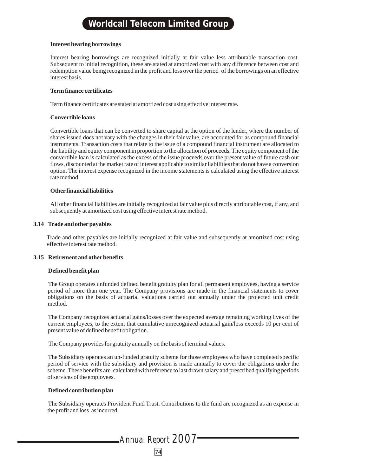#### **Interest bearing borrowings**

Interest bearing borrowings are recognized initially at fair value less attributable transaction cost. Subsequent to initial recognition, these are stated at amortized cost with any difference between cost and redemption value being recognized in the profit and loss over the period of the borrowings on an effective interest basis.

#### **Term finance certificates**

Term finance certificates are stated at amortized cost using effective interest rate.

#### **Convertible loans**

Convertible loans that can be converted to share capital at the option of the lender, where the number of shares issued does not vary with the changes in their fair value, are accounted for as compound financial instruments. Transaction costs that relate to the issue of a compound financial instrument are allocated to the liability and equity component in proportion to the allocation of proceeds. The equity component of the convertible loan is calculated as the excess of the issue proceeds over the present value of future cash out flows, discounted at the market rate of interest applicable to similar liabilities that do not have a conversion option. The interest expense recognized in the income statements is calculated using the effective interest rate method.

#### **Other financial liabilities**

All other financial liabilities are initially recognized at fair value plus directly attributable cost, if any, and subsequently at amortized cost using effective interest rate method.

#### **3.14 Trade and other payables**

Trade and other payables are initially recognized at fair value and subsequently at amortized cost using effective interest rate method.

#### **3.15 Retirement and other benefits**

#### **Defined benefit plan**

The Group operates unfunded defined benefit gratuity plan for all permanent employees, having a service period of more than one year. The Company provisions are made in the financial statements to cover obligations on the basis of actuarial valuations carried out annually under the projected unit credit method.

The Company recognizes actuarial gains/losses over the expected average remaining working lives of the current employees, to the extent that cumulative unrecognized actuarial gain/loss exceeds 10 per cent of present value of defined benefit obligation.

The Company provides for gratuity annually on the basis of terminal values.

The Subsidiary operates an un-funded gratuity scheme for those employees who have completed specific period of service with the subsidiary and provision is made annually to cover the obligations under the scheme. These benefits are calculated with reference to last drawn salary and prescribed qualifying periods of services of the employees.

#### **Defined contribution plan**

The Subsidiary operates Provident Fund Trust. Contributions to the fund are recognized as an expense in the profit and loss as incurred.

.<br>Annual Report  $2007\textcolor{red}{\textbf{-}}$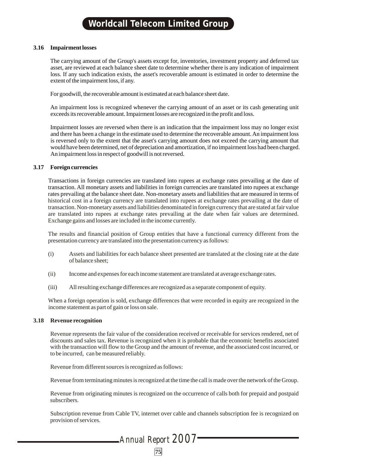#### **3.16 Impairment losses**

The carrying amount of the Group's assets except for, inventories, investment property and deferred tax asset, are reviewed at each balance sheet date to determine whether there is any indication of impairment loss. If any such indication exists, the asset's recoverable amount is estimated in order to determine the extent of the impairment loss, if any.

For goodwill, the recoverable amount is estimated at each balance sheet date.

An impairment loss is recognized whenever the carrying amount of an asset or its cash generating unit exceeds its recoverable amount. Impairment losses are recognized in the profit and loss.

Impairment losses are reversed when there is an indication that the impairment loss may no longer exist and there has been a change in the estimate used to determine the recoverable amount. An impairment loss is reversed only to the extent that the asset's carrying amount does not exceed the carrying amount that would have been determined, net of depreciation and amortization, if no impairment loss had been charged. An impairment loss in respect of goodwill is not reversed.

#### **3.17 Foreign currencies**

Transactions in foreign currencies are translated into rupees at exchange rates prevailing at the date of transaction. All monetary assets and liabilities in foreign currencies are translated into rupees at exchange rates prevailing at the balance sheet date. Non-monetary assets and liabilities that are measured in terms of historical cost in a foreign currency are translated into rupees at exchange rates prevailing at the date of transaction. Non-monetary assets and liabilities denominated in foreign currency that are stated at fair value are translated into rupees at exchange rates prevailing at the date when fair values are determined. Exchange gains and losses are included in the income currently.

The results and financial position of Group entities that have a functional currency different from the presentation currency are translated into the presentation currency as follows:

- (i) Assets and liabilities for each balance sheet presented are translated at the closing rate at the date of balance sheet;
- (ii) Income and expenses for each income statement are translated at average exchange rates.
- (iii) All resulting exchange differences are recognized as a separate component of equity.

When a foreign operation is sold, exchange differences that were recorded in equity are recognized in the income statement as part of gain or loss on sale.

#### **3.18 Revenue recognition**

Revenue represents the fair value of the consideration received or receivable for services rendered, net of discounts and sales tax. Revenue is recognized when it is probable that the economic benefits associated with the transaction will flow to the Group and the amount of revenue, and the associated cost incurred, or to be incurred, can be measured reliably.

Revenue from different sources is recognized as follows:

Revenue from terminating minutes is recognized at the time the call is made over the network of the Group.

Revenue from originating minutes is recognized on the occurrence of calls both for prepaid and postpaid subscribers.

Subscription revenue from Cable TV, internet over cable and channels subscription fee is recognized on provision of services.

Annual Report 2007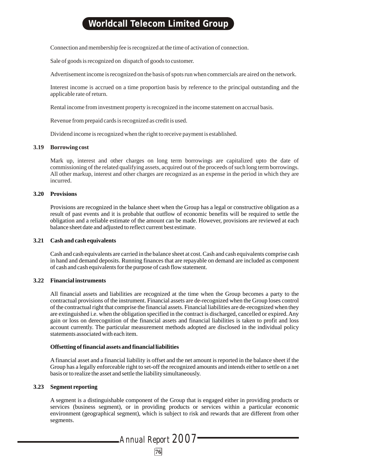Connection and membership fee is recognized at the time of activation of connection.

Sale of goods is recognized on dispatch of goods to customer.

Advertisement income is recognized on the basis of spots run when commercials are aired on the network.

Interest income is accrued on a time proportion basis by reference to the principal outstanding and the applicable rate of return.

Rental income from investment property is recognized in the income statement on accrual basis.

Revenue from prepaid cards is recognized as credit is used.

Dividend income is recognized when the right to receive payment is established.

#### **3.19 Borrowing cost**

Mark up, interest and other charges on long term borrowings are capitalized upto the date of commissioning of the related qualifying assets, acquired out of the proceeds of such long term borrowings. All other markup, interest and other charges are recognized as an expense in the period in which they are incurred.

#### **3.20 Provisions**

Provisions are recognized in the balance sheet when the Group has a legal or constructive obligation as a result of past events and it is probable that outflow of economic benefits will be required to settle the obligation and a reliable estimate of the amount can be made. However, provisions are reviewed at each balance sheet date and adjusted to reflect current best estimate.

#### **3.21 Cash and cash equivalents**

Cash and cash equivalents are carried in the balance sheet at cost. Cash and cash equivalents comprise cash in hand and demand deposits. Running finances that are repayable on demand are included as component of cash and cash equivalents for the purpose of cash flow statement.

#### **3.22 Financial instruments**

All financial assets and liabilities are recognized at the time when the Group becomes a party to the contractual provisions of the instrument. Financial assets are de-recognized when the Group loses control of the contractual right that comprise the financial assets. Financial liabilities are de-recognized when they are extinguished i.e. when the obligation specified in the contract is discharged, cancelled or expired. Any gain or loss on derecognition of the financial assets and financial liabilities is taken to profit and loss account currently. The particular measurement methods adopted are disclosed in the individual policy statements associated with each item.

#### **Offsetting of financial assets and financial liabilities**

A financial asset and a financial liability is offset and the net amount is reported in the balance sheet if the Group has a legally enforceable right to set-off the recognized amounts and intends either to settle on a net basis or to realize the asset and settle the liability simultaneously.

#### **3.23 Segment reporting**

A segment is a distinguishable component of the Group that is engaged either in providing products or services (business segment), or in providing products or services within a particular economic environment (geographical segment), which is subject to risk and rewards that are different from other segments.

## Annual Report 2007-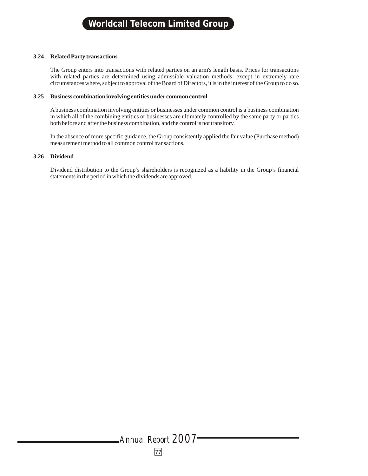#### **3.24 Related Party transactions**

The Group enters into transactions with related parties on an arm's length basis. Prices for transactions with related parties are determined using admissible valuation methods, except in extremely rare circumstances where, subject to approval of the Board of Directors, it is in the interest of the Group to do so.

#### **3.25 Business combination involving entities under common control**

A business combination involving entities or businesses under common control is a business combination in which all of the combining entities or businesses are ultimately controlled by the same party or parties both before and after the business combination, and the control is not transitory.

In the absence of more specific guidance, the Group consistently applied the fair value (Purchase method) measurement method to all common control transactions.

#### **3.26 Dividend**

Dividend distribution to the Group's shareholders is recognized as a liability in the Group's financial statements in the period in which the dividends are approved.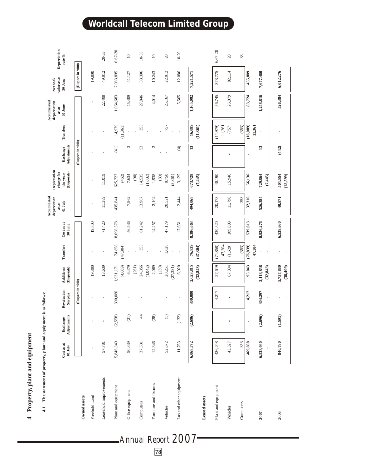| į<br>ı |
|--------|
| Č      |
| ì      |
| J<br>ł |
| ١      |

The statement of property, plant and equipment is as follows: **4.1 The statement of property, plant and equipment is as follows:**  $4.1$ 

|                         | Cost as at | Exchange    | Revaluation      | Additions/           | Transfers           | Cost as at | Accumulated<br>depreciation<br>01 July<br>as at | Depreciation<br>charge for<br>the year/ | Exchange         | Transfers           | Accumulated<br>depreciation<br>30 June<br>as at | value as at<br>Net book<br>30 June | Depreciation<br>rate $\%$ |
|-------------------------|------------|-------------|------------------|----------------------|---------------------|------------|-------------------------------------------------|-----------------------------------------|------------------|---------------------|-------------------------------------------------|------------------------------------|---------------------------|
|                         | 01 July    | Adjustments | Surplus          | (Disposals)          |                     | 30 June    |                                                 | (Disposals)                             | Adjustments      |                     |                                                 |                                    |                           |
|                         |            |             | (Rupees in '000) |                      |                     |            |                                                 |                                         | (Rupees in '000) |                     |                                                 | (Rupees in '000)                   |                           |
| Owned assets            |            |             |                  |                      |                     |            |                                                 |                                         |                  |                     |                                                 |                                    |                           |
| Freehold Land           |            |             |                  | 19,800               |                     | 19,800     |                                                 |                                         |                  |                     |                                                 | 19,800                             |                           |
| Leasehold improvements  | 57,781     | $\,$        |                  | 13,639               |                     | 71,420     | 11,389                                          | 11,019                                  |                  |                     | 22,408                                          | 49,012                             | $20 - 33$                 |
| Plant and equipment     | 5,846,340  | (2,558)     | 300,080          | (4,009)<br>1,931,171 | 74,858<br>(47,304)  | 8,098,578  | 435,841                                         | 625,727<br>(462)                        | (41)             | 14,979<br>(11, 361) | 1,064,683                                       | 7,033,895                          | $6.67 - 20$               |
| Office equipment        | 50,339     | (12)        |                  | 6,479                |                     | 56,536     | 7,862                                           | 7,634                                   | 3                |                     | 15,409                                          | 41,127                             | $\approx$                 |
|                         |            |             |                  | (261)                |                     |            |                                                 | (90)                                    |                  |                     |                                                 |                                    |                           |
| Computers               | 37,531     | $\ddot{4}$  |                  | 24,356<br>(1,042)    | 353                 | 61,242     | 13,907                                          | 14,535<br>(1,002)                       | 53               | 353                 | 27,846                                          | 33,396                             | $10 - 33$                 |
| Furniture and fixtures  | 12,346     | (28)        |                  | 2,089                |                     | 14,257     | 2,104                                           | 1,938                                   | $\mathbf{C}$     |                     | 4,014                                           | 10,243                             | $\approx$                 |
|                         |            |             |                  | (150)                |                     |            |                                                 | (30)                                    |                  |                     |                                                 |                                    |                           |
| Vehicles                | 52,672     | $\ominus$   |                  | 20,261               | 1,628               | 47,179     | 20,521                                          | 9,750                                   |                  | 757                 | 25,167                                          | 22,012                             | $\Omega$                  |
|                         |            |             |                  | (27, 381)            |                     |            |                                                 | (5,861)                                 |                  |                     |                                                 |                                    |                           |
| Lab and other equipment | 11,763     | (132)       |                  | 6,020                |                     | 17,651     | 2,444                                           | 3,125                                   | $\widehat{f}$    |                     | 5,565                                           | 12,086                             | $10 - 20$                 |
|                         | 6,068,772  | (2,696)     | 300,080          | 2,023,815            | 76,839              | 8,386,663  | 494,068                                         | 673,728                                 | 13               | 16,089              | 1,165,092                                       | 7,221,571                          |                           |
|                         |            |             |                  | (32, 843)            | (47,304)            |            |                                                 | (7,445)                                 |                  | (11,361)            |                                                 |                                    |                           |
| Leased assets           |            |             |                  |                      |                     |            |                                                 |                                         |                  |                     |                                                 |                                    |                           |
| Plant and equipment     | 426,208    |             | 4,217            | 27,649               | (74, 858)<br>47,304 | 430,520    | 20,173                                          | 40,190                                  |                  | (14,979)<br>11,361  | 56,745                                          | 373,775                            | 6.67-20                   |
| Vehicles                | 43,327     |             |                  | 67,394               | (1,628)             | 109,093    | 11,790                                          | 15,946                                  |                  | (757)               | 26,979                                          | 82,114                             | $\approx$                 |
| Computers               | 353        |             |                  |                      | (353)               |            | 353                                             |                                         |                  | (353)               |                                                 |                                    | 33                        |
|                         | 469,888    | ı           | 4,217            | 95,043               | (76, 839)<br>47,304 | 539,613    | 32,316                                          | 56,136                                  | ×                | (16, 089)<br>11,361 | 83,724                                          | 455,889                            |                           |
| 2007                    | 6,538,660  | (2,696)     | 304,297          | 2,118,858            |                     | 8,926,276  | 526,384                                         | 729,864                                 | 13               |                     | 1,248,816                                       | 7,677,460                          |                           |
|                         |            |             |                  | (32, 843)            |                     |            |                                                 | (7,445)                                 |                  |                     |                                                 |                                    |                           |
| 2006                    | 840,780    | (1,591)     |                  | 5,737,880            |                     | 6,538,660  | 40,871                                          | 504,554                                 | (442)            |                     | 526,384                                         | 6,012,276                          |                           |
|                         |            |             |                  | (38, 409)            |                     |            |                                                 | (18, 599)                               |                  |                     |                                                 |                                    |                           |

## **Worldcall Telecom Limited Group**

 $\blacksquare$ Annual Report  $2007$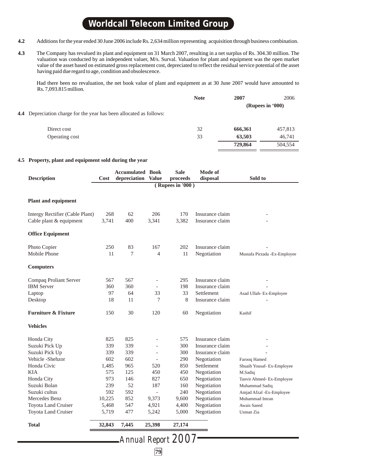- **4.2** Additions for the year ended 30 June 2006 include Rs. 2,634 million representing acquisition through business combination.
- **4.3** The Company has revalued its plant and equipment on 31 March 2007, resulting in a net surplus of Rs. 304.30 million. The valuation was conducted by an independent valuer, M/s. Surval. Valuation for plant and equipment was the open market value of the asset based on estimated gross replacement cost, depreciated to reflect the residual service potential of the asset having paid due regard to age, condition and obsolescence.

Had there been no revaluation, the net book value of plant and equipment as at 30 June 2007 would have amounted to Rs. 7,093.815 million.

| (Rupees in '000)                                                    |         |
|---------------------------------------------------------------------|---------|
| 4.4 Depreciation charge for the year has been allocated as follows: |         |
| 32<br>666,361<br>Direct cost                                        | 457,813 |
| 63,503<br>33<br>Operating cost                                      | 46,741  |
| 729,864                                                             | 504,554 |

#### **4.5 Property, plant and equipment sold during the year**

| <b>Description</b>              | Cost   | <b>Accumulated Book</b><br>depreciation | <b>Value</b>             | <b>Sale</b><br>proceeds | Mode of<br>disposal | Sold to                       |
|---------------------------------|--------|-----------------------------------------|--------------------------|-------------------------|---------------------|-------------------------------|
|                                 |        |                                         |                          | (Rupees in '000)        |                     |                               |
| <b>Plant and equipment</b>      |        |                                         |                          |                         |                     |                               |
| Intergy Rectifier (Cable Plant) | 268    | 62                                      | 206                      | 170                     | Insurance claim     |                               |
| Cable plant & equipment         | 3,741  | 400                                     | 3,341                    | 3,382                   | Insurance claim     |                               |
| <b>Office Equipment</b>         |        |                                         |                          |                         |                     |                               |
| Photo Copier                    | 250    | 83                                      | 167                      | 202                     | Insurance claim     |                               |
| Mobile Phone                    | 11     | 7                                       | 4                        | 11                      | Negotiation         | Mustafa Pirzada - Ex-Employee |
| <b>Computers</b>                |        |                                         |                          |                         |                     |                               |
| Compaq Proliant Server          | 567    | 567                                     | $\overline{\phantom{0}}$ | 295                     | Insurance claim     |                               |
| <b>IBM</b> Server               | 360    | 360                                     | $\blacksquare$           | 198                     | Insurance claim     |                               |
| Laptop                          | 97     | 64                                      | 33                       | 33                      | Settlement          | Asad Ullah-Ex-Employee        |
| Desktop                         | 18     | 11                                      | 7                        | 8                       | Insurance claim     |                               |
| <b>Furniture &amp; Fixture</b>  | 150    | 30                                      | 120                      | 60                      | Negotiation         | Kashif                        |
| <b>Vehicles</b>                 |        |                                         |                          |                         |                     |                               |
| Honda City                      | 825    | 825                                     |                          | 575                     | Insurance claim     |                               |
| Suzuki Pick Up                  | 339    | 339                                     | $\overline{a}$           | 300                     | Insurance claim     |                               |
| Suzuki Pick Up                  | 339    | 339                                     | $\overline{a}$           | 300                     | Insurance claim     |                               |
| Vehicle -Shehzor                | 602    | 602                                     | $\overline{a}$           | 290                     | Negotiation         | Farooq Hamed                  |
| Honda Civic                     | 1,485  | 965                                     | 520                      | 850                     | Settlement          | Shuaib Yousaf- Ex-Employee    |
| KIA                             | 575    | 125                                     | 450                      | 450                     | Negotiation         | M.Sadiq                       |
| Honda City                      | 973    | 146                                     | 827                      | 650                     | Negotiation         | Tanvir Ahmed- Ex-Employee     |
| Suzuki Bolan                    | 239    | 52                                      | 187                      | 160                     | Negotiation         | Muhammad Sadiq                |
| Suzuki cultus                   | 592    | 592                                     | $\overline{\phantom{a}}$ | 240                     | Negotiation         | Amjad Afzal -Ex-Employee      |
| Mercedes Benz                   | 10,225 | 852                                     | 9,373                    | 9,600                   | Negotiation         | Muhammad Imran                |
| Toyota Land Cruiser             | 5,468  | 547                                     | 4,921                    | 4,400                   | Negotiation         | Awais Saeed                   |
| Toyota Land Cruiser             | 5,719  | 477                                     | 5,242                    | 5,000                   | Negotiation         | Usman Zia                     |
| <b>Total</b>                    | 32,843 | 7,445                                   | 25,398                   | 27,174                  |                     |                               |
|                                 |        |                                         |                          | Annual Report 2007      |                     |                               |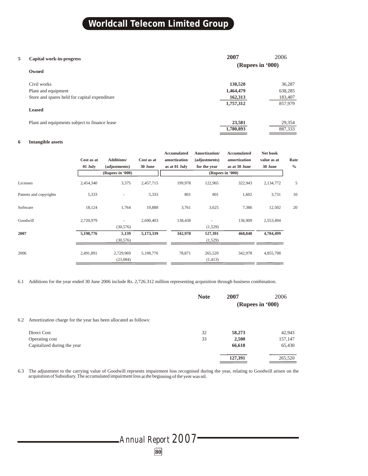#### **5 Capital work-in-progress Owned** Civil works **130,520** 36,287 Plant and equipment **1,464,479** 638,285 Store and spares held for capital expenditure **162,313** 183,407 **1,757,312** 857,979 **Le sa ed** Plant and equipments subject to finance lease **23,581** 29,354 **1,780,893** 887,333 **2007** 2006 **(Rupees in '000)**

#### **6 Intangible assets**

|                        | Cost as at<br>01 July | <b>Additions/</b><br>(adjustments) | Cost as at<br>30 June | <b>Accumulated</b><br>amortization<br>as at 01 July | Amortization/<br>(adjustments)<br>for the year | <b>Accumulated</b><br>amortization<br>as at 30 June | Net book<br>value as at<br>30 June | Rate<br>$\frac{0}{0}$ |
|------------------------|-----------------------|------------------------------------|-----------------------|-----------------------------------------------------|------------------------------------------------|-----------------------------------------------------|------------------------------------|-----------------------|
|                        |                       | (Rupees in '000)                   |                       |                                                     |                                                | (Rupees in '000)                                    |                                    |                       |
| Licenses               | 2,454,340             | 3,375                              | 2,457,715             | 199,978                                             | 122,965                                        | 322,943                                             | 2,134,772                          | 5                     |
| Patents and copyrights | 5,333                 | $\sim$                             | 5,333                 | 801                                                 | 801                                            | 1,602                                               | 3,731                              | 10                    |
| Software               | 18,124                | 1,764                              | 19,888                | 3,761                                               | 3,625                                          | 7,386                                               | 12,502                             | 20                    |
| Goodwill               | 2,720,979             | $\sim$                             | 2,690,403             | 138,438                                             |                                                | 136,909                                             | 2,553,494                          |                       |
|                        |                       | (30, 576)                          |                       |                                                     | (1,529)                                        |                                                     |                                    |                       |
| 2007                   | 5,198,776             | 5,139                              | 5,173,339             | 342,978                                             | 127,391                                        | 468,840                                             | 4,704,499                          |                       |
|                        |                       | (30, 576)                          |                       |                                                     | (1,529)                                        |                                                     |                                    |                       |
| 2006                   | 2,491,891             | 2,729,969                          | 5,198,776             | 78,871                                              | 265,520                                        | 342,978                                             | 4,855,798                          |                       |
|                        |                       | (23,084)                           |                       |                                                     | (1, 413)                                       |                                                     |                                    |                       |

6.1 Additions for the year ended 30 June 2006 include Rs. 2,726.312 million representing acquisition through business combination.

|                                                                        | <b>Note</b> | 2007             | 2006    |
|------------------------------------------------------------------------|-------------|------------------|---------|
|                                                                        |             | (Rupees in '000) |         |
| Amortization charge for the year has been allocated as follows:<br>6.2 |             |                  |         |
| Direct Cost                                                            | 32          | 58,273           | 42,943  |
| Operating cost                                                         | 33          | 2,500            | 157,147 |
| Capitalized during the year                                            |             | 66,618           | 65,430  |
|                                                                        |             | 127,391          | 265,520 |

6.3 The adjustment to the carrying value of Goodwill reprsents impairment loss recognised during the year, relating to Goodwill arisen on the acquisition of Subsidiary. The accumulated impairment loss at the beginning of the year was nil.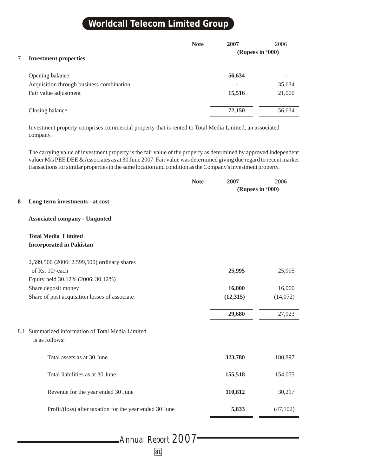| 2006             |                                    |
|------------------|------------------------------------|
| (Rupees in '000) |                                    |
|                  | -                                  |
| ۰                | 35,634                             |
|                  | 21,000                             |
|                  | 56,634                             |
| <b>Note</b>      | 2007<br>56,634<br>15,516<br>72,150 |

Investment property comprises commercial property that is rented to Total Media Limited, an associated company.

The carrying value of investment property is the fair value of the property as determined by approved independent valuer M/s PEE DEE & Associates as at 30 June 2007. Fair value was determined giving due regard to recent market transactions for similar properties in the same location and condition as the Company's investment property.

|   |                                                                     | <b>Note</b> | 2007      | 2006             |
|---|---------------------------------------------------------------------|-------------|-----------|------------------|
|   |                                                                     |             |           | (Rupees in '000) |
| 8 | Long term investments - at cost                                     |             |           |                  |
|   | <b>Associated company - Unquoted</b>                                |             |           |                  |
|   | <b>Total Media Limited</b>                                          |             |           |                  |
|   | <b>Incorporated in Pakistan</b>                                     |             |           |                  |
|   | 2,599,500 (2006: 2,599,500) ordinary shares                         |             |           |                  |
|   | of Rs. 10/-each                                                     |             | 25,995    | 25,995           |
|   | Equity held 30.12% (2006: 30.12%)                                   |             |           |                  |
|   | Share deposit money                                                 |             | 16,000    | 16,000           |
|   | Share of post acquisition losses of associate                       |             | (12, 315) | (14,072)         |
|   |                                                                     |             |           |                  |
|   |                                                                     |             | 29,680    | 27,923           |
|   | 8.1 Summarized information of Total Media Limited<br>is as follows: |             |           |                  |
|   | Total assets as at 30 June                                          |             | 323,780   | 180,897          |
|   | Total liabilities as at 30 June                                     |             | 155,518   | 154,075          |
|   | Revenue for the year ended 30 June                                  |             | 110,812   | 30,217           |
|   | Profit/(loss) after taxation for the year ended 30 June             |             | 5,833     | (47, 102)        |

| $\blacksquare$ Annual Report $2007$ |  |  |  |
|-------------------------------------|--|--|--|
|-------------------------------------|--|--|--|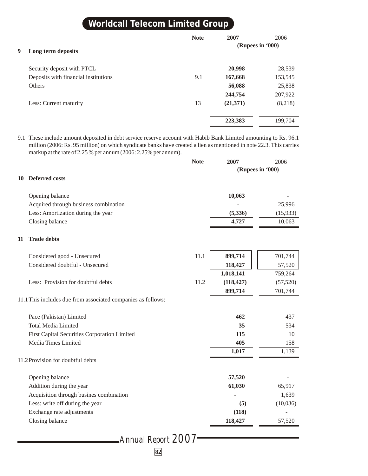|   |                                      | <b>Note</b> | 2007             | 2006    |
|---|--------------------------------------|-------------|------------------|---------|
| 9 | Long term deposits                   |             | (Rupees in '000) |         |
|   | Security deposit with PTCL           |             | 20,998           | 28,539  |
|   | Deposits with financial institutions | 9.1         | 167,668          | 153,545 |
|   | Others                               |             | 56,088           | 25,838  |
|   |                                      |             | 244,754          | 207,922 |
|   | Less: Current maturity               | 13          | (21,371)         | (8,218) |
|   |                                      |             | 223,383          | 199,704 |
|   |                                      |             |                  |         |

9.1 These include amount deposited in debt service reserve account with Habib Bank Limited amounting to Rs. 96.1 million (2006: Rs. 95 million) on which syndicate banks have created a lien as mentioned in note 22.3. This carries markup at the rate of 2.25 % per annum (2006: 2.25% per annum).

|    |                                                              | <b>Note</b> | 2007             | 2006      |
|----|--------------------------------------------------------------|-------------|------------------|-----------|
|    |                                                              |             | (Rupees in '000) |           |
| 10 | <b>Deferred costs</b>                                        |             |                  |           |
|    | Opening balance                                              |             | 10,063           |           |
|    | Acquired through business combination                        |             |                  | 25,996    |
|    | Less: Amortization during the year                           |             | (5, 336)         | (15,933)  |
|    | Closing balance                                              |             | 4,727            | 10,063    |
| 11 | <b>Trade debts</b>                                           |             |                  |           |
|    | Considered good - Unsecured                                  | 11.1        | 899,714          | 701,744   |
|    | Considered doubtful - Unsecured                              |             | 118,427          | 57,520    |
|    |                                                              |             | 1,018,141        | 759,264   |
|    | Less: Provision for doubtful debts                           | 11.2        | (118, 427)       | (57, 520) |
|    |                                                              |             | 899,714          | 701,744   |
|    | 11.1 This includes due from associated companies as follows: |             |                  |           |
|    | Pace (Pakistan) Limited                                      |             | 462              | 437       |
|    | <b>Total Media Limited</b>                                   |             | 35               | 534       |
|    | First Capital Securities Corporation Limited                 |             | 115              | 10        |
|    | Media Times Limited                                          |             | 405              | 158       |
|    |                                                              |             | 1,017            | 1,139     |
|    | 11.2 Provision for doubtful debts                            |             |                  |           |
|    | Opening balance                                              |             | 57,520           |           |
|    | Addition during the year                                     |             | 61,030           | 65,917    |
|    | Acquisition through busines combination                      |             |                  | 1,639     |
|    | Less: write off during the year                              |             | (5)              | (10,036)  |
|    | Exchange rate adjustments                                    |             | (118)            |           |
|    | Closing balance                                              |             | 118,427          | 57,520    |

Annual Report  $2007$   $-$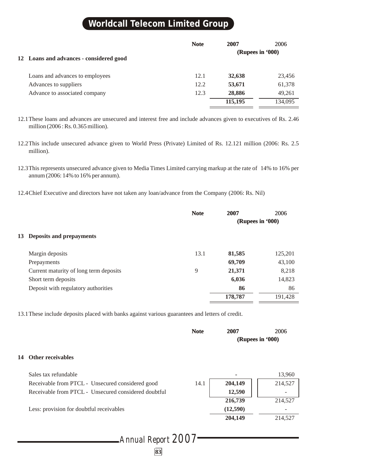|                                 | <b>Note</b>                             | 2007    | 2006             |
|---------------------------------|-----------------------------------------|---------|------------------|
|                                 |                                         |         | (Rupees in '000) |
| Loans and advances to employees | 12.1                                    | 32,638  | 23,456           |
| Advances to suppliers           | 12.2                                    | 53,671  | 61,378           |
| Advance to associated company   | 12.3                                    | 28,886  | 49,261           |
|                                 |                                         | 115,195 | 134,095          |
|                                 | 12 Loans and advances - considered good |         |                  |

12.1These loans and advances are unsecured and interest free and include advances given to executives of Rs. 2.46 million (2006 : Rs. 0.365 million).

12.2This include unsecured advance given to World Press (Private) Limited of Rs. 12.121 million (2006: Rs. 2.5 million).

12.3This represents unsecured advance given to Media Times Limited carrying markup at the rate of 14% to 16% per annum (2006: 14% to 16% per annum).

12.4Chief Executive and directors have not taken any loan/advance from the Company (2006: Rs. Nil)

|    |                                        | <b>Note</b> | 2007             | 2006    |
|----|----------------------------------------|-------------|------------------|---------|
|    |                                        |             | (Rupees in '000) |         |
| 13 | Deposits and prepayments               |             |                  |         |
|    | Margin deposits                        | 13.1        | 81,585           | 125,201 |
|    | Prepayments                            |             | 69,709           | 43,100  |
|    | Current maturity of long term deposits | 9           | 21,371           | 8,218   |
|    | Short term deposits                    |             | 6,036            | 14,823  |
|    | Deposit with regulatory authorities    |             | 86               | 86      |
|    |                                        |             | 178,787          | 191,428 |

13.1These include deposits placed with banks against various guarantees and letters of credit.

|    |                                                      | <b>Note</b> | 2007     | 2006             |
|----|------------------------------------------------------|-------------|----------|------------------|
|    |                                                      |             |          | (Rupees in '000) |
| 14 | <b>Other receivables</b>                             |             |          |                  |
|    | Sales tax refundable                                 |             |          | 13,960           |
|    | Receivable from PTCL - Unsecured considered good     | 14.1        | 204,149  | 214,527          |
|    | Receivable from PTCL - Unsecured considered doubtful |             | 12,590   |                  |
|    |                                                      |             | 216,739  | 214,527          |
|    | Less: provision for doubtful receivables             |             | (12,590) |                  |
|    |                                                      |             | 204,149  | 214,527          |

Annual Report  $2007$   $-$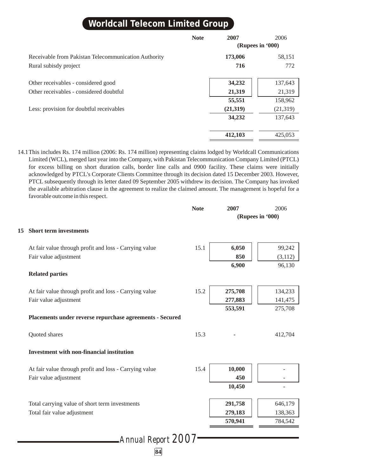|                                                      | <b>Note</b> | 2007             | 2006     |
|------------------------------------------------------|-------------|------------------|----------|
|                                                      |             | (Rupees in '000) |          |
| Receivable from Pakistan Telecommunication Authority |             | 173,006          | 58,151   |
| Rural subisdy project                                |             | 716              | 772      |
| Other receivables - considered good                  |             | 34,232           | 137,643  |
| Other receivables - considered doubtful              |             | 21,319           | 21,319   |
|                                                      |             | 55,551           | 158,962  |
| Less: provision for doubtful receivables             |             | (21,319)         | (21,319) |
|                                                      |             | 34,232           | 137,643  |
|                                                      |             |                  |          |
|                                                      |             | 412,103          | 425,053  |

14.1This includes Rs. 174 million (2006: Rs. 174 million) representing claims lodged by Worldcall Communications Limited (WCL), merged last year into the Company, with Pakistan Telecommunication Company Limited (PTCL) for excess billing on short duration calls, border line calls and 0900 facility. These claims were initially acknowledged by PTCL's Corporate Clients Committee through its decision dated 15 December 2003. However, PTCL subsequently through its letter dated 09 September 2005 withdrew its decision. The Company has invoked the available arbitration clause in the agreement to realize the claimed amount. The management is hopeful for a favorable outcome in this respect.

|    |                                                          | <b>Note</b> | 2007             | 2006     |
|----|----------------------------------------------------------|-------------|------------------|----------|
|    |                                                          |             | (Rupees in '000) |          |
| 15 | <b>Short term investments</b>                            |             |                  |          |
|    | At fair value through profit and loss - Carrying value   | 15.1        | 6,050            | 99,242   |
|    | Fair value adjustment                                    |             | 850              | (3, 112) |
|    |                                                          |             | 6,900            | 96,130   |
|    | <b>Related parties</b>                                   |             |                  |          |
|    | At fair value through profit and loss - Carrying value   | 15.2        | 275,708          | 134,233  |
|    | Fair value adjustment                                    |             | 277,883          | 141,475  |
|    |                                                          |             | 553,591          | 275,708  |
|    | Placements under reverse repurchase agreements - Secured |             |                  |          |
|    | Quoted shares                                            | 15.3        |                  | 412,704  |
|    | <b>Investment with non-financial institution</b>         |             |                  |          |
|    | At fair value through profit and loss - Carrying value   | 15.4        | 10,000           |          |
|    | Fair value adjustment                                    |             | 450              |          |
|    |                                                          |             | 10,450           |          |
|    | Total carrying value of short term investments           |             | 291,758          | 646,179  |
|    | Total fair value adjustment                              |             | 279,183          | 138,363  |
|    |                                                          |             | 570,941          | 784,542  |
|    |                                                          |             |                  |          |
|    | $\Lambda$ nnual Deport $2007$                            |             |                  |          |

-Annual Report  $\boldsymbol{z}$ UU7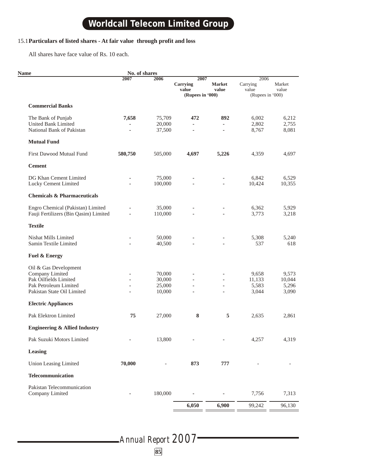#### 15.1**Particulars of listed shares - At fair value through profit and loss**

All shares have face value of Rs. 10 each.

| <b>Name</b>                                                                                                              | No. of shares  |                                      |                                               |                        |                                               |                                   |
|--------------------------------------------------------------------------------------------------------------------------|----------------|--------------------------------------|-----------------------------------------------|------------------------|-----------------------------------------------|-----------------------------------|
|                                                                                                                          | 2007           | 2006                                 | 2007<br>Carrying<br>value<br>(Rupees in '000) | <b>Market</b><br>value | 2006<br>Carrying<br>value<br>(Rupees in '000) | Market<br>value                   |
| <b>Commercial Banks</b>                                                                                                  |                |                                      |                                               |                        |                                               |                                   |
| The Bank of Punjab<br><b>United Bank Limited</b><br>National Bank of Pakistan                                            | 7,658          | 75,709<br>20,000<br>37,500           | 472<br>ä,                                     | 892                    | 6,002<br>2,802<br>8,767                       | 6,212<br>2,755<br>8,081           |
| <b>Mutual Fund</b>                                                                                                       |                |                                      |                                               |                        |                                               |                                   |
| First Dawood Mutual Fund                                                                                                 | 580,750        | 505,000                              | 4,697                                         | 5,226                  | 4,359                                         | 4,697                             |
| <b>Cement</b>                                                                                                            |                |                                      |                                               |                        |                                               |                                   |
| DG Khan Cement Limited<br>Lucky Cement Limited                                                                           |                | 75,000<br>100,000                    | ä,                                            | ä,                     | 6,842<br>10,424                               | 6,529<br>10,355                   |
| <b>Chemicals &amp; Pharmaceuticals</b>                                                                                   |                |                                      |                                               |                        |                                               |                                   |
| Engro Chemical (Pakistan) Limited<br>Fauji Fertilizers (Bin Qasim) Limited                                               | $\blacksquare$ | 35,000<br>110,000                    |                                               | ۰                      | 6,362<br>3,773                                | 5,929<br>3,218                    |
| <b>Textile</b>                                                                                                           |                |                                      |                                               |                        |                                               |                                   |
| Nishat Mills Limited<br>Samin Textile Limited                                                                            |                | 50,000<br>40,500                     |                                               |                        | 5,308<br>537                                  | 5.240<br>618                      |
| <b>Fuel &amp; Energy</b>                                                                                                 |                |                                      |                                               |                        |                                               |                                   |
| Oil & Gas Development<br>Company Limited<br>Pak Oilfields Limited<br>Pak Petroleum Limited<br>Pakistan State Oil Limited | ×,             | 70,000<br>30,000<br>25,000<br>10,000 | ä,                                            | ×,<br>٠                | 9,658<br>11,133<br>5,583<br>3,044             | 9,573<br>10,044<br>5,296<br>3,090 |
| <b>Electric Appliances</b>                                                                                               |                |                                      |                                               |                        |                                               |                                   |
| Pak Elektron Limited                                                                                                     | 75             | 27,000                               | 8                                             | 5                      | 2,635                                         | 2,861                             |
| <b>Engineering &amp; Allied Industry</b>                                                                                 |                |                                      |                                               |                        |                                               |                                   |
| Pak Suzuki Motors Limited                                                                                                |                | 13,800                               |                                               |                        | 4,257                                         | 4,319                             |
| Leasing                                                                                                                  |                |                                      |                                               |                        |                                               |                                   |
| <b>Union Leasing Limited</b>                                                                                             | 70,000         |                                      | 873                                           | 777                    |                                               |                                   |
| Telecommunication                                                                                                        |                |                                      |                                               |                        |                                               |                                   |
| Pakistan Telecommunication<br>Company Limited                                                                            |                | 180,000                              |                                               |                        | 7,756                                         | 7,313                             |
|                                                                                                                          |                |                                      | 6,050                                         | 6,900                  | 99,242                                        | 96,130                            |

Annual Report 2007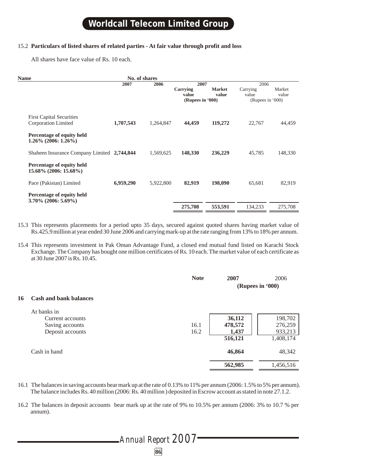#### 15.2 **Particulars of listed shares of related parties - At fair value through profit and loss**

All shares have face value of Rs. 10 each.

| <b>Name</b>                                            |           | No. of shares |                   |                        |                   |                 |
|--------------------------------------------------------|-----------|---------------|-------------------|------------------------|-------------------|-----------------|
|                                                        | 2007      | 2006          | 2007              |                        | 2006              |                 |
|                                                        |           |               | Carrying<br>value | <b>Market</b><br>value | Carrying<br>value | Market<br>value |
|                                                        |           |               | (Rupees in '000)  |                        | (Rupees in '000)  |                 |
| <b>First Capital Securities</b><br>Corporation Limited | 1,707,543 | 1,264,847     | 44,459            | 119,272                | 22,767            | 44,459          |
| Percentage of equity held<br>$1.26\%$ (2006: 1.26%)    |           |               |                   |                        |                   |                 |
| Shaheen Insurance Company Limited 2,744,844            |           | 1,569,625     | 148,330           | 236,229                | 45,785            | 148,330         |
| Percentage of equity held<br>$15.68\%$ (2006: 15.68%)  |           |               |                   |                        |                   |                 |
| Pace (Pakistan) Limited                                | 6,959,290 | 5,922,800     | 82,919            | 198,090                | 65,681            | 82,919          |
| Percentage of equity held<br>$3.70\%$ (2006: 5.69%)    |           |               |                   |                        |                   |                 |
|                                                        |           |               | 275,708           | 553,591                | 134.233           | 275,708         |

- 15.3 This represents placements for a period upto 35 days, secured against quoted shares having market value of Rs.425.9 million at year ended 30 June 2006 and carrying mark-up at the rate ranging from 13% to 18% per annum.
- 15.4 This represents investment in Pak Oman Advantage Fund, a closed end mutual fund listed on Karachi Stock Exchange. The Company has bought one million certificates of Rs. 10 each. The market value of each certificate as at 30 June 2007 is Rs. 10.45.

|    |                                                                        | <b>Note</b>  | 2007                                  | 2006<br>(Rupees in '000)                   |
|----|------------------------------------------------------------------------|--------------|---------------------------------------|--------------------------------------------|
| 16 | <b>Cash and bank balances</b>                                          |              |                                       |                                            |
|    | At banks in<br>Current accounts<br>Saving accounts<br>Deposit accounts | 16.1<br>16.2 | 36,112<br>478,572<br>1,437<br>516,121 | 198,702<br>276,259<br>933,213<br>1,408,174 |
|    | Cash in hand                                                           |              | 46,864                                | 48,342                                     |
|    |                                                                        |              | 562,985                               | 1,456,516                                  |

- 16.1 The balances in saving accounts bear mark up at the rate of 0.13% to 11% per annum (2006: 1.5% to 5% per annum). The balance includes Rs. 40 million (2006: Rs. 40 million ) deposited in Escrow account as stated in note 27.1.2.
- 16.2 The balances in deposit accounts bear mark up at the rate of 9% to 10.5% per annum (2006: 3% to 10.7 % per annum).

Annual Report  $2007$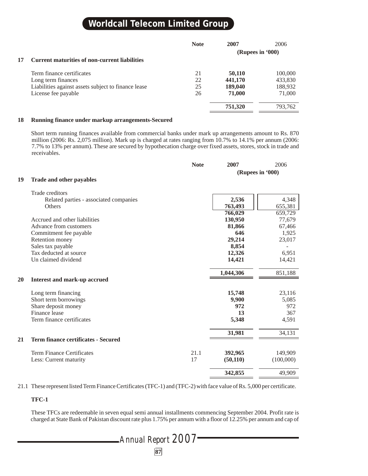|    |                                                      | <b>Note</b> | 2007             | 2006    |
|----|------------------------------------------------------|-------------|------------------|---------|
|    |                                                      |             | (Rupees in '000) |         |
| 17 | <b>Current maturities of non-current liabilities</b> |             |                  |         |
|    | Term finance certificates                            | 21          | 50,110           | 100,000 |
|    | Long term finances                                   | 22          | 441,170          | 433,830 |
|    | Liabilities against assets subject to finance lease  | 25          | 189,040          | 188,932 |
|    | License fee payable                                  | 26          | 71,000           | 71,000  |
|    |                                                      |             | 751,320          | 793.762 |

#### **18 Running finance under markup arrangements-Secured**

Short term running finances available from commercial banks under mark up arrangements amount to Rs. 870 million (2006: Rs. 2,075 million). Mark up is charged at rates ranging from 10.7% to 14.1% per annum (2006: 7.7% to 13% per annum). These are secured by hypothecation charge over fixed assets, stores, stock in trade and receivables.

| 19<br><b>Trade and other payables</b><br>Trade creditors<br>2,536<br>Related parties - associated companies<br>763,493<br><b>Others</b><br>766,029<br>Accrued and other liabilities<br>130,950<br>Advance from customers<br>81,866<br>646<br>Commitment fee payable<br>29,214<br>Retention money<br>Sales tax payable<br>8,854<br>Tax deducted at source<br>12,326<br>Un claimed dividend<br>14,421<br>1,044,306<br>20<br>Interest and mark-up accrued |                  |
|--------------------------------------------------------------------------------------------------------------------------------------------------------------------------------------------------------------------------------------------------------------------------------------------------------------------------------------------------------------------------------------------------------------------------------------------------------|------------------|
|                                                                                                                                                                                                                                                                                                                                                                                                                                                        | (Rupees in '000) |
|                                                                                                                                                                                                                                                                                                                                                                                                                                                        |                  |
|                                                                                                                                                                                                                                                                                                                                                                                                                                                        |                  |
|                                                                                                                                                                                                                                                                                                                                                                                                                                                        | 4,348            |
|                                                                                                                                                                                                                                                                                                                                                                                                                                                        | 655,381          |
|                                                                                                                                                                                                                                                                                                                                                                                                                                                        | 659,729          |
|                                                                                                                                                                                                                                                                                                                                                                                                                                                        | 77,679           |
|                                                                                                                                                                                                                                                                                                                                                                                                                                                        | 67,466           |
|                                                                                                                                                                                                                                                                                                                                                                                                                                                        | 1,925            |
|                                                                                                                                                                                                                                                                                                                                                                                                                                                        | 23,017           |
|                                                                                                                                                                                                                                                                                                                                                                                                                                                        |                  |
|                                                                                                                                                                                                                                                                                                                                                                                                                                                        | 6,951            |
|                                                                                                                                                                                                                                                                                                                                                                                                                                                        | 14,421           |
|                                                                                                                                                                                                                                                                                                                                                                                                                                                        | 851,188          |
|                                                                                                                                                                                                                                                                                                                                                                                                                                                        |                  |
| Long term financing<br>15,748                                                                                                                                                                                                                                                                                                                                                                                                                          | 23,116           |
| Short term borrowings<br>9,900                                                                                                                                                                                                                                                                                                                                                                                                                         | 5,085            |
| Share deposit money<br>972                                                                                                                                                                                                                                                                                                                                                                                                                             | 972              |
| Finance lease<br>13                                                                                                                                                                                                                                                                                                                                                                                                                                    | 367              |
| Term finance certificates<br>5,348                                                                                                                                                                                                                                                                                                                                                                                                                     | 4,591            |
| 31,981                                                                                                                                                                                                                                                                                                                                                                                                                                                 | 34,131           |
| <b>Term finance certificates - Secured</b><br>21                                                                                                                                                                                                                                                                                                                                                                                                       |                  |
| <b>Term Finance Certificates</b><br>21.1<br>392,965                                                                                                                                                                                                                                                                                                                                                                                                    | 149,909          |
| 17<br>(50, 110)<br>Less: Current maturity                                                                                                                                                                                                                                                                                                                                                                                                              | (100,000)        |
| 342,855                                                                                                                                                                                                                                                                                                                                                                                                                                                | 49,909           |

#### 21.1 These represent listed Term Finance Certificates (TFC-1) and (TFC-2) with face value of Rs. 5,000 per certificate.

#### **TFC-1**

These TFCs are redeemable in seven equal semi annual installments commencing September 2004. Profit rate is charged at State Bank of Pakistan discount rate plus 1.75% per annum with a floor of 12.25% per annum and cap of

Annual Report  $2007$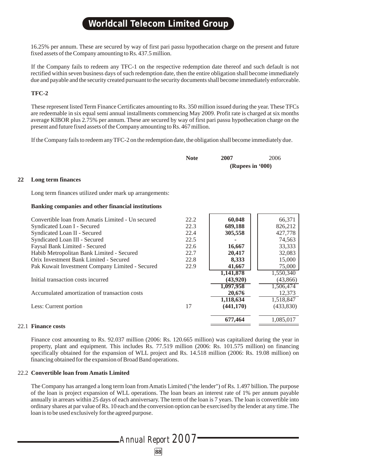16.25% per annum. These are secured by way of first pari passu hypothecation charge on the present and future fixed assets of the Company amounting to Rs. 437.5 million.

If the Company fails to redeem any TFC-1 on the respective redemption date thereof and such default is not rectified within seven business days of such redemption date, then the entire obligation shall become immediately due and payable and the security created pursuant to the security documents shall become immediately enforceable.

#### **TFC-2**

These represent listed Term Finance Certificates amounting to Rs. 350 million issued during the year. These TFCs are redeemable in six equal semi annual installments commencing May 2009. Profit rate is charged at six months average KIBOR plus 2.75% per annum. These are secured by way of first pari passu hypothecation charge on the present and future fixed assets of the Company amounting to Rs. 467 million.

If the Company fails to redeem any TFC-2 on the redemption date, the obligation shall become immediately due.

| <b>Note</b> | 2007                 | 2006 |
|-------------|----------------------|------|
|             | (Rupees in $(000)$ ) |      |

#### **22 Long term finances**

Long term finances utilized under mark up arrangements:

#### **Banking companies and other financial institutions**

| Convertible Ioan from Amatis Limited - Un secured | 22.2 | 60,048     | 66,371    |
|---------------------------------------------------|------|------------|-----------|
| Syndicated Loan I - Secured                       | 22.3 | 689,188    | 826,212   |
| Syndicated Loan II - Secured                      | 22.4 | 305,558    | 427,778   |
| Syndicated Loan III - Secured                     | 22.5 |            | 74,563    |
| Faysal Bank Limited - Secured                     | 22.6 | 16,667     | 33,333    |
| Habib Metropolitan Bank Limited - Secured         | 22.7 | 20,417     | 32,083    |
| Orix Investment Bank Limited - Secured            | 22.8 | 8,333      | 15,000    |
| Pak Kuwait Investment Company Limited - Secured   | 22.9 | 41,667     | 75,000    |
|                                                   |      | 1,141,878  | 1,550,340 |
| Initial transaction costs incurred                |      | (43,920)   | (43, 866) |
|                                                   |      | 1,097,958  | 1,506,474 |
| Accumulated amortization of transaction costs     |      | 20,676     | 12,373    |
|                                                   |      | 1,118,634  | 1,518,847 |
| Less: Current portion                             | 17   | (441, 170) | (433,830) |
|                                                   |      | 677,464    | 1,085,017 |
|                                                   |      |            |           |

#### 22.1 **Finance costs**

Finance cost amounting to Rs. 92.037 million (2006: Rs. 120.665 million) was capitalized during the year in property, plant and equipment. This includes Rs. 77.519 million (2006: Rs. 101.575 million) on financing specifically obtained for the expansion of WLL project and Rs. 14.518 million (2006: Rs. 19.08 million) on financing obtained for the expansion of Broad Band operations.

#### 22.2 **Convertible loan from Amatis Limited**

The Company has arranged a long term loan from Amatis Limited ("the lender") of Rs. 1.497 billion. The purpose of the loan is project expansion of WLL operations. The loan bears an interest rate of 1% per annum payable annually in arrears within 25 days of each anniversary. The term of the loan is 7 years. The loan is convertible into ordinary shares at par value of Rs. 10 each and the conversion option can be exercised by the lender at any time. The loan is to be used exclusively for the agreed purpose.

## Annual Report  $2007$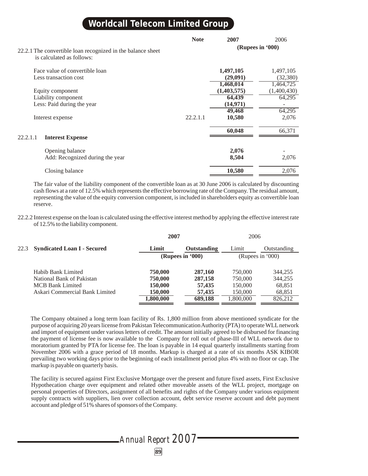|          |                                                                                          | <b>Note</b> | 2007        | 2006             |
|----------|------------------------------------------------------------------------------------------|-------------|-------------|------------------|
|          | 22.2.1 The convertible loan recognized in the balance sheet<br>is calculated as follows: |             |             | (Rupees in '000) |
|          | Face value of convertible loan                                                           |             | 1,497,105   | 1,497,105        |
|          | Less transaction cost                                                                    |             | (29,091)    | (32, 380)        |
|          |                                                                                          |             | 1,468,014   | 1,464,725        |
|          | Equity component                                                                         |             | (1,403,575) | (1,400,430)      |
|          | Liability component                                                                      |             | 64,439      | 64,295           |
|          | Less: Paid during the year                                                               |             | (14, 971)   |                  |
|          |                                                                                          |             | 49,468      | 64,295           |
|          | Interest expense                                                                         | 22.2.1.1    | 10,580      | 2,076            |
| 22.2.1.1 | <b>Interest Expense</b>                                                                  |             | 60,048      | 66,371           |
|          |                                                                                          |             |             |                  |
|          | Opening balance                                                                          |             | 2,076       |                  |
|          | Add: Recognized during the year                                                          |             | 8,504       | 2,076            |
|          | Closing balance                                                                          |             | 10,580      | 2,076            |
|          |                                                                                          |             |             |                  |

The fair value of the liability component of the convertible loan as at 30 June 2006 is calculated by discounting cash flows at a rate of 12.5% which represents the effective borrowing rate of the Company. The residual amount, representing the value of the equity conversion component, is included in shareholders equity as convertible loan reserve.

22.2.2 Interest expense on the loan is calculated using the effective interest method by applying the effective interest rate of 12.5% to the liability component.

|                                  | 2007             |             | 2006             |             |
|----------------------------------|------------------|-------------|------------------|-------------|
| 22.3 Syndicated Loan I - Secured | Limit            | Outstanding | Limit            | Outstanding |
|                                  | (Rupees in '000) |             | (Rupees in '000) |             |
| Habib Bank Limited               | 750,000          | 287,160     | 750,000          | 344,255     |
| National Bank of Pakistan        | 750,000          | 287,158     | 750,000          | 344,255     |
| <b>MCB Bank Limited</b>          | 150,000          | 57,435      | 150,000          | 68,851      |
| Askari Commercial Bank Limited   | 150,000          | 57,435      | 150,000          | 68,851      |
|                                  | 1,800,000        | 689,188     | 1,800,000        | 826,212     |
|                                  |                  |             |                  |             |

The Company obtained a long term loan facility of Rs. 1,800 million from above mentioned syndicate for the purpose of acquiring 20 years license from Pakistan Telecommunication Authority (PTA) to operate WLL network and import of equipment under various letters of credit. The amount initially agreed to be disbursed for financing the payment of license fee is now available to the Company for roll out of phase-III of WLL network due to moratorium granted by PTA for license fee. The loan is payable in 14 equal quarterly installments starting from November 2006 with a grace period of 18 months. Markup is charged at a rate of six months ASK KIBOR prevailing two working days prior to the beginning of each installment period plus 4% with no floor or cap. The markup is payable on quarterly basis.

The facility is secured against First Exclusive Mortgage over the present and future fixed assets, First Exclusive Hypothecation charge over equipment and related other moveable assets of the WLL project, mortgage on personal properties of Directors, assignment of all benefits and rights of the Company under various equipment supply contracts with suppliers, lien over collection account, debt service reserve account and debt payment account and pledge of 51% shares of sponsors of the Company.

## Annual Report 2007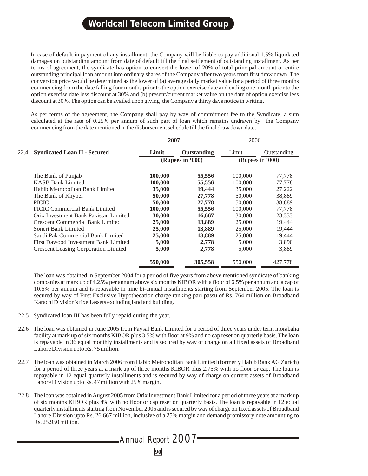In case of default in payment of any installment, the Company will be liable to pay additional 1.5% liquidated damages on outstanding amount from date of default till the final settlement of outstanding installment. As per terms of agreement, the syndicate has option to convert the lower of 20% of total principal amount or entire outstanding principal loan amount into ordinary shares of the Company after two years from first draw down. The conversion price would be determined as the lower of (a) average daily market value for a period of three months commencing from the date falling four months prior to the option exercise date and ending one month prior to the option exercise date less discount at 30% and (b) present/current market value on the date of option exercise less discount at 30%. The option can be availed upon giving the Company a thirty days notice in writing.

As per terms of the agreement, the Company shall pay by way of commitment fee to the Syndicate, a sum calculated at the rate of 0.25% per annum of such part of loan which remains undrawn by the Company commencing from the date mentioned in the disbursement schedule till the final draw down date.

|      |                                             | 2007    |                  | 2006             |             |
|------|---------------------------------------------|---------|------------------|------------------|-------------|
| 22.4 | <b>Syndicated Loan II - Secured</b>         | Limit   | Outstanding      | Limit            | Outstanding |
|      |                                             |         | (Rupees in '000) | (Rupees in '000) |             |
|      | The Bank of Punjab                          | 100,000 | 55,556           | 100,000          | 77,778      |
|      | <b>KASB Bank Limited</b>                    | 100,000 | 55,556           | 100,000          | 77.778      |
|      | Habib Metropolitan Bank Limited             | 35,000  | 19,444           | 35,000           | 27,222      |
|      | The Bank of Khyber                          | 50,000  | 27,778           | 50,000           | 38,889      |
|      | <b>PICIC</b>                                | 50,000  | 27,778           | 50,000           | 38,889      |
|      | <b>PICIC Commercial Bank Limited</b>        | 100,000 | 55,556           | 100,000          | 77,778      |
|      | Orix Investment Bank Pakistan Limited       | 30,000  | 16,667           | 30,000           | 23,333      |
|      | <b>Crescent Commercial Bank Limited</b>     | 25,000  | 13,889           | 25,000           | 19,444      |
|      | Soneri Bank Limited                         | 25,000  | 13,889           | 25,000           | 19,444      |
|      | Saudi Pak Commercial Bank Limited           | 25,000  | 13,889           | 25,000           | 19,444      |
|      | First Dawood Investment Bank Limited        | 5,000   | 2,778            | 5,000            | 3,890       |
|      | <b>Crescent Leasing Corporation Limited</b> | 5,000   | 2,778            | 5,000            | 3,889       |
|      |                                             | 550,000 | 305,558          | 550,000          | 427,778     |

The loan was obtained in September 2004 for a period of five years from above mentioned syndicate of banking companies at mark up of 4.25% per annum above six months KIBOR with a floor of 6.5% per annum and a cap of 10.5% per annum and is repayable in nine bi-annual installments starting from September 2005. The loan is secured by way of First Exclusive Hypothecation charge ranking pari passu of Rs. 764 million on Broadband Karachi Division's fixed assets excluding land and building.

- 22.5 Syndicated loan III has been fully repaid during the year.
- 22.6 The loan was obtained in June 2005 from Faysal Bank Limited for a period of three years under term morabaha facility at mark up of six months KIBOR plus 3.5% with floor at 9% and no cap reset on quarterly basis. The loan is repayable in 36 equal monthly installments and is secured by way of charge on all fixed assets of Broadband Lahore Division upto Rs. 75 million.
- 22.7 The loan was obtained in March 2006 from Habib Metropolitan Bank Limited (formerly Habib Bank AG Zurich) for a period of three years at a mark up of three months KIBOR plus 2.75% with no floor or cap. The loan is repayable in 12 equal quarterly installments and is secured by way of charge on current assets of Broadband Lahore Division upto Rs. 47 million with 25% margin.
- 22.8 The loan was obtained in August 2005 from Orix Investment Bank Limited for a period of three years at a mark up of six months KIBOR plus 4% with no floor or cap reset on quarterly basis. The loan is repayable in 12 equal quarterly installments starting from November 2005 and is secured by way of charge on fixed assets of Broadband Lahore Division upto Rs. 26.667 million, inclusive of a 25% margin and demand promissory note amounting to Rs. 25.950 million.

## Annual Report 2007-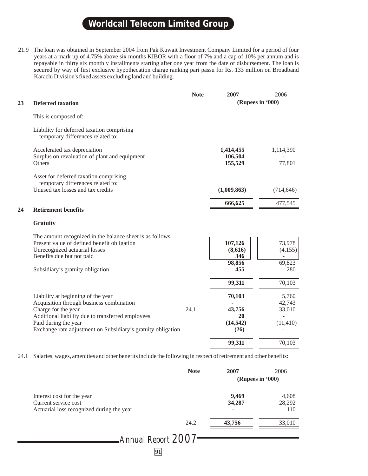21.9 The loan was obtained in September 2004 from Pak Kuwait Investment Company Limited for a period of four years at a mark up of 4.75% above six months KIBOR with a floor of 7% and a cap of 10% per annum and is repayable in thirty six monthly installments starting after one year from the date of disbursement. The loan is secured by way of first exclusive hypothecation charge ranking pari passu for Rs. 133 million on Broadband Karachi Division's fixed assets excluding land and building.

|    |                                                                                 | <b>Note</b> | 2007                 | 2006              |
|----|---------------------------------------------------------------------------------|-------------|----------------------|-------------------|
| 23 | <b>Deferred taxation</b>                                                        |             | (Rupees in '000)     |                   |
|    | This is composed of:                                                            |             |                      |                   |
|    | Liability for deferred taxation comprising<br>temporary differences related to: |             |                      |                   |
|    | Accelerated tax depreciation<br>Surplus on revaluation of plant and equipment   |             | 1,414,455<br>106,504 | 1,114,390         |
|    | Others                                                                          |             | 155,529              | 77,801            |
|    | Asset for deferred taxation comprising<br>temporary differences related to:     |             |                      |                   |
|    | Unused tax losses and tax credits                                               |             | (1,009,863)          | (714, 646)        |
| 24 | <b>Retirement benefits</b>                                                      |             | 666,625              | 477,545           |
|    | <b>Gratuity</b>                                                                 |             |                      |                   |
|    | The amount recognized in the balance sheet is as follows:                       |             |                      |                   |
|    | Present value of defined benefit obligation<br>Unrecognized actuarial losses    |             | 107,126<br>(8,616)   | 73,978<br>(4,155) |
|    | Benefits due but not paid                                                       |             | 346                  |                   |
|    | Subsidiary's gratuity obligation                                                |             | 98,856<br>455        | 69,823<br>280     |
|    |                                                                                 |             | 99,311               | 70,103            |
|    | Liability at beginning of the year                                              |             | 70,103               | 5,760             |
|    | Acquisition through business combination<br>Charge for the year                 | 24.1        | 43,756               | 42,743<br>33,010  |
|    | Additional liability due to transferred employees                               |             | 20                   | L,                |
|    | Paid during the year                                                            |             | (14, 542)            | (11, 410)         |
|    | Exchange rate adjustment on Subsidiary's gratuity obligation                    |             | (26)                 |                   |
|    |                                                                                 |             | 99,311               | 70,103            |

24.1 Salaries, wages, amenities and other benefits include the following in respect of retirement and other benefits:

|                                                                                                 | <b>Note</b> | 2007                 | 2006                   |
|-------------------------------------------------------------------------------------------------|-------------|----------------------|------------------------|
|                                                                                                 |             | (Rupees in '000)     |                        |
| Interest cost for the year<br>Current service cost<br>Actuarial loss recognized during the year |             | 9,469<br>34,287<br>۰ | 4,608<br>28,292<br>110 |
|                                                                                                 | 24.2        | 43,756               | 33,010                 |
| Annual Report 2007                                                                              |             |                      |                        |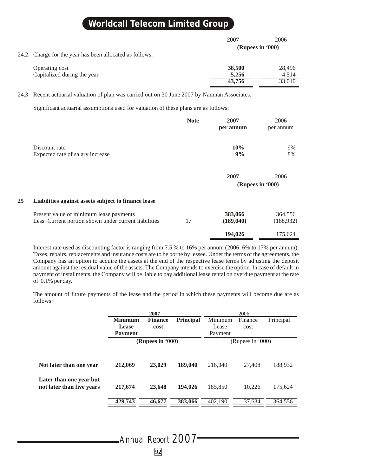| 2007                 | 2006 |
|----------------------|------|
| (Rupees in $(000)$ ) |      |

24.2 Charge for the year has been allocated as follows:

| Operating cost              | 38,500 | 28,496 |
|-----------------------------|--------|--------|
| Capitalized during the year | 5.256  | 4.514  |
|                             | 43,756 | 33,010 |

24.3 Recent actuarial valuation of plan was carried out on 30 June 2007 by Nauman Associates.

Significant actuarial assumptions used for valuation of these plans are as follows:

|    |                                                                                                  | <b>Note</b> | 2007<br>per annum    | 2006<br>per annum     |
|----|--------------------------------------------------------------------------------------------------|-------------|----------------------|-----------------------|
|    | Discount rate<br>Expected rate of salary increase                                                |             | 10%<br>9%            | 9%<br>8%              |
|    |                                                                                                  |             | 2007                 | 2006                  |
|    |                                                                                                  |             |                      | (Rupees in '000)      |
| 25 | Liabilities against assets subject to finance lease                                              |             |                      |                       |
|    | Present value of minimum lease payments<br>Less: Current portion shown under current liabilities | 17          | 383,066<br>(189,040) | 364,556<br>(188, 932) |
|    |                                                                                                  |             | 194,026              | 175,624               |
|    |                                                                                                  |             |                      |                       |

Interest rate used as discounting factor is ranging from 7.5 % to 16% per annum (2006: 6% to 17% per annum). Taxes, repairs, replacements and insurance costs are to be borne by lessee. Under the terms of the agreements, the Company has an option to acquire the assets at the end of the respective lease terms by adjusting the deposit amount against the residual value of the assets. The Company intends to exercise the option. In case of default in payment of installments, the Company will be liable to pay additional lease rental on overdue payment at the rate of 0.1% per day.

The amount of future payments of the lease and the period in which these payments will become due are as follows:

|                | 2007           |                  |                             | 2006    |                            |
|----------------|----------------|------------------|-----------------------------|---------|----------------------------|
| <b>Minimum</b> | <b>Finance</b> | <b>Principal</b> | Minimum                     | Finance | Principal                  |
| <b>Lease</b>   | cost           |                  | Lease                       | cost    |                            |
| <b>Payment</b> |                |                  | Payment                     |         |                            |
|                |                |                  |                             |         |                            |
|                |                |                  |                             |         | 188,932                    |
|                |                |                  |                             |         |                            |
| 217,674        | 23,648         | 194,026          | 185,850                     | 10,226  | 175,624                    |
| 429,743        | 46,677         | 383,066          | 402,190                     | 37,634  | 364,556                    |
|                | 212,069        | 23,029           | (Rupees in '000)<br>189,040 | 216,340 | (Rupees in '000)<br>27,408 |

Annual Report  $2007$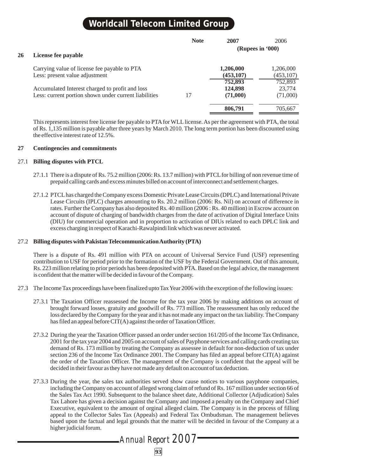|    |                                                       | <b>Note</b> | 2007             | 2006       |
|----|-------------------------------------------------------|-------------|------------------|------------|
| 26 | License fee payable                                   |             | (Rupees in '000) |            |
|    | Carrying value of license fee payable to PTA          |             | 1,206,000        | 1,206,000  |
|    | Less: present value adjustment                        |             | (453, 107)       | (453, 107) |
|    |                                                       |             | 752,893          | 752,893    |
|    | Accumulated Interest charged to profit and loss       |             | 124,898          | 23,774     |
|    | Less: current portion shown under current liabilities | 17          | (71,000)         | (71,000)   |
|    |                                                       |             | 806,791          | 705,667    |

This represents interest free license fee payable to PTA for WLL license. As per the agreement with PTA, the total of Rs. 1,135 million is payable after three years by March 2010. The long term portion has been discounted using the effective interest rate of 12.5%.

#### **27 Contingencies and commitments**

#### 27.1 **Billing disputes with PTCL**

- 27.1.1 There is a dispute of Rs. 75.2 million (2006: Rs. 13.7 million) with PTCL for billing of non revenue time of prepaid calling cards and excess minutes billed on account of interconnect and settlement charges.
- 27.1.2 PTCL has charged the Company excess Domestic Private Lease Circuits (DPLC) and International Private Lease Circuits (IPLC) charges amounting to Rs. 20.2 million (2006: Rs. Nil) on account of difference in rates. Further the Company has also deposited Rs. 40 million (2006 : Rs. 40 million) in Escrow account on account of dispute of charging of bandwidth charges from the date of activation of Digital Interface Units (DIU) for commercial operation and in proportion to activation of DIUs related to each DPLC link and excess charging in respect of Karachi-Rawalpindi link which was never activated.

#### 27.2 **Billing disputes with Pakistan Telecommunication Authority (PTA)**

There is a dispute of Rs. 491 million with PTA on account of Universal Service Fund (USF) representing contribution to USF for period prior to the formation of the USF by the Federal Government. Out of this amount, Rs. 223 million relating to prior periods has been deposited with PTA. Based on the legal advice, the management is confident that the matter will be decided in favour of the Company.

- 27.3 The Income Tax proceedings have been finalized upto Tax Year 2006 with the exception of the following issues:
	- 27.3.1 The Taxation Officer reassessed the Income for the tax year 2006 by making additions on account of brought forward losses, gratuity and goodwill of Rs. 773 million. The reassessment has only reduced the loss declared by the Company for the year and it has not made any impact on the tax liability. The Company has filed an appeal before CIT(A) against the order of Taxation Officer.
	- 27.3.2 During the year the Taxation Officer passed an order under section 161/205 of the Income Tax Ordinance, 2001 for the tax year 2004 and 2005 on account of sales of Payphone services and calling cards creating tax demand of Rs. 173 million by treating the Company as assessee in default for non-deduction of tax under section 236 of the Income Tax Ordinance 2001. The Company has filed an appeal before CIT(A) against the order of the Taxation Officer. The management of the Company is confident that the appeal will be decided in their favour as they have not made any default on account of tax deduction.
	- 27.3.3 During the year, the sales tax authorities served show cause notices to various payphone companies, including the Company on account of alleged wrong claim of refund of Rs. 167 million under section 66 of the Sales Tax Act 1990. Subsequent to the balance sheet date, Additional Collector (Adjudication) Sales Tax Lahore has given a decision against the Company and imposed a penalty on the Company and Chief Executive, equivalent to the amount of orginal alleged claim. The Company is in the process of filling appeal to the Collector Sales Tax (Appeals) and Federal Tax Ombudsman. The management believes based upon the factual and legal grounds that the matter will be decided in favour of the Company at a higher judicial forum.

## $\,$ Annual Report  $2007$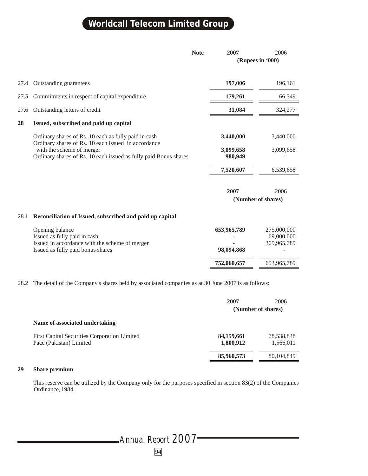|      |                                                                                                             | <b>Note</b> | 2007                 | 2006               |
|------|-------------------------------------------------------------------------------------------------------------|-------------|----------------------|--------------------|
|      |                                                                                                             |             |                      | (Rupees in '000)   |
|      |                                                                                                             |             |                      |                    |
| 27.4 | Outstanding guarantees                                                                                      |             | 197,006              | 196,161            |
| 27.5 | Commitments in respect of capital expenditure                                                               |             | 179,261              | 66,349             |
| 27.6 | Outstanding letters of credit                                                                               |             | 31,084               | 324,277            |
| 28   | Issued, subscribed and paid up capital                                                                      |             |                      |                    |
|      | Ordinary shares of Rs. 10 each as fully paid in cash<br>Ordinary shares of Rs. 10 each issued in accordance |             | 3,440,000            | 3,440,000          |
|      | with the scheme of merger<br>Ordinary shares of Rs. 10 each issued as fully paid Bonus shares               |             | 3,099,658<br>980,949 | 3,099,658          |
|      |                                                                                                             |             | 7,520,607            | 6,539,658          |
|      |                                                                                                             |             |                      |                    |
|      |                                                                                                             |             | 2007                 | 2006               |
|      |                                                                                                             |             |                      | (Number of shares) |
| 28.1 | Reconciliation of Issued, subscribed and paid up capital                                                    |             |                      |                    |
|      | Opening balance                                                                                             |             | 653,965,789          | 275,000,000        |
|      | Issued as fully paid in cash                                                                                |             |                      | 69,000,000         |
|      | Issued in accordance with the scheme of merger<br>Issued as fully paid bonus shares                         |             | 98,094,868           | 309,965,789        |
|      |                                                                                                             |             | 752,060,657          | 653,965,789        |
|      |                                                                                                             |             |                      |                    |

28.2 The detail of the Company's shares held by associated companies as at 30 June 2007 is as follows:

|                                                                                | 2007                    | 2006<br>(Number of shares) |
|--------------------------------------------------------------------------------|-------------------------|----------------------------|
| Name of associated undertaking                                                 |                         |                            |
| <b>First Capital Securities Corporation Limited</b><br>Pace (Pakistan) Limited | 84,159,661<br>1,800,912 | 78,538,838<br>1,566,011    |
|                                                                                | 85,960,573              | 80,104,849                 |

#### **29 Share premium**

This reserve can be utilized by the Company only for the purposes specified in section 83(2) of the Companies Ordinance, 1984.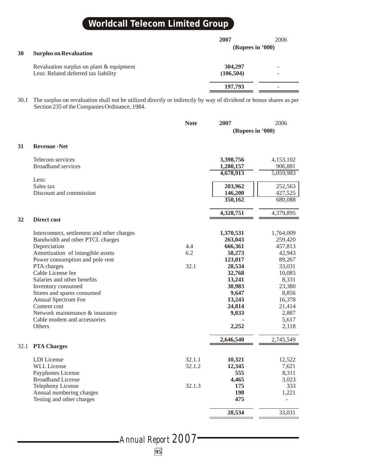|    |                                          | 2007                  | 2006          |
|----|------------------------------------------|-----------------------|---------------|
| 30 | <b>Surplus on Revaluation</b>            | (Rupees in '000)      |               |
|    | Revaluation surplus on plant & equipment | 304,297               | ۰             |
|    | Less: Related deferred tax liability     | (106, 504)<br>197,793 | $\equiv$<br>- |
|    |                                          |                       |               |

30.1 The surplus on revaluation shall not be utilized directly or indirectly by way of dividend or bonus shares as per Section 235 of the Companies Ordinance, 1984.

|      |                                                  | <b>Note</b> | 2007                   | 2006                 |
|------|--------------------------------------------------|-------------|------------------------|----------------------|
|      |                                                  |             | (Rupees in '000)       |                      |
| 31   | <b>Revenue -Net</b>                              |             |                        |                      |
|      | Telecom services<br><b>Broadband services</b>    |             | 3,398,756              | 4,153,102<br>906,881 |
|      |                                                  |             | 1,280,157<br>4,678,913 | 5,059,983            |
|      | Less:                                            |             |                        |                      |
|      | Sales tax<br>Discount and commission             |             | 203,962<br>146,200     | 252,563<br>427,525   |
|      |                                                  |             | 350,162                | 680,088              |
|      |                                                  |             | 4,328,751              | 4,379,895            |
| 32   | <b>Direct cost</b>                               |             |                        |                      |
|      | Interconnect, settlement and other charges       |             | 1,370,531              | 1,764,009            |
|      | Bandwidth and other PTCL charges                 |             | 263,043                | 259,420              |
|      | Depreciation                                     | 4.4         | 666,361                | 457,813              |
|      | Amortization of intangible assets                | 6.2         | 58,273                 | 42,943               |
|      | Power consumption and pole rent                  |             | 123,017                | 89,267               |
|      | PTA charges                                      | 32.1        | 28,534                 | 33,031               |
|      | Cable License fee<br>Salaries and other benefits |             | 32,768<br>13,241       | 10,085<br>8,331      |
|      | Inventory consumed                               |             | 30,983                 | 23,380               |
|      | Stores and spares consumed                       |             | 9,647                  | 8,856                |
|      | Annual Spectrum Fee                              |             | 13,243                 | 16,378               |
|      | Content cost                                     |             | 24,814                 | 21,414               |
|      | Network maintenance & insurance                  |             | 9,833                  | 2,887                |
|      | Cable modem and accessories                      |             |                        | 5,617                |
|      | Others                                           |             | 2,252                  | 2,118                |
|      |                                                  |             | 2,646,540              | 2,745,549            |
| 32.1 | <b>PTA Charges</b>                               |             |                        |                      |
|      | <b>LDI</b> License                               | 32.1.1      | 10,321                 | 12,522               |
|      | <b>WLL</b> License                               | 32.1.2      | 12,345                 | 7,621                |
|      | Payphones License                                |             | 555                    | 8,311                |
|      | <b>Broadband License</b>                         |             | 4,465                  | 3,023                |
|      | Telephony License                                | 32.1.3      | 175                    | 333                  |
|      | Annual numbering charges                         |             | 198                    | 1,221                |
|      | Testing and other charges                        |             | 475                    |                      |
|      |                                                  |             | 28,534                 | 33,031               |

 $\blacksquare$ Annual Report  $2007$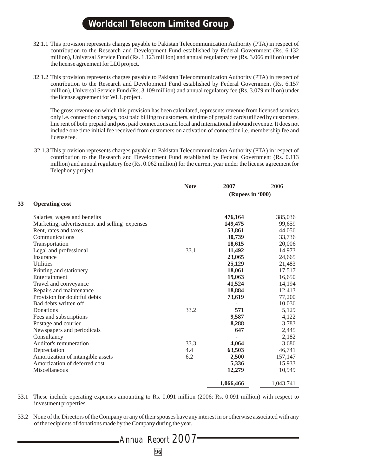- 32.1.1 This provision represents charges payable to Pakistan Telecommunication Authority (PTA) in respect of contribution to the Research and Development Fund established by Federal Government (Rs. 6.132 million), Universal Service Fund (Rs. 1.123 million) and annual regulatory fee (Rs. 3.066 million) under the license agreement for LDI project.
- 32.1.2 This provision represents charges payable to Pakistan Telecommunication Authority (PTA) in respect of contribution to the Research and Development Fund established by Federal Government (Rs. 6.157 million), Universal Service Fund (Rs. 3.109 million) and annual regulatory fee (Rs. 3.079 million) under the license agreement for WLL project.

The gross revenue on which this provision has been calculated, represents revenue from licensed services only i.e. connection charges, post paid billing to customers, air time of prepaid cards utilized by customers, line rent of both prepaid and post paid connections and local and international inbound revenue. It does not include one time initial fee received from customers on activation of connection i.e. membership fee and license fee.

32.1.3 This provision represents charges payable to Pakistan Telecommunication Authority (PTA) in respect of contribution to the Research and Development Fund established by Federal Government (Rs. 0.113 million) and annual regulatory fee (Rs. 0.062 million) for the current year under the license agreement for Telephony project.

|    |                                               | <b>Note</b> | 2007             | 2006      |
|----|-----------------------------------------------|-------------|------------------|-----------|
|    |                                               |             | (Rupees in '000) |           |
| 33 | <b>Operating cost</b>                         |             |                  |           |
|    | Salaries, wages and benefits                  |             | 476,164          | 385,036   |
|    | Marketing, advertisement and selling expenses |             | 149,475          | 99,659    |
|    | Rent, rates and taxes                         |             | 53,861           | 44,056    |
|    | Communications                                |             | 30,739           | 33,736    |
|    | Transportation                                |             | 18,615           | 20,006    |
|    | Legal and professional                        | 33.1        | 11,492           | 14,973    |
|    | Insurance                                     |             | 23,065           | 24,665    |
|    | <b>Utilities</b>                              |             | 25,129           | 21,483    |
|    | Printing and stationery                       |             | 18,061           | 17,517    |
|    | Entertainment                                 |             | 19,063           | 16,650    |
|    | Travel and conveyance                         |             | 41,524           | 14,194    |
|    | Repairs and maintenance                       |             | 18,884           | 12,413    |
|    | Provision for doubtful debts                  |             | 73,619           | 77,200    |
|    | Bad debts written off                         |             |                  | 10,036    |
|    | Donations                                     | 33.2        | 571              | 5,129     |
|    | Fees and subscriptions                        |             | 9,587            | 4,122     |
|    | Postage and courier                           |             | 8,288            | 3,783     |
|    | Newspapers and periodicals                    |             | 647              | 2,445     |
|    | Consultancy                                   |             |                  | 2,182     |
|    | Auditor's remuneration                        | 33.3        | 4,064            | 3,686     |
|    | Depreciation                                  | 4.4         | 63,503           | 46,741    |
|    | Amortization of intangible assets             | 6.2         | 2,500            | 157,147   |
|    | Amortization of deferred cost                 |             | 5,336            | 15,933    |
|    | Miscellaneous                                 |             | 12,279           | 10,949    |
|    |                                               |             | 1,066,466        | 1,043,741 |

- 33.1 These include operating expenses amounting to Rs. 0.091 million (2006: Rs. 0.091 million) with respect to investment properties.
- 33.2 None of the Directors of the Company or any of their spouses have any interest in or otherwise associated with any of the recipients of donations made by the Company during the year.

## Annual Report 2007-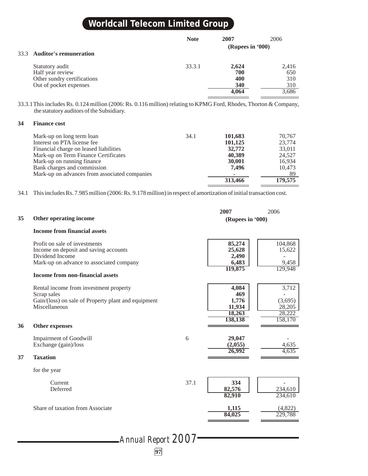|                             | <b>Note</b> | 2007             | 2006  |  |
|-----------------------------|-------------|------------------|-------|--|
|                             |             | (Rupees in '000) |       |  |
| 33.3 Auditor's remuneration |             |                  |       |  |
| Statutory audit             | 33.3.1      | 2.624            | 2,416 |  |
| Half year review            |             | 700              | 650   |  |
| Other sundry certifications |             | 400              | 310   |  |
| Out of pocket expenses      |             | 340              | 310   |  |
|                             |             | 4.064            | 3,686 |  |

33.3.1This includes Rs. 0.124 million (2006: Rs. 0.116 million) relating to KPMG Ford, Rhodes, Thorton & Company, the statutory auditors of the Subsidiary.

#### **34 Finance cost**

| Mark-up on long term loan                                                    | 34.1 | 101,683 | 70.767       |
|------------------------------------------------------------------------------|------|---------|--------------|
| Interest on PTA license fee                                                  |      | 101,125 | 23,774       |
| Financial charge on leased liabilities                                       |      | 32,772  | 33,011       |
| Mark-up on Term Finance Certificates                                         |      | 40,389  | 24,527       |
| Mark-up on running finance                                                   |      | 30,001  | 16,934       |
| Bank charges and commission<br>Mark-up on advances from associated companies |      | 7.496   | 10.473<br>89 |
|                                                                              |      | 313,466 | 179,575      |

34.1 This includes Rs. 7.985 million (2006: Rs. 9.178 million) in respect of amortization of initial transaction cost.

|    |                                                     |      | 2007             | 2006    |
|----|-----------------------------------------------------|------|------------------|---------|
| 35 | Other operating income                              |      | (Rupees in '000) |         |
|    | <b>Income from financial assets</b>                 |      |                  |         |
|    | Profit on sale of investments                       |      | 85,274           | 104,868 |
|    | Income on deposit and saving accounts               |      | 25,628           | 15,622  |
|    | Dividend Income                                     |      | 2,490            |         |
|    | Mark-up on advance to associated company            |      | 6,483            | 9,458   |
|    |                                                     |      | 119,875          | 129,948 |
|    | <b>Income from non-financial assets</b>             |      |                  |         |
|    | Rental income from investment property              |      | 4,084            | 3,712   |
|    | Scrap sales                                         |      | 469              |         |
|    | Gain/(loss) on sale of Property plant and equipment |      | 1,776            | (3,695) |
|    | Miscellaneous                                       |      | 11,934           | 28,205  |
|    |                                                     |      | 18,263           | 28,222  |
|    |                                                     |      | 138,138          | 158,170 |
| 36 | Other expenses                                      |      |                  |         |
|    | <b>Impairment of Goodwill</b>                       | 6    | 29,047           |         |
|    | Exchange (gain)/loss                                |      | (2,055)          | 4,635   |
|    |                                                     |      | 26,992           | 4,635   |
| 37 | <b>Taxation</b>                                     |      |                  |         |
|    | for the year                                        |      |                  |         |
|    | Current                                             | 37.1 | 334              |         |
|    | Deferred                                            |      | 82,576           | 234,610 |
|    |                                                     |      | 82,910           | 234,610 |
|    | Share of taxation from Associate                    |      | 1,115            | (4,822) |
|    |                                                     |      | 84,025           | 229,788 |
|    |                                                     |      |                  |         |

Annual Report 2007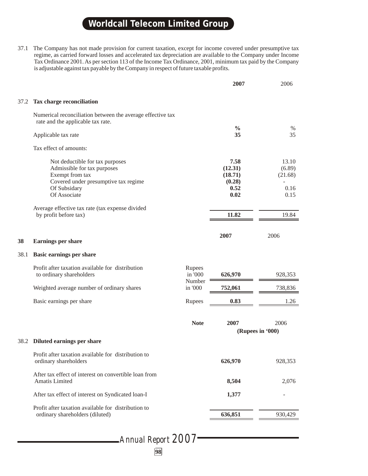37.1 The Company has not made provision for current taxation, except for income covered under presumptive tax regime, as carried forward losses and accelerated tax depreciation are available to the Company under Income Tax Ordinance 2001. As per section 113 of the Income Tax Ordinance, 2001, minimum tax paid by the Company is adjustable against tax payable by the Company in respect of future taxable profits.

|      |                                                                                                                                                                                                                                       |                   | 2007                                                          | 2006                                                |
|------|---------------------------------------------------------------------------------------------------------------------------------------------------------------------------------------------------------------------------------------|-------------------|---------------------------------------------------------------|-----------------------------------------------------|
| 37.2 | Tax charge reconciliation                                                                                                                                                                                                             |                   |                                                               |                                                     |
|      | Numerical reconciliation between the average effective tax<br>rate and the applicable tax rate.                                                                                                                                       |                   |                                                               |                                                     |
|      | Applicable tax rate                                                                                                                                                                                                                   |                   | $\frac{0}{0}$<br>35                                           | $\%$<br>35                                          |
|      | Tax effect of amounts:                                                                                                                                                                                                                |                   |                                                               |                                                     |
|      | Not deductible for tax purposes<br>Admissible for tax purposes<br>Exempt from tax<br>Covered under presumptive tax regime<br>Of Subsidary<br>Of Associate<br>Average effective tax rate (tax expense divided<br>by profit before tax) |                   | 7.58<br>(12.31)<br>(18.71)<br>(0.28)<br>0.52<br>0.02<br>11.82 | 13.10<br>(6.89)<br>(21.68)<br>0.16<br>0.15<br>19.84 |
|      |                                                                                                                                                                                                                                       |                   |                                                               |                                                     |
| 38   | <b>Earnings per share</b>                                                                                                                                                                                                             |                   | 2007                                                          | 2006                                                |
| 38.1 | <b>Basic earnings per share</b>                                                                                                                                                                                                       |                   |                                                               |                                                     |
|      | Profit after taxation available for distribution<br>to ordinary shareholders                                                                                                                                                          | Rupees<br>in '000 | 626,970                                                       | 928,353                                             |
|      | Weighted average number of ordinary shares                                                                                                                                                                                            | Number<br>in '000 | 752,061                                                       | 738,836                                             |
|      | Basic earnings per share                                                                                                                                                                                                              | Rupees            | 0.83                                                          | 1.26                                                |
|      | 38.2 Diluted earnings per share                                                                                                                                                                                                       | <b>Note</b>       | 2007                                                          | 2006<br>(Rupees in '000)                            |
|      |                                                                                                                                                                                                                                       |                   |                                                               |                                                     |
|      | Profit after taxation available for distribution to<br>ordinary shareholders                                                                                                                                                          |                   | 626,970                                                       | 928,353                                             |
|      | After tax effect of interest on convertible loan from<br>Amatis Limited                                                                                                                                                               |                   | 8,504                                                         | 2,076                                               |
|      | After tax effect of interest on Syndicated loan-I                                                                                                                                                                                     |                   | 1,377                                                         |                                                     |
|      | Profit after taxation available for distribution to<br>ordinary shareholders (diluted)                                                                                                                                                |                   | 636,851                                                       | 930,429                                             |
|      |                                                                                                                                                                                                                                       |                   |                                                               |                                                     |

 $\blacksquare$ Annual Report  $2007$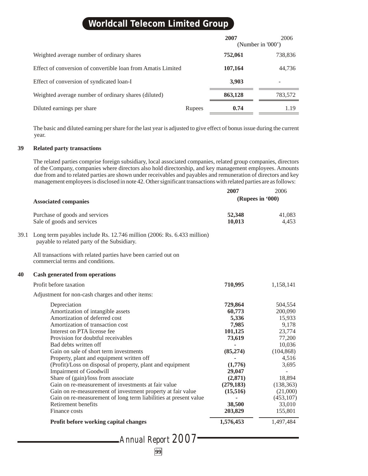|                                                              |        | 2007    | 2006<br>(Number in $000$ ) |
|--------------------------------------------------------------|--------|---------|----------------------------|
| Weighted average number of ordinary shares                   |        | 752,061 | 738,836                    |
| Effect of conversion of convertible loan from Amatis Limited |        | 107,164 | 44,736                     |
| Effect of conversion of syndicated loan-I                    |        | 3,903   |                            |
| Weighted average number of ordinary shares (diluted)         |        | 863,128 | 783,572                    |
| Diluted earnings per share                                   | Rupees | 0.74    | 1.19                       |

The basic and diluted earning per share for the last year is adjusted to give effect of bonus issue during the current year.

#### **39 Related party transactions**

The related parties comprise foreign subsidiary, local associated companies, related group companies, directors of the Company, companies where directors also hold directorship, and key management employees. Amounts due from and to related parties are shown under receivables and payables and remuneration of directors and key management employees is disclosed in note 42. Other significant transactions with related parties are as follows:

|      |                                                                                                                        | 2007<br>(Rupees in '000) | 2006            |
|------|------------------------------------------------------------------------------------------------------------------------|--------------------------|-----------------|
|      | <b>Associated companies</b>                                                                                            |                          |                 |
|      | Purchase of goods and services<br>Sale of goods and services                                                           | 52,348<br>10,013         | 41,083<br>4,453 |
|      |                                                                                                                        |                          |                 |
| 39.1 | Long term payables include Rs. 12.746 million (2006: Rs. 6.433 million)<br>payable to related party of the Subsidiary. |                          |                 |
|      | All transactions with related parties have been carried out on<br>commercial terms and conditions.                     |                          |                 |
| 40   | Cash generated from operations                                                                                         |                          |                 |
|      | Profit before taxation                                                                                                 | 710,995                  | 1,158,141       |
|      | Adjustment for non-cash charges and other items:                                                                       |                          |                 |
|      | Depreciation                                                                                                           | 729,864                  | 504,554         |
|      | Amortization of intangible assets                                                                                      | 60,773                   | 200,090         |
|      | Amortization of deferred cost                                                                                          | 5,336                    | 15,933          |
|      | Amortization of transaction cost                                                                                       | 7,985                    | 9,178           |
|      | Interest on PTA license fee                                                                                            | 101,125                  | 23,774          |
|      | Provision for doubtful receivables                                                                                     | 73,619                   | 77,200          |
|      | Bad debts written off                                                                                                  |                          | 10,036          |
|      | Gain on sale of short term investments                                                                                 | (85,274)                 | (104, 868)      |
|      | Property, plant and equipment written off                                                                              |                          | 4,516           |
|      | (Profit)/Loss on disposal of property, plant and equipment                                                             | (1,776)                  | 3,695           |
|      | <b>Impairment of Goodwill</b>                                                                                          | 29,047                   |                 |
|      | Share of (gain)/loss from associate                                                                                    | (2,871)                  | 18,894          |
|      | Gain on re-measurement of investments at fair value                                                                    | (279, 183)               | (138, 363)      |
|      | Gain on re-measurement of investment property at fair value                                                            | (15,516)                 | (21,000)        |
|      | Gain on re-measurement of long term liabilities at present value                                                       |                          | (453, 107)      |
|      | Retirement benefits                                                                                                    | 38,500                   | 33,010          |
|      | Finance costs                                                                                                          | 203,829                  | 155,801         |
|      | Profit before working capital changes                                                                                  | 1,576,453                | 1,497,484       |
|      |                                                                                                                        |                          |                 |

Annual Report  $2007$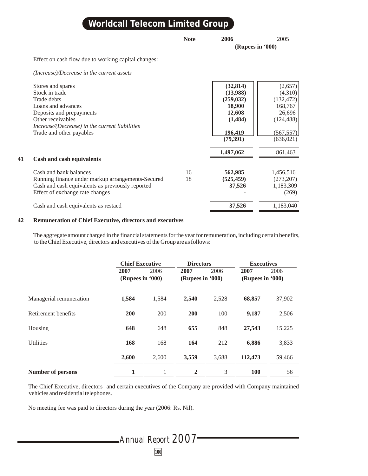**Note**

**2006** 2005 **(Rupees in '000)**

Effect on cash flow due to working capital changes:

*(Increase)/Decrease in the current assets*

|    | Stores and spares                                 |    | (32, 814)  | (2,657)    |
|----|---------------------------------------------------|----|------------|------------|
|    | Stock in trade                                    |    | (13,988)   | (4,310)    |
|    | Trade debts                                       |    | (259, 032) | (132, 472) |
|    | Loans and advances                                |    | 18,900     | 168,767    |
|    | Deposits and prepayments                          |    | 12,608     | 26,696     |
|    | Other receivables                                 |    | (1,484)    | (124, 488) |
|    | Increase/(Decrease) in the current liabilities    |    |            |            |
|    | Trade and other payables                          |    | 196,419    | (567, 557) |
|    |                                                   |    | (79,391)   | (636, 021) |
|    |                                                   |    | 1,497,062  | 861,463    |
| 41 | <b>Cash and cash equivalents</b>                  |    |            |            |
|    | Cash and bank balances                            | 16 | 562,985    | 1,456,516  |
|    | Running finance under markup arrangements-Secured | 18 | (525, 459) | (273, 207) |
|    | Cash and cash equivalents as previously reported  |    | 37,526     | 1,183,309  |
|    | Effect of exchange rate changes                   |    |            | (269)      |
|    | Cash and cash equivalents as restaed              |    | 37,526     | 1,183,040  |
|    |                                                   |    |            |            |

#### **42 Remuneration of Chief Executive, directors and executives**

The aggregate amount charged in the financial statements for the year for remuneration, including certain benefits, to the Chief Executive, directors and executives of the Group are as follows:

|                          | <b>Chief Executive</b> |       | <b>Directors</b> |       | <b>Executives</b> |        |
|--------------------------|------------------------|-------|------------------|-------|-------------------|--------|
|                          | 2007                   | 2006  | 2007             | 2006  | 2007              | 2006   |
|                          | (Rupees in '000)       |       | (Rupees in '000) |       | (Rupees in '000)  |        |
| Managerial remuneration  | 1,584                  | 1,584 | 2,540            | 2,528 | 68,857            | 37,902 |
| Retirement benefits      | 200                    | 200   | 200              | 100   | 9,187             | 2,506  |
| Housing                  | 648                    | 648   | 655              | 848   | 27,543            | 15,225 |
| <b>Utilities</b>         | 168                    | 168   | 164              | 212   | 6,886             | 3,833  |
|                          | 2,600                  | 2,600 | 3,559            | 3,688 | 112,473           | 59,466 |
| <b>Number of persons</b> | 1                      | 1     | $\overline{2}$   | 3     | <b>100</b>        | 56     |

The Chief Executive, directors and certain executives of the Company are provided with Company maintained vehicles and residential telephones.

No meeting fee was paid to directors during the year (2006: Rs. Nil).

Annual Report 2007-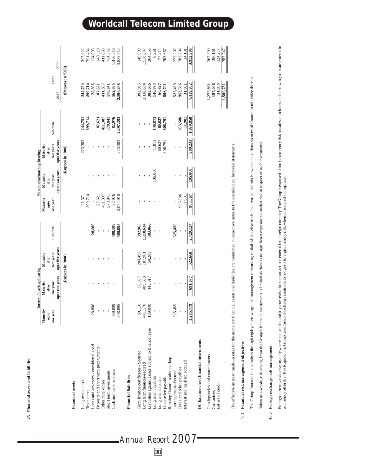|                                                                                                                                                                     |                  | Interest / mark up bearing |                              |           |                   | Non interest/mark up bearing |                              |           |                                |                               |
|---------------------------------------------------------------------------------------------------------------------------------------------------------------------|------------------|----------------------------|------------------------------|-----------|-------------------|------------------------------|------------------------------|-----------|--------------------------------|-------------------------------|
|                                                                                                                                                                     | Maturity<br>upto | Maturity<br>after          | Maturity<br>after            |           | Maturity<br>upto  | Maturity<br>after            | Maturity<br>after            |           |                                |                               |
|                                                                                                                                                                     | one year         | upto two years<br>one year | upto five years<br>two years | Sub total | one year          | upto two years<br>one year   | upto five years<br>two years | Sub total | Total<br>2007                  | 2006                          |
|                                                                                                                                                                     |                  |                            | (Rupees in '000)             |           |                   |                              | (Rupees in '000)             |           | (Rupees in '000)               |                               |
| <b>Financial</b> assets                                                                                                                                             |                  |                            |                              |           |                   |                              |                              |           |                                |                               |
| Long term deposits                                                                                                                                                  |                  |                            |                              |           |                   |                              | 223,383                      | 244,754   | 244,754                        | 207,922                       |
| Trade debts                                                                                                                                                         |                  |                            |                              |           | 21,371<br>899,714 |                              |                              | 899,714   | 899,714                        | 701,434                       |
| Loans and advances - considered good                                                                                                                                | 28,886           |                            |                              | 28,886    |                   |                              |                              |           | 28,886<br>87,621               | 134,095                       |
| Deposits and short term prepayments                                                                                                                                 |                  |                            |                              |           | 87,621            |                              |                              | 87,621    |                                | 140,110                       |
| Other receivables                                                                                                                                                   |                  |                            |                              |           | 411,387           |                              |                              | 411,387   | 411,387                        | 411,093                       |
| Short term investments                                                                                                                                              |                  |                            |                              |           | 570,941           |                              |                              | 570,941   | 570,941                        | 784,542                       |
| Cash and bank balances                                                                                                                                              | 480,009          |                            |                              | 480,009   | 82,976            |                              |                              | 82,976    | 562,985                        | 1,456,516                     |
|                                                                                                                                                                     | 508,895          |                            |                              | 508,895   | 2,074,010         |                              | 223,383                      | 2,297,393 | 2,806,288                      | 3.835.712                     |
| <b>Financial liabilities</b>                                                                                                                                        |                  |                            |                              |           |                   |                              |                              |           |                                |                               |
| Term finance certificates - Secured                                                                                                                                 | 50,110           | 58,357                     |                              | 392,965   |                   |                              |                              |           | 392,965                        | 149,909                       |
| Long term finances-secured                                                                                                                                          | 441,170          | 489,503                    |                              | 1,118,634 |                   |                              |                              |           | 1,118,634                      | 1,518,847                     |
| Liabilities against assets subject to finance lease                                                                                                                 | 189,040          | 143,817                    | 284,498<br>187,961<br>50,209 | 383,066   |                   |                              |                              |           | 383,066                        | 364,556                       |
| Long term payables                                                                                                                                                  |                  |                            |                              |           |                   | 105,060                      | 41,813                       | 146,873   | 146,873                        | 6,261                         |
| Long term deposits                                                                                                                                                  |                  |                            |                              |           |                   |                              | 60,627                       | 60,627    | 60,627                         | 77,214                        |
| License fee payable                                                                                                                                                 |                  |                            |                              |           |                   |                              | 806,791                      | 806,791   | 806,791                        | 705,667                       |
| Running finance under markup                                                                                                                                        |                  |                            |                              |           |                   |                              |                              |           |                                |                               |
| arrangements-Secured                                                                                                                                                | 525,459          |                            |                              | 525,459   |                   |                              |                              |           | 525,459                        | 273,207                       |
| Trade and other payables                                                                                                                                            |                  |                            |                              |           | 953,586           |                              |                              | 953,586   | 953,586                        | 783,204                       |
| Interest and mark up accrued                                                                                                                                        |                  |                            |                              |           | 31,981            |                              |                              | 31,981    | 31,981                         | 34,131                        |
|                                                                                                                                                                     | 1,205,779        | 691,677                    | 522,668                      | 2,420,124 | 985,567           | 105,060                      | 909,231                      | 1,999,858 | 4,419,982                      | 3,912,996                     |
| Off balance sheet financial instruments                                                                                                                             |                  |                            |                              |           |                   |                              |                              |           |                                |                               |
| Contingencies and commitments<br>Letters of credit<br>Guarantees                                                                                                    |                  |                            |                              |           |                   |                              |                              |           | 197,006<br>1,272,661<br>31,084 | 267,309<br>324,277<br>196,161 |
| The effective interest/ mark-up rates for the monetary financial assets and liabilities are mentioned in respective notes to the consolidated financial statements. |                  |                            |                              |           |                   |                              |                              |           | 1,500,751                      | 787,747                       |
| 43.1 Financial risk management objectives                                                                                                                           |                  |                            |                              |           |                   |                              |                              |           |                                |                               |

The Group finances its operations through equity, borrowings and management of working capital with a view to obtain a reasonable mix between the various sources of finance to minimize the risk. The Group finances its operations through equity, borrowings and management of working capital with a view to obtain a reasonable mix between the various sources of finance to minimize the risk.

Taken as a whole, risk arising from the Group's financial instruments is limited as there is no significant exposure to market risk in respect of such instruments. Taken as a whole, risk arising from the Group's financial instruments is limited as there is no significant exposure to market risk in respect of such instruments.

# 43.2 Foreign exchange risk management 43.2 **Foreign exchange risk management**

Foreign currency risk arisesmainly where receivables and payables exist due to transactions entered into foreign currency.The Group is exposed to foreign currency risk on sales, purchases and borrowingsthat are entered in Foreign currency risk arises mainly where receivables and payables exist due to transactions entered into foreign currency. The Group is exposed to foreign currency risk on sales, purchases and borrowings that are entered currency otherthan PakRupees.The Group usesforward exchange contractsto hedge itsforeign currency risk, when considered appropriate.

## **Worldcall Telecom Limited Group**

43 Financial assets and liabilities **43 Financial assets and liabilities**

 $\blacksquare$ Annual Report  $2007$ 

**101**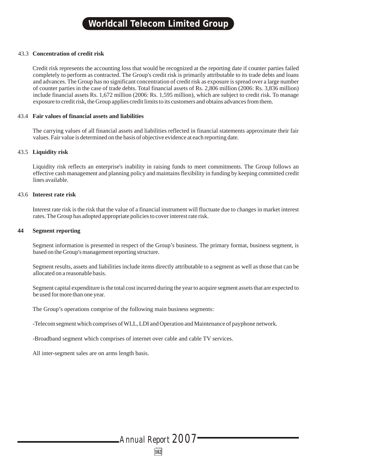#### 43.3 **Concentration of credit risk**

Credit risk represents the accounting loss that would be recognized at the reporting date if counter parties failed completely to perform as contracted. The Group's credit risk is primarily attributable to its trade debts and loans and advances. The Group has no significant concentration of credit risk as exposure is spread over a large number of counter parties in the case of trade debts. Total financial assets of Rs. 2,806 million (2006: Rs. 3,836 million) include financial assets Rs. 1,672 million (2006: Rs. 1,595 million), which are subject to credit risk. To manage exposure to credit risk, the Group applies credit limits to its customers and obtains advances from them.

#### 43.4 **Fair values of financial assets and liabilities**

The carrying values of all financial assets and liabilities reflected in financial statements approximate their fair values. Fair value is determined on the basis of objective evidence at each reporting date.

#### 43.5 **Liquidity risk**

Liquidity risk reflects an enterprise's inability in raising funds to meet commitments. The Group follows an effective cash management and planning policy and maintains flexibility in funding by keeping committed credit lines available.

#### 43.6 **Interest rate risk**

Interest rate risk is the risk that the value of a financial instrument will fluctuate due to changes in market interest rates. The Group has adopted appropriate policies to cover interest rate risk.

#### **44 Segment reporting**

Segment information is presented in respect of the Group's business. The primary format, business segment, is based on the Group's management reporting structure.

Segment results, assets and liabilities include items directly attributable to a segment as well as those that can be allocated on a reasonable basis.

Segment capital expenditure is the total cost incurred during the year to acquire segment assets that are expected to be used for more than one year.

The Group's operations comprise of the following main business segments:

-Telecom segment which comprises of WLL, LDI and Operation and Maintenance of payphone network.

-Broadband segment which comprises of internet over cable and cable TV services.

All inter-segment sales are on arms length basis.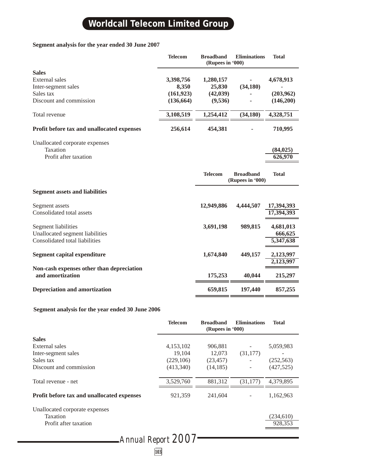#### **Segment analysis for the year ended 30 June 2007**

|                                            | <b>Telecom</b> | <b>Broadband</b> | <b>Eliminations</b> | <b>Total</b> |
|--------------------------------------------|----------------|------------------|---------------------|--------------|
|                                            |                | (Rupees in '000) |                     |              |
| <b>Sales</b>                               |                |                  |                     |              |
| External sales                             | 3,398,756      | 1,280,157        |                     | 4,678,913    |
| Inter-segment sales                        | 8,350          | 25,830           | (34, 180)           |              |
| Sales tax                                  | (161, 923)     | (42, 039)        |                     | (203,962)    |
| Discount and commission                    | (136, 664)     | (9,536)          |                     | (146,200)    |
| Total revenue                              | 3,108,519      | 1,254,412        | (34, 180)           | 4,328,751    |
| Profit before tax and unallocated expenses | 256,614        | 454,381          |                     | 710,995      |
| Unallocated corporate expenses             |                |                  |                     |              |
| Taxation                                   |                |                  |                     | (84, 025)    |
| Profit after taxation                      |                |                  |                     | 626,970      |
|                                            |                |                  |                     |              |
|                                            |                | <b>Telecom</b>   | <b>Broadband</b>    | <b>Total</b> |
|                                            |                |                  | (Rupees in '000)    |              |
| <b>Segment assets and liabilities</b>      |                |                  |                     |              |
| Segment assets                             |                | 12,949,886       | 4,444,507           | 17,394,393   |
| Consolidated total assets                  |                |                  |                     | 17,394,393   |
| Segment liabilities                        |                | 3,691,198        | 989,815             | 4,681,013    |
| Unallocated segment liabilities            |                |                  |                     | 666,625      |
| Consolidated total liabilities             |                |                  |                     | 5,347,638    |
| <b>Segment capital expenditure</b>         |                | 1,674,840        | 449,157             | 2,123,997    |
|                                            |                |                  |                     | 2,123,997    |
| Non-cash expenses other than depreciation  |                |                  |                     |              |
| and amortization                           |                | 175,253          | 40,044              | 215,297      |
| <b>Depreciation and amortization</b>       |                | 659,815          | 197,440             | 857,255      |

#### **Segment analysis for the year ended 30 June 2006**

|                                            | <b>Telecom</b> | <b>Broadband</b><br>(Rupees in '000) | <b>Eliminations</b> | <b>Total</b> |
|--------------------------------------------|----------------|--------------------------------------|---------------------|--------------|
| <b>Sales</b>                               |                |                                      |                     |              |
| External sales                             | 4,153,102      | 906,881                              |                     | 5,059,983    |
| Inter-segment sales                        | 19,104         | 12,073                               | (31, 177)           |              |
| Sales tax                                  | (229,106)      | (23, 457)                            |                     | (252, 563)   |
| Discount and commission                    | (413,340)      | (14, 185)                            |                     | (427, 525)   |
|                                            |                |                                      |                     |              |
| Total revenue - net                        | 3,529,760      | 881,312                              | (31, 177)           | 4,379,895    |
| Profit before tax and unallocated expenses | 921,359        | 241,604                              |                     | 1,162,963    |
| Unallocated corporate expenses             |                |                                      |                     |              |
| Taxation                                   |                |                                      |                     | (234, 610)   |
| Profit after taxation                      |                |                                      |                     | 928,353      |
| Annual Report 2007                         |                |                                      |                     |              |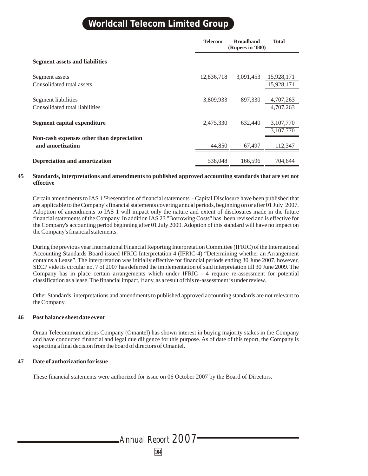|                                           | <b>Broadband</b><br><b>Total</b><br><b>Telecom</b><br>(Rupees in '000) |           |            |
|-------------------------------------------|------------------------------------------------------------------------|-----------|------------|
| <b>Segment assets and liabilities</b>     |                                                                        |           |            |
| Segment assets                            | 12,836,718                                                             | 3,091,453 | 15,928,171 |
| Consolidated total assets                 |                                                                        |           | 15,928,171 |
|                                           |                                                                        |           |            |
| Segment liabilities                       | 3,809,933                                                              | 897,330   | 4,707,263  |
| Consolidated total liabilities            |                                                                        |           | 4,707,263  |
| <b>Segment capital expenditure</b>        | 2,475,330                                                              | 632,440   | 3,107,770  |
|                                           |                                                                        |           | 3,107,770  |
| Non-cash expenses other than depreciation |                                                                        |           |            |
| and amortization                          | 44,850                                                                 | 67,497    | 112,347    |
|                                           |                                                                        |           |            |
| Depreciation and amortization             | 538,048                                                                | 166,596   | 704.644    |

#### **45 Standards, interpretations and amendments to published approved accounting standards that are yet not effective**

Certain amendments to IAS 1 'Presentation of financial statements' - Capital Disclosure have been published that are applicable to the Company's financial statements covering annual periods, beginning on or after 01 July 2007. Adoption of amendments to IAS 1 will impact only the nature and extent of disclosures made in the future financial statements of the Company. In addition IAS 23 "Borrowing Costs" has been revised and is effective for the Company's accounting period beginning after 01 July 2009. Adoption of this standard will have no impact on the Company's financial statements.

During the previous year International Financial Reporting Interpretation Committee (IFRIC) of the International Accounting Standards Board issued IFRIC Interpretation 4 (IFRIC-4) "Determining whether an Arrangement contains a Lease". The interpretation was initially effective for financial periods ending 30 June 2007, however, SECP vide its circular no. 7 of 2007 has deferred the implementation of said interpretation till 30 June 2009. The Company has in place certain arrangements which under IFRIC - 4 require re-assessment for potential classification as a lease. The financial impact, if any, as a result of this re-assessment is under review.

Other Standards, interpretations and amendments to published approved accounting standards are not relevant to the Company.

#### **46 Post balance sheet date event**

Oman Telecommunications Company (Omantel) has shown interest in buying majority stakes in the Company and have conducted financial and legal due diligence for this purpose. As of date of this report, the Company is expecting a final decision from the board of directors of Omantel.

#### **47 Date of authorization for issue**

These financial statements were authorized for issue on 06 October 2007 by the Board of Directors.

Annual Report 2007-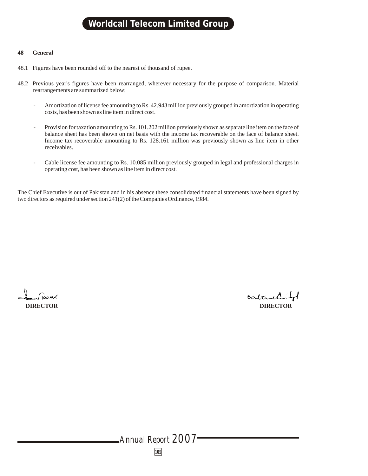#### **48 General**

- 48.1 Figures have been rounded off to the nearest of thousand of rupee.
- 48.2 Previous year's figures have been rearranged, wherever necessary for the purpose of comparison. Material rearrangements are summarized below;
	- Amortization of license fee amounting to Rs. 42.943 million previously grouped in amortization in operating costs, has been shown as line item in direct cost.
	- Provision for taxation amounting to Rs. 101.202 million previously shown as separate line item on the face of balance sheet has been shown on net basis with the income tax recoverable on the face of balance sheet. Income tax recoverable amounting to Rs. 128.161 million was previously shown as line item in other receivables.
	- Cable license fee amounting to Rs. 10.085 million previously grouped in legal and professional charges in operating cost, has been shown as line item in direct cost.

The Chief Executive is out of Pakistan and in his absence these consolidated financial statements have been signed by two directors as required under section 241(2) of the Companies Ordinance, 1984.

Babaul **DIRECTOR DIRECTOR**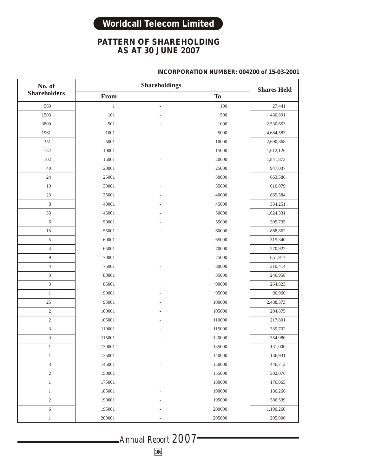### **PATTERN OF SHAREHOLDING AS AT 30 JUNE 2007**

| No. of                      | <b>Shareholdings</b> |           | <b>Shares Held</b> |           |  |
|-----------------------------|----------------------|-----------|--------------------|-----------|--|
| <b>Shareholders</b>         | From                 | <b>To</b> |                    |           |  |
| 569                         | $\mathbf{1}$         |           | 100                | 27,441    |  |
| 1503                        | 101                  |           | 500                | 430,891   |  |
| 3800                        | 501                  |           | 1000               | 2,530,663 |  |
| 1961                        | 1001                 |           | 5000               | 4,684,583 |  |
| 351                         | 5001                 |           | 10000              | 2,690,868 |  |
| 132                         | 10001                |           | 15000              | 1,612,126 |  |
| 102                         | 15001                |           | 20000              | 1,841,873 |  |
| $40\,$                      | 20001                |           | 25000              | 947,037   |  |
| $24\,$                      | 25001                |           | 30000              | 663,586   |  |
| 19                          | 30001                |           | 35000              | 610,079   |  |
| $23\,$                      | 35001                |           | 40000              | 869,584   |  |
| $\,8\,$                     | 40001                |           | 45000              | 334,251   |  |
| 33                          | 45001                |           | 50000              | 1,624,331 |  |
| $\sqrt{6}$                  | 50001                |           | 55000              | 305,735   |  |
| 15                          | 55001                |           | 60000              | 868,862   |  |
| $\sqrt{5}$                  | 60001                |           | 65000              | 315,340   |  |
| $\overline{4}$              | 65001                |           | 70000              | 270,927   |  |
| $\overline{9}$              | 70001                |           | 75000              | 651,917   |  |
| $\overline{4}$              | 75001                |           | 80000              | 310,414   |  |
| $\ensuremath{\mathfrak{Z}}$ | 80001                |           | 85000              | 246,958   |  |
| $\ensuremath{\mathfrak{Z}}$ | 85001                |           | 90000              | 264,823   |  |
| $\,1$                       | 90001                |           | 95000              | 90,960    |  |
| $25\,$                      | 95001                |           | 100000             | 2,488,373 |  |
| $\sqrt{2}$                  | 100001               |           | 105000             | 204,875   |  |
| $\sqrt{2}$                  | 105001               |           | 110000             | 217,801   |  |
| $\ensuremath{\mathfrak{Z}}$ | 110001               |           | 115000             | 339,702   |  |
| $\ensuremath{\mathfrak{Z}}$ | 115001               |           | 120000             | 354,980   |  |
| $\mathbf{1}$                | 130001               |           | 135000             | 131,000   |  |
| $\mathbf{1}$                | 135001               |           | 140000             | 136,931   |  |
| $\mathfrak z$               | 145001               |           | 150000             | 446,712   |  |
| $\sqrt{2}$                  | 150001               |           | 155000             | 302,076   |  |
| $\mathbf{1}$                | 175001               |           | 180000             | 176,065   |  |
| $\mathbf{1}$                | 185001               |           | 190000             | 186,266   |  |
| $\sqrt{2}$                  | 190001               |           | 195000             | 386,539   |  |
| $\overline{6}$              | 195001               |           | 200000             | 1,190,266 |  |
| $\overline{1}$              | 200001               |           | 205000             | 205,000   |  |

#### *INCORPORATION NUMBER: 004200 of 15-03-2001*

Annual Report 2007–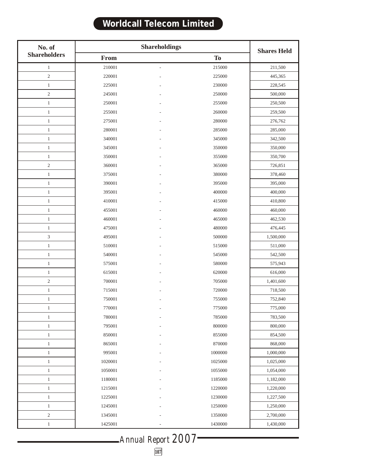## **Worldcall Telecom Limited**

| No. of              | <b>Shareholdings</b> |  |           | <b>Shares Held</b> |
|---------------------|----------------------|--|-----------|--------------------|
| <b>Shareholders</b> | From                 |  | <b>To</b> |                    |
| $\mathbf{1}$        | 210001               |  | 215000    | 211,500            |
| $\sqrt{2}$          | 220001               |  | 225000    | 445,365            |
| $\mathbf{1}$        | 225001               |  | 230000    | 228,545            |
| $\sqrt{2}$          | 245001               |  | 250000    | 500,000            |
| $\mathbf{1}$        | 250001               |  | 255000    | 250,500            |
| $\,1$               | 255001               |  | 260000    | 259,500            |
| $\,1$               | 275001               |  | 280000    | 276,762            |
| $\,1\,$             | 280001               |  | 285000    | 285,000            |
| $\,1$               | 340001               |  | 345000    | 342,500            |
| $\mathbf{1}$        | 345001               |  | 350000    | 350,000            |
| $\mathbf{1}$        | 350001               |  | 355000    | 350,700            |
| $\sqrt{2}$          | 360001               |  | 365000    | 726,851            |
| $\,1$               | 375001               |  | 380000    | 378,460            |
| $\,1$               | 390001               |  | 395000    | 395,000            |
| $\,1$               | 395001               |  | 400000    | 400,000            |
| $\,1$               | 410001               |  | 415000    | 410,800            |
| $\,1\,$             | 455001               |  | 460000    | 460,000            |
| $\,1$               | 460001               |  | 465000    | 462,530            |
| $\,1$               | 475001               |  | 480000    | 476,445            |
| 3                   | 495001               |  | 500000    | 1,500,000          |
| $\mathbf{1}$        | 510001               |  | 515000    | 511,000            |
| $\mathbf{1}$        | 540001               |  | 545000    | 542,500            |
| $\,1$               | 575001               |  | 580000    | 575,943            |
| $\mathbf{1}$        | 615001               |  | 620000    | 616,000            |
| $\sqrt{2}$          | 700001               |  | 705000    | 1,401,600          |
| $\mathbf{1}$        | 715001               |  | 720000    | 718,500            |
| $\,1\,$             | 750001               |  | 755000    | 752,840            |
| 1                   | 770001               |  | 775000    | 775,000            |
| $\mathbf{1}$        | 780001               |  | 785000    | 783,500            |
| $\mathbf{1}$        | 795001               |  | 800000    | 800,000            |
| $\,1\,$             | 850001               |  | 855000    | 854,500            |
| $\,1\,$             | 865001               |  | 870000    | 868,000            |
| $\mathbf{1}$        | 995001               |  | 1000000   | 1,000,000          |
| $\mathbf{1}$        | 1020001              |  | 1025000   | 1,025,000          |
| $\,1\,$             | 1050001              |  | 1055000   | 1,054,000          |
| $\,1\,$             | 1180001              |  | 1185000   | 1,182,000          |
| $\mathbf{1}$        | 1215001              |  | 1220000   | 1,220,000          |
| $\mathbf{1}$        | 1225001              |  | 1230000   | 1,227,500          |
| $\mathbf{1}$        | 1245001              |  | 1250000   | 1,250,000          |
| $\sqrt{2}$          | 1345001              |  | 1350000   | 2,700,000          |
| $\,1\,$             | 1425001              |  | 1430000   | 1,430,000          |

Annual Report 2007<sup>——</sup>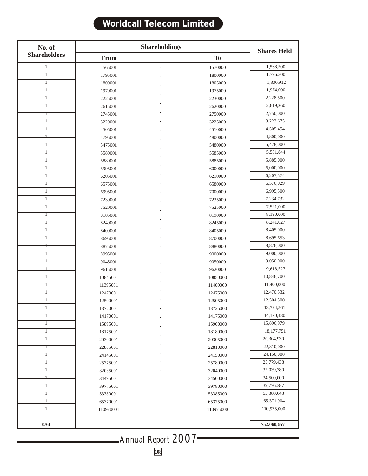## **Worldcall Telecom Limited**

| No. of              | <b>Shareholdings</b> |  |           | <b>Shares Held</b> |  |
|---------------------|----------------------|--|-----------|--------------------|--|
| <b>Shareholders</b> | From                 |  | <b>To</b> |                    |  |
| $\mathbf{1}$        | 1565001              |  | 1570000   | 1,568,500          |  |
| $\mathbf{1}$        | 1795001              |  | 1800000   | 1,796,500          |  |
| $\mathbf{1}$        | 1800001              |  | 1805000   | 1,800,912          |  |
| 1                   | 1970001              |  | 1975000   | 1,974,000          |  |
| 1                   | 2225001              |  | 2230000   | 2,228,500          |  |
|                     | 2615001              |  | 2620000   | 2,619,260          |  |
|                     | 2745001              |  | 2750000   | 2,750,000          |  |
|                     | 3220001              |  | 3225000   | 3,223,675          |  |
|                     | 4505001              |  | 4510000   | 4,505,454          |  |
|                     | 4795001              |  | 4800000   | 4,800,000          |  |
|                     | 5475001              |  | 5480000   | 5,478,000          |  |
|                     | 5580001              |  | 5585000   | 5,581,844          |  |
| 1                   | 5880001              |  | 5885000   | 5,885,000          |  |
| $\mathbf{1}$        | 5995001              |  | 6000000   | 6,000,000          |  |
| $\mathbf{1}$        | 6205001              |  | 6210000   | 6,207,574          |  |
| $\mathbf{1}$        | 6575001              |  | 6580000   | 6,576,029          |  |
| $\mathbf{1}$        | 6995001              |  | 7000000   | 6,995,500          |  |
| $\mathbf{1}$        | 7230001              |  | 7235000   | 7,234,732          |  |
| $\mathbf{1}$        | 7520001              |  | 7525000   | 7,521,000          |  |
| 1                   | 8185001              |  | 8190000   | 8,190,000          |  |
| 1                   | 8240001              |  | 8245000   | 8,241,627          |  |
| T                   | 8400001              |  | 8405000   | 8,405,000          |  |
|                     | 8695001              |  | 8700000   | 8,695,653          |  |
|                     | 8875001              |  | 8880000   | 8,876,000          |  |
|                     | 8995001              |  | 9000000   | 9,000,000          |  |
|                     | 9045001              |  | 9050000   | 9,050,000          |  |
|                     | 9615001              |  | 9620000   | 9,618,527          |  |
| $\mathbf{1}$        | 10845001             |  | 10850000  | 10,846,700         |  |
| 1                   | 11395001             |  | 11400000  | 11,400,000         |  |
| $\mathbf{1}$        | 12470001             |  | 12475000  | 12,470,532         |  |
| $\mathbf{1}$        | 12500001             |  | 12505000  | 12,504,500         |  |
| $\mathbf{1}$        | 13720001             |  | 13725000  | 13,724,561         |  |
| $\mathbf{1}$        | 14170001             |  | 14175000  | 14,170,480         |  |
| $\mathbf{1}$        | 15895001             |  | 15900000  | 15,896,979         |  |
| $\mathbf{1}$        | 18175001             |  | 18180000  | 18,177,751         |  |
| 1                   | 20300001             |  | 20305000  | 20,304,939         |  |
| Τ                   | 22805001             |  | 22810000  | 22,810,000         |  |
|                     | 24145001             |  | 24150000  | 24,150,000         |  |
|                     | 25775001             |  | 25780000  | 25,779,438         |  |
|                     | 32035001             |  | 32040000  | 32,039,380         |  |
|                     | 34495001             |  | 34500000  | 34,500,000         |  |
|                     | 39775001             |  | 39780000  | 39,776,387         |  |
|                     | 53380001             |  | 53385000  | 53,380,643         |  |
|                     | 65370001             |  | 65375000  | 65,371,904         |  |
| $\mathbf{1}$        | 110970001            |  | 110975000 | 110,975,000        |  |
|                     |                      |  |           |                    |  |
| 8761                |                      |  |           | 752,060,657        |  |

## $\blacksquare$ Annual Report  $2007$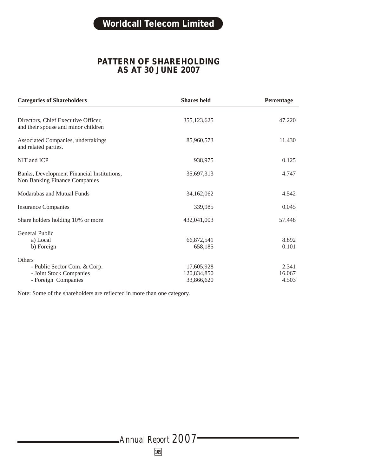#### **PATTERN OF SHAREHOLDING AS AT 30 JUNE 2007**

| <b>Categories of Shareholders</b>                                                        | <b>Shares</b> held                      | Percentage               |
|------------------------------------------------------------------------------------------|-----------------------------------------|--------------------------|
| Directors, Chief Executive Officer,<br>and their spouse and minor children               | 355,123,625                             | 47.220                   |
| Associated Companies, undertakings<br>and related parties.                               | 85,960,573                              | 11.430                   |
| NIT and ICP                                                                              | 938.975                                 | 0.125                    |
| Banks, Development Financial Institutions,<br>Non Banking Finance Companies              | 35,697,313                              | 4.747                    |
| Modarabas and Mutual Funds                                                               | 34,162,062                              | 4.542                    |
| <b>Insurance Companies</b>                                                               | 339,985                                 | 0.045                    |
| Share holders holding 10% or more                                                        | 432,041,003                             | 57.448                   |
| General Public<br>a) Local<br>b) Foreign                                                 | 66,872,541<br>658,185                   | 8.892<br>0.101           |
| Others<br>- Public Sector Com. & Corp.<br>- Joint Stock Companies<br>- Foreign Companies | 17,605,928<br>120,834,850<br>33,866,620 | 2.341<br>16.067<br>4.503 |

Note: Some of the shareholders are reflected in more than one category.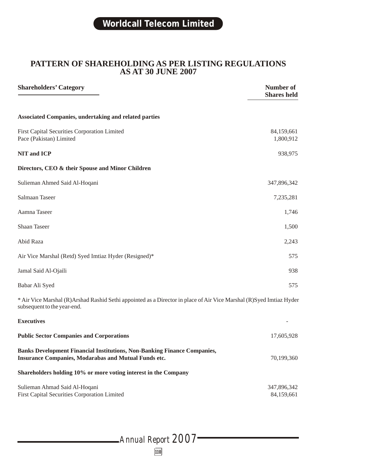#### **PATTERN OF SHAREHOLDING AS PER LISTING REGULATIONS AS AT 30 JUNE 2007**

| <b>Shareholders' Category</b>                                                                                                                      | Number of<br><b>Shares</b> held |
|----------------------------------------------------------------------------------------------------------------------------------------------------|---------------------------------|
| <b>Associated Companies, undertaking and related parties</b>                                                                                       |                                 |
| First Capital Securities Corporation Limited<br>Pace (Pakistan) Limited                                                                            | 84,159,661<br>1,800,912         |
| <b>NIT and ICP</b>                                                                                                                                 | 938,975                         |
| Directors, CEO & their Spouse and Minor Children                                                                                                   |                                 |
| Sulieman Ahmed Said Al-Hoqani                                                                                                                      | 347,896,342                     |
| Salmaan Taseer                                                                                                                                     | 7,235,281                       |
| Aamna Taseer                                                                                                                                       | 1,746                           |
| <b>Shaan Taseer</b>                                                                                                                                | 1,500                           |
| Abid Raza                                                                                                                                          | 2,243                           |
| Air Vice Marshal (Retd) Syed Imtiaz Hyder (Resigned)*                                                                                              | 575                             |
| Jamal Said Al-Ojaili                                                                                                                               | 938                             |
| Babar Ali Syed                                                                                                                                     | 575                             |
| * Air Vice Marshal (R)Arshad Rashid Sethi appointed as a Director in place of Air Vice Marshal (R)Syed Imtiaz Hyder<br>subsequent to the year-end. |                                 |
| <b>Executives</b>                                                                                                                                  |                                 |
| <b>Public Sector Companies and Corporations</b>                                                                                                    | 17,605,928                      |
| <b>Banks Development Financial Institutions, Non-Banking Finance Companies,</b><br><b>Insurance Companies, Modarabas and Mutual Funds etc.</b>     | 70,199,360                      |
| Shareholders holding 10% or more voting interest in the Company                                                                                    |                                 |
| Sulieman Ahmad Said Al-Hoqani<br><b>First Capital Securities Corporation Limited</b>                                                               | 347,896,342<br>84,159,661       |

Annual Report 2007<sup>——</sup>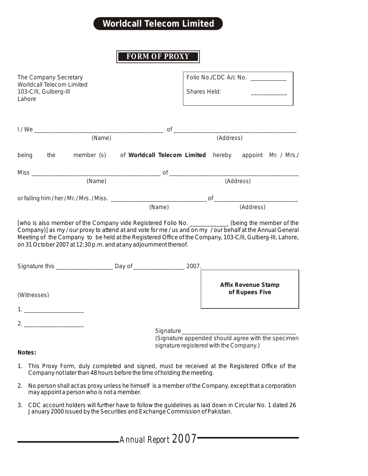## **Worldcall Telecom Limited**

## **FORM OF PROXY**

| The Company Secretary<br>Worldcall Telecom Limited<br>103-C/II, Gulberg-III<br>Lahore                                                                                                                                                                                                                                                                                                                                                                                                     |                                                                                               | Folio No./CDC A/c No.<br>Shares Held:                              |  |
|-------------------------------------------------------------------------------------------------------------------------------------------------------------------------------------------------------------------------------------------------------------------------------------------------------------------------------------------------------------------------------------------------------------------------------------------------------------------------------------------|-----------------------------------------------------------------------------------------------|--------------------------------------------------------------------|--|
| (Name)                                                                                                                                                                                                                                                                                                                                                                                                                                                                                    |                                                                                               | (Address)                                                          |  |
|                                                                                                                                                                                                                                                                                                                                                                                                                                                                                           |                                                                                               |                                                                    |  |
| the<br>being                                                                                                                                                                                                                                                                                                                                                                                                                                                                              |                                                                                               | member (s) of Worldcall Telecom Limited hereby appoint Mr. / Mrs./ |  |
|                                                                                                                                                                                                                                                                                                                                                                                                                                                                                           |                                                                                               |                                                                    |  |
| (Name)                                                                                                                                                                                                                                                                                                                                                                                                                                                                                    |                                                                                               | (Address)                                                          |  |
|                                                                                                                                                                                                                                                                                                                                                                                                                                                                                           |                                                                                               |                                                                    |  |
|                                                                                                                                                                                                                                                                                                                                                                                                                                                                                           | (Name)                                                                                        | (Address)                                                          |  |
| [who is also member of the Company vide Registered Folio No. ____________ (being the member of the<br>Company)] as my / our proxy to attend at and vote for me / us and on my / our behalf at the Annual General<br>Meeting of the Company to be held at the Registered Office of the Company, 103-C/II, Gulberg-III, Lahore,<br>on 31 October 2007 at 12:30 p.m. and at any adjournment thereof.<br>Signature this _______________________________Day of __________________________2007. |                                                                                               |                                                                    |  |
| (Witnesses)                                                                                                                                                                                                                                                                                                                                                                                                                                                                               |                                                                                               | Affix Revenue Stamp<br>of Rupees Five                              |  |
|                                                                                                                                                                                                                                                                                                                                                                                                                                                                                           |                                                                                               |                                                                    |  |
| 2.                                                                                                                                                                                                                                                                                                                                                                                                                                                                                        | (Signature appended should agree with the specimen<br>signature registered with the Company.) |                                                                    |  |
| Notes:                                                                                                                                                                                                                                                                                                                                                                                                                                                                                    |                                                                                               |                                                                    |  |
| This Proxy Form, duly completed and signed, must be received at the Registered Office of the<br>1.<br>Company not later than 48 hours before the time of holding the meeting.                                                                                                                                                                                                                                                                                                             |                                                                                               |                                                                    |  |
| No person shall act as proxy unless he himself is a member of the Company, except that a corporation<br>2.<br>may appoint a person who is not a member.                                                                                                                                                                                                                                                                                                                                   |                                                                                               |                                                                    |  |
| CDC account holders will further have to follow the guidelines as laid down in Circular No. 1 dated 26<br>3.<br>January 2000 issued by the Securities and Exchange Commission of Pakistan.                                                                                                                                                                                                                                                                                                |                                                                                               |                                                                    |  |

Annual Report 2007<sup>-1</sup>